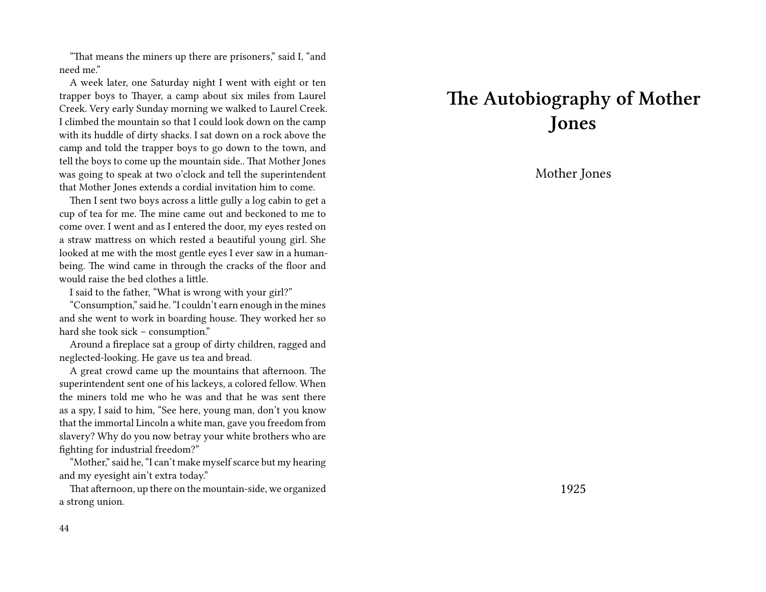"That means the miners up there are prisoners," said I, "and need me."

A week later, one Saturday night I went with eight or ten trapper boys to Thayer, a camp about six miles from Laurel Creek. Very early Sunday morning we walked to Laurel Creek. I climbed the mountain so that I could look down on the camp with its huddle of dirty shacks. I sat down on a rock above the camp and told the trapper boys to go down to the town, and tell the boys to come up the mountain side.. That Mother Jones was going to speak at two o'clock and tell the superintendent that Mother Jones extends a cordial invitation him to come.

Then I sent two boys across a little gully a log cabin to get a cup of tea for me. The mine came out and beckoned to me to come over. I went and as I entered the door, my eyes rested on a straw mattress on which rested a beautiful young girl. She looked at me with the most gentle eyes I ever saw in a humanbeing. The wind came in through the cracks of the floor and would raise the bed clothes a little.

I said to the father, "What is wrong with your girl?"

"Consumption," said he. "I couldn't earn enough in the mines and she went to work in boarding house. They worked her so hard she took sick – consumption."

Around a fireplace sat a group of dirty children, ragged and neglected-looking. He gave us tea and bread.

A great crowd came up the mountains that afternoon. The superintendent sent one of his lackeys, a colored fellow. When the miners told me who he was and that he was sent there as a spy, I said to him, "See here, young man, don't you know that the immortal Lincoln a white man, gave you freedom from slavery? Why do you now betray your white brothers who are fighting for industrial freedom?"

"Mother," said he, "I can't make myself scarce but my hearing and my eyesight ain't extra today."

That afternoon, up there on the mountain-side, we organized a strong union.

## **The Autobiography of Mother Jones**

Mother Jones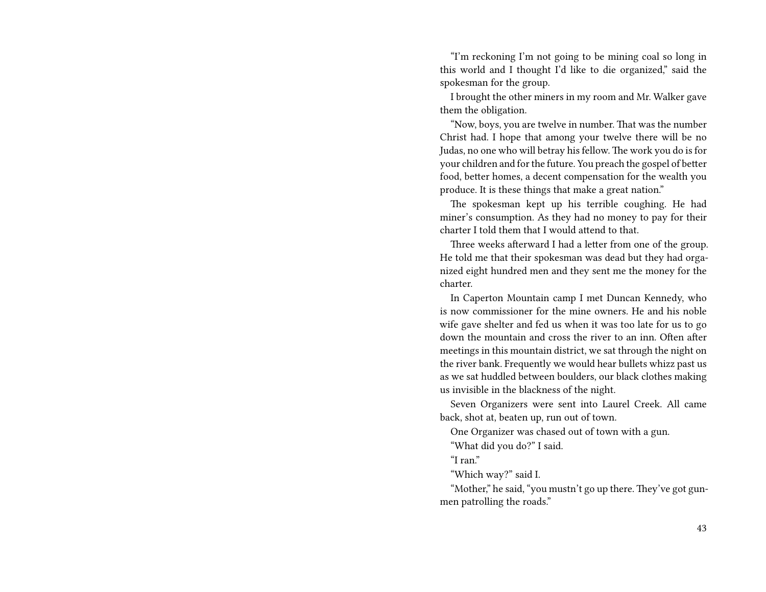"I'm reckoning I'm not going to be mining coal so long in this world and I thought I'd like to die organized," said the spokesman for the group.

I brought the other miners in my room and Mr. Walker gave them the obligation.

"Now, boys, you are twelve in number. That was the number Christ had. I hope that among your twelve there will be no Judas, no one who will betray his fellow. The work you do is for your children and for the future. You preach the gospel of better food, better homes, a decent compensation for the wealth you produce. It is these things that make a great nation."

The spokesman kept up his terrible coughing. He had miner's consumption. As they had no money to pay for their charter I told them that I would attend to that.

Three weeks afterward I had a letter from one of the group. He told me that their spokesman was dead but they had organized eight hundred men and they sent me the money for the charter.

In Caperton Mountain camp I met Duncan Kennedy, who is now commissioner for the mine owners. He and his noble wife gave shelter and fed us when it was too late for us to go down the mountain and cross the river to an inn. Often after meetings in this mountain district, we sat through the night on the river bank. Frequently we would hear bullets whizz past us as we sat huddled between boulders, our black clothes making us invisible in the blackness of the night.

Seven Organizers were sent into Laurel Creek. All came back, shot at, beaten up, run out of town.

One Organizer was chased out of town with a gun.

"What did you do?" I said.

"I ran."

"Which way?" said I.

"Mother," he said, "you mustn't go up there. They've got gunmen patrolling the roads."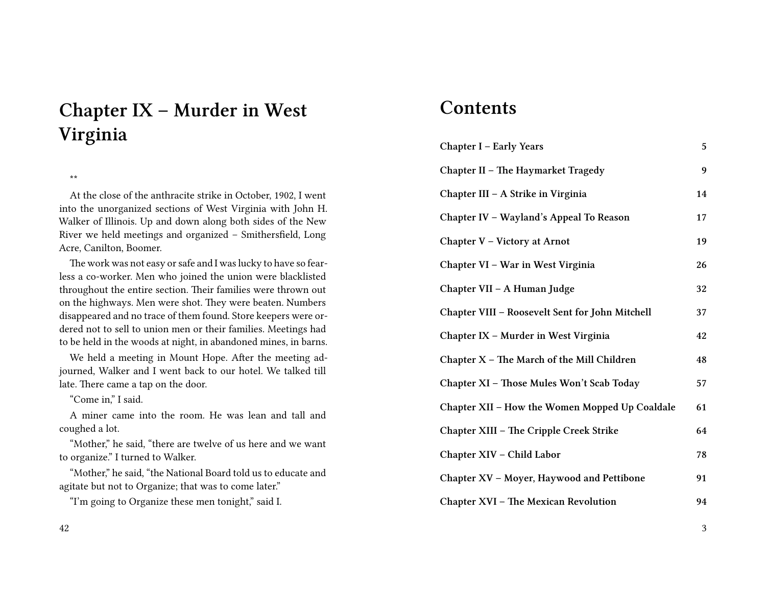# **Chapter IX – Murder in West Virginia**

\*\*

At the close of the anthracite strike in October, 1902, I went into the unorganized sections of West Virginia with John H. Walker of Illinois. Up and down along both sides of the New River we held meetings and organized – Smithersfield, Long Acre, Canilton, Boomer.

The work was not easy or safe and I was lucky to have so fearless a co-worker. Men who joined the union were blacklisted throughout the entire section. Their families were thrown out on the highways. Men were shot. They were beaten. Numbers disappeared and no trace of them found. Store keepers were ordered not to sell to union men or their families. Meetings had to be held in the woods at night, in abandoned mines, in barns.

We held a meeting in Mount Hope. After the meeting adjourned, Walker and I went back to our hotel. We talked till late. There came a tap on the door.

"Come in," I said.

A miner came into the room. He was lean and tall and coughed a lot.

"Mother," he said, "there are twelve of us here and we want to organize." I turned to Walker.

"Mother," he said, "the National Board told us to educate and agitate but not to Organize; that was to come later."

"I'm going to Organize these men tonight," said I.

### **Contents**

| Chapter I - Early Years                         | 5  |
|-------------------------------------------------|----|
| Chapter II – The Haymarket Tragedy              | 9  |
| Chapter III – A Strike in Virginia              | 14 |
| Chapter IV – Wayland's Appeal To Reason         | 17 |
| Chapter V - Victory at Arnot                    | 19 |
| Chapter VI – War in West Virginia               | 26 |
| Chapter VII – A Human Judge                     | 32 |
| Chapter VIII - Roosevelt Sent for John Mitchell | 37 |
| Chapter IX - Murder in West Virginia            | 42 |
| Chapter X - The March of the Mill Children      | 48 |
| Chapter XI - Those Mules Won't Scab Today       | 57 |
| Chapter XII - How the Women Mopped Up Coaldale  | 61 |
| Chapter XIII - The Cripple Creek Strike         | 64 |
| Chapter XIV - Child Labor                       | 78 |
| Chapter XV - Moyer, Haywood and Pettibone       | 91 |
| Chapter XVI - The Mexican Revolution            | 94 |

3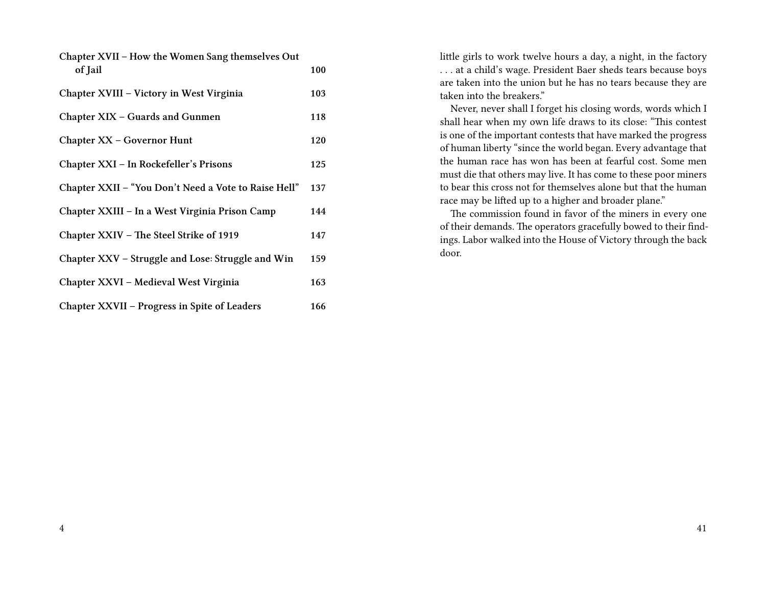| Chapter XVII – How the Women Sang themselves Out<br>of Jail | 100 |
|-------------------------------------------------------------|-----|
| Chapter XVIII - Victory in West Virginia                    | 103 |
| Chapter XIX – Guards and Gunmen                             | 118 |
| Chapter XX - Governor Hunt                                  | 120 |
| Chapter XXI – In Rockefeller's Prisons                      | 125 |
| Chapter XXII – "You Don't Need a Vote to Raise Hell"        | 137 |
| Chapter XXIII – In a West Virginia Prison Camp              | 144 |
| Chapter XXIV - The Steel Strike of 1919                     | 147 |
| Chapter XXV – Struggle and Lose: Struggle and Win           | 159 |
| Chapter XXVI - Medieval West Virginia                       | 163 |
| Chapter XXVII - Progress in Spite of Leaders                | 166 |

little girls to work twelve hours a day, a night, in the factory . . . at a child's wage. President Baer sheds tears because boys are taken into the union but he has no tears because they are taken into the breakers."

Never, never shall I forget his closing words, words which I shall hear when my own life draws to its close: "This contest is one of the important contests that have marked the progress of human liberty "since the world began. Every advantage that the human race has won has been at fearful cost. Some men must die that others may live. It has come to these poor miners to bear this cross not for themselves alone but that the human race may be lifted up to a higher and broader plane."

The commission found in favor of the miners in every one of their demands. The operators gracefully bowed to their findings. Labor walked into the House of Victory through the back door.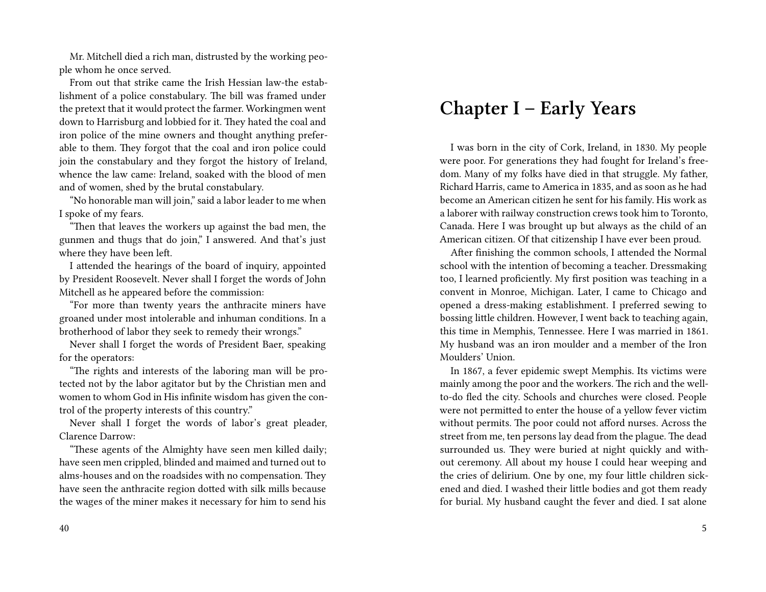Mr. Mitchell died a rich man, distrusted by the working people whom he once served.

From out that strike came the Irish Hessian law-the establishment of a police constabulary. The bill was framed under the pretext that it would protect the farmer. Workingmen went down to Harrisburg and lobbied for it. They hated the coal and iron police of the mine owners and thought anything preferable to them. They forgot that the coal and iron police could join the constabulary and they forgot the history of Ireland, whence the law came: Ireland, soaked with the blood of men and of women, shed by the brutal constabulary.

"No honorable man will join," said a labor leader to me when I spoke of my fears.

"Then that leaves the workers up against the bad men, the gunmen and thugs that do join," I answered. And that's just where they have been left.

I attended the hearings of the board of inquiry, appointed by President Roosevelt. Never shall I forget the words of John Mitchell as he appeared before the commission:

"For more than twenty years the anthracite miners have groaned under most intolerable and inhuman conditions. In a brotherhood of labor they seek to remedy their wrongs."

Never shall I forget the words of President Baer, speaking for the operators:

"The rights and interests of the laboring man will be protected not by the labor agitator but by the Christian men and women to whom God in His infinite wisdom has given the control of the property interests of this country."

Never shall I forget the words of labor's great pleader, Clarence Darrow:

"These agents of the Almighty have seen men killed daily; have seen men crippled, blinded and maimed and turned out to alms-houses and on the roadsides with no compensation. They have seen the anthracite region dotted with silk mills because the wages of the miner makes it necessary for him to send his

#### 40

### **Chapter I – Early Years**

I was born in the city of Cork, Ireland, in 1830. My people were poor. For generations they had fought for Ireland's freedom. Many of my folks have died in that struggle. My father, Richard Harris, came to America in 1835, and as soon as he had become an American citizen he sent for his family. His work as a laborer with railway construction crews took him to Toronto, Canada. Here I was brought up but always as the child of an American citizen. Of that citizenship I have ever been proud.

After finishing the common schools, I attended the Normal school with the intention of becoming a teacher. Dressmaking too, I learned proficiently. My first position was teaching in a convent in Monroe, Michigan. Later, I came to Chicago and opened a dress-making establishment. I preferred sewing to bossing little children. However, I went back to teaching again, this time in Memphis, Tennessee. Here I was married in 1861. My husband was an iron moulder and a member of the Iron Moulders' Union.

In 1867, a fever epidemic swept Memphis. Its victims were mainly among the poor and the workers. The rich and the wellto-do fled the city. Schools and churches were closed. People were not permitted to enter the house of a yellow fever victim without permits. The poor could not afford nurses. Across the street from me, ten persons lay dead from the plague. The dead surrounded us. They were buried at night quickly and without ceremony. All about my house I could hear weeping and the cries of delirium. One by one, my four little children sickened and died. I washed their little bodies and got them ready for burial. My husband caught the fever and died. I sat alone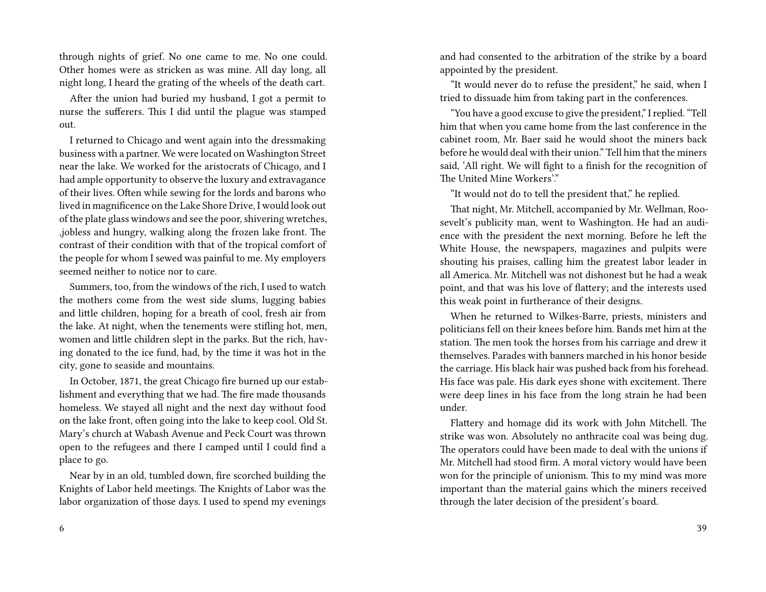through nights of grief. No one came to me. No one could. Other homes were as stricken as was mine. All day long, all night long, I heard the grating of the wheels of the death cart.

After the union had buried my husband, I got a permit to nurse the sufferers. This I did until the plague was stamped out.

I returned to Chicago and went again into the dressmaking business with a partner. We were located on Washington Street near the lake. We worked for the aristocrats of Chicago, and I had ample opportunity to observe the luxury and extravagance of their lives. Often while sewing for the lords and barons who lived in magnificence on the Lake Shore Drive, I would look out of the plate glass windows and see the poor, shivering wretches, ,jobless and hungry, walking along the frozen lake front. The contrast of their condition with that of the tropical comfort of the people for whom I sewed was painful to me. My employers seemed neither to notice nor to care.

Summers, too, from the windows of the rich, I used to watch the mothers come from the west side slums, lugging babies and little children, hoping for a breath of cool, fresh air from the lake. At night, when the tenements were stifling hot, men, women and little children slept in the parks. But the rich, having donated to the ice fund, had, by the time it was hot in the city, gone to seaside and mountains.

In October, 1871, the great Chicago fire burned up our establishment and everything that we had. The fire made thousands homeless. We stayed all night and the next day without food on the lake front, often going into the lake to keep cool. Old St. Mary's church at Wabash Avenue and Peck Court was thrown open to the refugees and there I camped until I could find a place to go.

Near by in an old, tumbled down, fire scorched building the Knights of Labor held meetings. The Knights of Labor was the labor organization of those days. I used to spend my evenings and had consented to the arbitration of the strike by a board appointed by the president.

"It would never do to refuse the president," he said, when I tried to dissuade him from taking part in the conferences.

"You have a good excuse to give the president," I replied. "Tell him that when you came home from the last conference in the cabinet room, Mr. Baer said he would shoot the miners back before he would deal with their union." Tell him that the miners said, 'All right. We will fight to a finish for the recognition of The United Mine Workers'."

"It would not do to tell the president that," he replied.

That night, Mr. Mitchell, accompanied by Mr. Wellman, Roosevelt's publicity man, went to Washington. He had an audience with the president the next morning. Before he left the White House, the newspapers, magazines and pulpits were shouting his praises, calling him the greatest labor leader in all America. Mr. Mitchell was not dishonest but he had a weak point, and that was his love of flattery; and the interests used this weak point in furtherance of their designs.

When he returned to Wilkes-Barre, priests, ministers and politicians fell on their knees before him. Bands met him at the station. The men took the horses from his carriage and drew it themselves. Parades with banners marched in his honor beside the carriage. His black hair was pushed back from his forehead. His face was pale. His dark eyes shone with excitement. There were deep lines in his face from the long strain he had been under.

Flattery and homage did its work with John Mitchell. The strike was won. Absolutely no anthracite coal was being dug. The operators could have been made to deal with the unions if Mr. Mitchell had stood firm. A moral victory would have been won for the principle of unionism. This to my mind was more important than the material gains which the miners received through the later decision of the president's board.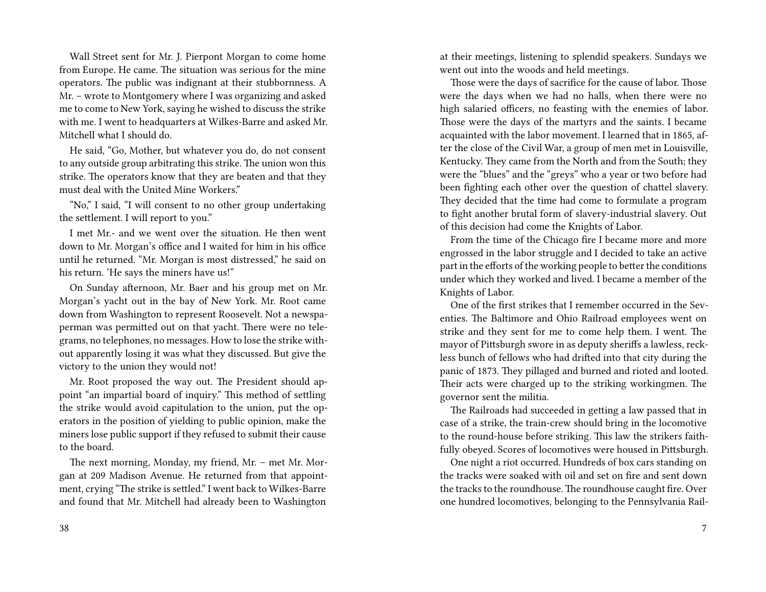Wall Street sent for Mr. J. Pierpont Morgan to come home from Europe. He came. The situation was serious for the mine operators. The public was indignant at their stubbornness. A Mr. – wrote to Montgomery where I was organizing and asked me to come to New York, saying he wished to discuss the strike with me. I went to headquarters at Wilkes-Barre and asked Mr. Mitchell what I should do.

He said, "Go, Mother, but whatever you do, do not consent to any outside group arbitrating this strike. The union won this strike. The operators know that they are beaten and that they must deal with the United Mine Workers."

"No," I said, "I will consent to no other group undertaking the settlement. I will report to you."

I met Mr.- and we went over the situation. He then went down to Mr. Morgan's office and I waited for him in his office until he returned. "Mr. Morgan is most distressed," he said on his return. 'He says the miners have us!"

On Sunday afternoon, Mr. Baer and his group met on Mr. Morgan's yacht out in the bay of New York. Mr. Root came down from Washington to represent Roosevelt. Not a newspaperman was permitted out on that yacht. There were no telegrams, no telephones, no messages. How to lose the strike without apparently losing it was what they discussed. But give the victory to the union they would not!

Mr. Root proposed the way out. The President should appoint "an impartial board of inquiry." This method of settling the strike would avoid capitulation to the union, put the operators in the position of yielding to public opinion, make the miners lose public support if they refused to submit their cause to the board.

The next morning, Monday, my friend, Mr. – met Mr. Morgan at 209 Madison Avenue. He returned from that appointment, crying "The strike is settled." I went back to Wilkes-Barre and found that Mr. Mitchell had already been to Washington

at their meetings, listening to splendid speakers. Sundays we went out into the woods and held meetings.

Those were the days of sacrifice for the cause of labor. Those were the days when we had no halls, when there were no high salaried officers, no feasting with the enemies of labor. Those were the days of the martyrs and the saints. I became acquainted with the labor movement. I learned that in 1865, after the close of the Civil War, a group of men met in Louisville, Kentucky. They came from the North and from the South; they were the "blues" and the "greys" who a year or two before had been fighting each other over the question of chattel slavery. They decided that the time had come to formulate a program to fight another brutal form of slavery-industrial slavery. Out of this decision had come the Knights of Labor.

From the time of the Chicago fire I became more and more engrossed in the labor struggle and I decided to take an active part in the efforts of the working people to better the conditions under which they worked and lived. I became a member of the Knights of Labor.

One of the first strikes that I remember occurred in the Seventies. The Baltimore and Ohio Railroad employees went on strike and they sent for me to come help them. I went. The mayor of Pittsburgh swore in as deputy sheriffs a lawless, reckless bunch of fellows who had drifted into that city during the panic of 1873. They pillaged and burned and rioted and looted. Their acts were charged up to the striking workingmen. The governor sent the militia.

The Railroads had succeeded in getting a law passed that in case of a strike, the train-crew should bring in the locomotive to the round-house before striking. This law the strikers faithfully obeyed. Scores of locomotives were housed in Pittsburgh.

One night a riot occurred. Hundreds of box cars standing on the tracks were soaked with oil and set on fire and sent down the tracks to the roundhouse. The roundhouse caught fire. Over one hundred locomotives, belonging to the Pennsylvania Rail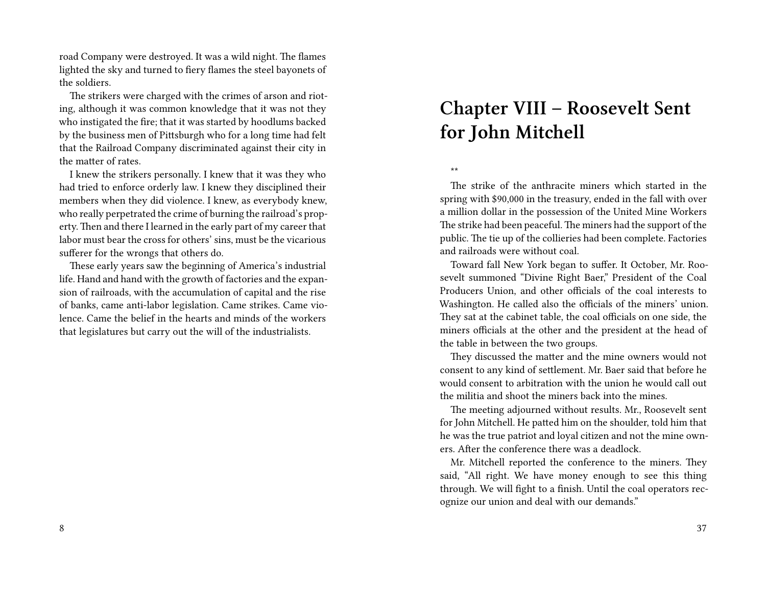road Company were destroyed. It was a wild night. The flames lighted the sky and turned to fiery flames the steel bayonets of the soldiers.

The strikers were charged with the crimes of arson and rioting, although it was common knowledge that it was not they who instigated the fire; that it was started by hoodlums backed by the business men of Pittsburgh who for a long time had felt that the Railroad Company discriminated against their city in the matter of rates.

I knew the strikers personally. I knew that it was they who had tried to enforce orderly law. I knew they disciplined their members when they did violence. I knew, as everybody knew, who really perpetrated the crime of burning the railroad's property. Then and there I learned in the early part of my career that labor must bear the cross for others' sins, must be the vicarious sufferer for the wrongs that others do.

These early years saw the beginning of America's industrial life. Hand and hand with the growth of factories and the expansion of railroads, with the accumulation of capital and the rise of banks, came anti-labor legislation. Came strikes. Came violence. Came the belief in the hearts and minds of the workers that legislatures but carry out the will of the industrialists.

# **Chapter VIII – Roosevelt Sent for John Mitchell**

#### \*\*

The strike of the anthracite miners which started in the spring with \$90,000 in the treasury, ended in the fall with over a million dollar in the possession of the United Mine Workers The strike had been peaceful. The miners had the support of the public. The tie up of the collieries had been complete. Factories and railroads were without coal.

Toward fall New York began to suffer. It October, Mr. Roosevelt summoned "Divine Right Baer," President of the Coal Producers Union, and other officials of the coal interests to Washington. He called also the officials of the miners' union. They sat at the cabinet table, the coal officials on one side, the miners officials at the other and the president at the head of the table in between the two groups.

They discussed the matter and the mine owners would not consent to any kind of settlement. Mr. Baer said that before he would consent to arbitration with the union he would call out the militia and shoot the miners back into the mines.

The meeting adjourned without results. Mr., Roosevelt sent for John Mitchell. He patted him on the shoulder, told him that he was the true patriot and loyal citizen and not the mine owners. After the conference there was a deadlock.

Mr. Mitchell reported the conference to the miners. They said, "All right. We have money enough to see this thing through. We will fight to a finish. Until the coal operators recognize our union and deal with our demands."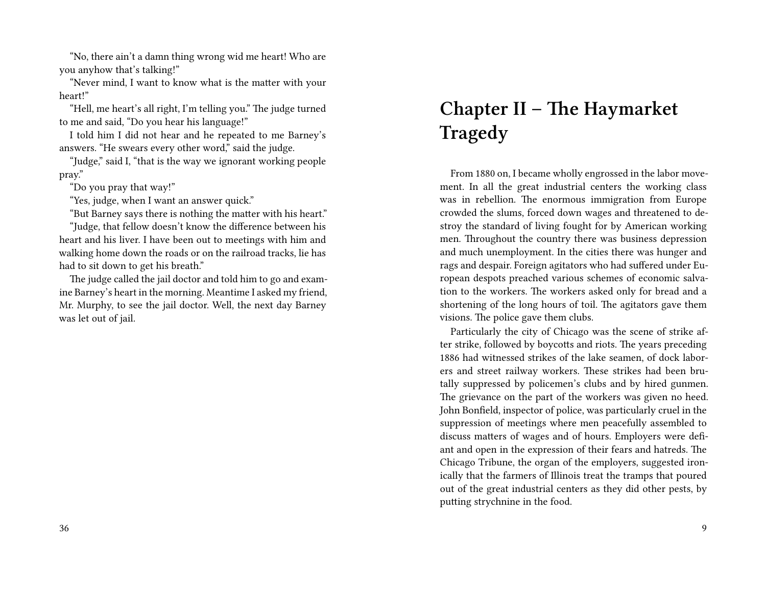"No, there ain't a damn thing wrong wid me heart! Who are you anyhow that's talking!"

"Never mind, I want to know what is the matter with your heart!"

"Hell, me heart's all right, I'm telling you." The judge turned to me and said, "Do you hear his language!"

I told him I did not hear and he repeated to me Barney's answers. "He swears every other word," said the judge.

"Judge," said I, "that is the way we ignorant working people pray."

"Do you pray that way!"

"Yes, judge, when I want an answer quick."

"But Barney says there is nothing the matter with his heart."

"Judge, that fellow doesn't know the difference between his heart and his liver. I have been out to meetings with him and walking home down the roads or on the railroad tracks, lie has had to sit down to get his breath."

The judge called the jail doctor and told him to go and examine Barney's heart in the morning. Meantime I asked my friend, Mr. Murphy, to see the jail doctor. Well, the next day Barney was let out of jail.

# **Chapter II – The Haymarket Tragedy**

From 1880 on, I became wholly engrossed in the labor movement. In all the great industrial centers the working class was in rebellion. The enormous immigration from Europe crowded the slums, forced down wages and threatened to destroy the standard of living fought for by American working men. Throughout the country there was business depression and much unemployment. In the cities there was hunger and rags and despair. Foreign agitators who had suffered under European despots preached various schemes of economic salvation to the workers. The workers asked only for bread and a shortening of the long hours of toil. The agitators gave them visions. The police gave them clubs.

Particularly the city of Chicago was the scene of strike after strike, followed by boycotts and riots. The years preceding 1886 had witnessed strikes of the lake seamen, of dock laborers and street railway workers. These strikes had been brutally suppressed by policemen's clubs and by hired gunmen. The grievance on the part of the workers was given no heed. John Bonfield, inspector of police, was particularly cruel in the suppression of meetings where men peacefully assembled to discuss matters of wages and of hours. Employers were defiant and open in the expression of their fears and hatreds. The Chicago Tribune, the organ of the employers, suggested ironically that the farmers of Illinois treat the tramps that poured out of the great industrial centers as they did other pests, by putting strychnine in the food.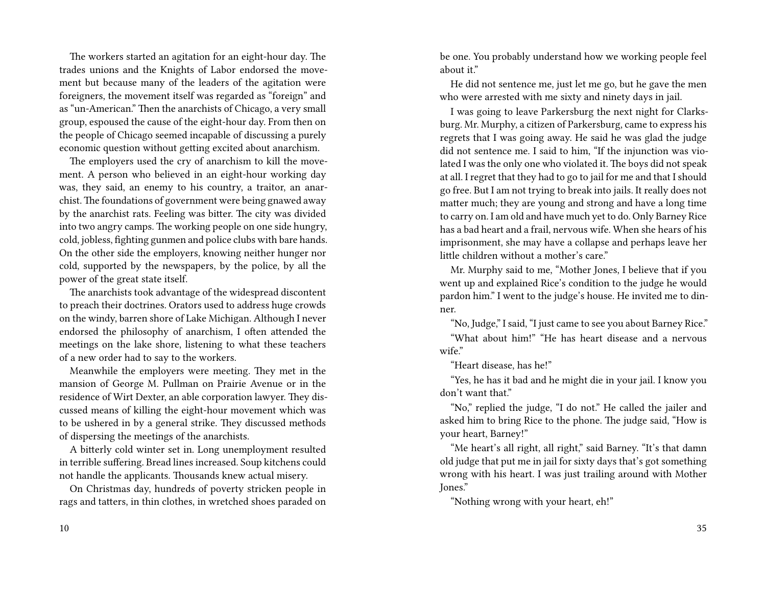The workers started an agitation for an eight-hour day. The trades unions and the Knights of Labor endorsed the movement but because many of the leaders of the agitation were foreigners, the movement itself was regarded as "foreign" and as "un-American." Then the anarchists of Chicago, a very small group, espoused the cause of the eight-hour day. From then on the people of Chicago seemed incapable of discussing a purely economic question without getting excited about anarchism.

The employers used the cry of anarchism to kill the movement. A person who believed in an eight-hour working day was, they said, an enemy to his country, a traitor, an anarchist.The foundations of government were being gnawed away by the anarchist rats. Feeling was bitter. The city was divided into two angry camps. The working people on one side hungry, cold, jobless, fighting gunmen and police clubs with bare hands. On the other side the employers, knowing neither hunger nor cold, supported by the newspapers, by the police, by all the power of the great state itself.

The anarchists took advantage of the widespread discontent to preach their doctrines. Orators used to address huge crowds on the windy, barren shore of Lake Michigan. Although I never endorsed the philosophy of anarchism, I often attended the meetings on the lake shore, listening to what these teachers of a new order had to say to the workers.

Meanwhile the employers were meeting. They met in the mansion of George M. Pullman on Prairie Avenue or in the residence of Wirt Dexter, an able corporation lawyer. They discussed means of killing the eight-hour movement which was to be ushered in by a general strike. They discussed methods of dispersing the meetings of the anarchists.

A bitterly cold winter set in. Long unemployment resulted in terrible suffering. Bread lines increased. Soup kitchens could not handle the applicants. Thousands knew actual misery.

On Christmas day, hundreds of poverty stricken people in rags and tatters, in thin clothes, in wretched shoes paraded on be one. You probably understand how we working people feel about it."

He did not sentence me, just let me go, but he gave the men who were arrested with me sixty and ninety days in jail.

I was going to leave Parkersburg the next night for Clarksburg. Mr. Murphy, a citizen of Parkersburg, came to express his regrets that I was going away. He said he was glad the judge did not sentence me. I said to him, "If the injunction was violated I was the only one who violated it. The boys did not speak at all. I regret that they had to go to jail for me and that I should go free. But I am not trying to break into jails. It really does not matter much; they are young and strong and have a long time to carry on. I am old and have much yet to do. Only Barney Rice has a bad heart and a frail, nervous wife. When she hears of his imprisonment, she may have a collapse and perhaps leave her little children without a mother's care."

Mr. Murphy said to me, "Mother Jones, I believe that if you went up and explained Rice's condition to the judge he would pardon him." I went to the judge's house. He invited me to dinner.

"No, Judge," I said, "I just came to see you about Barney Rice." "What about him!" "He has heart disease and a nervous

wife."

"Heart disease, has he!"

"Yes, he has it bad and he might die in your jail. I know you don't want that."

"No," replied the judge, "I do not." He called the jailer and asked him to bring Rice to the phone. The judge said, "How is your heart, Barney!"

"Me heart's all right, all right," said Barney. "It's that damn old judge that put me in jail for sixty days that's got something wrong with his heart. I was just trailing around with Mother Jones."

"Nothing wrong with your heart, eh!"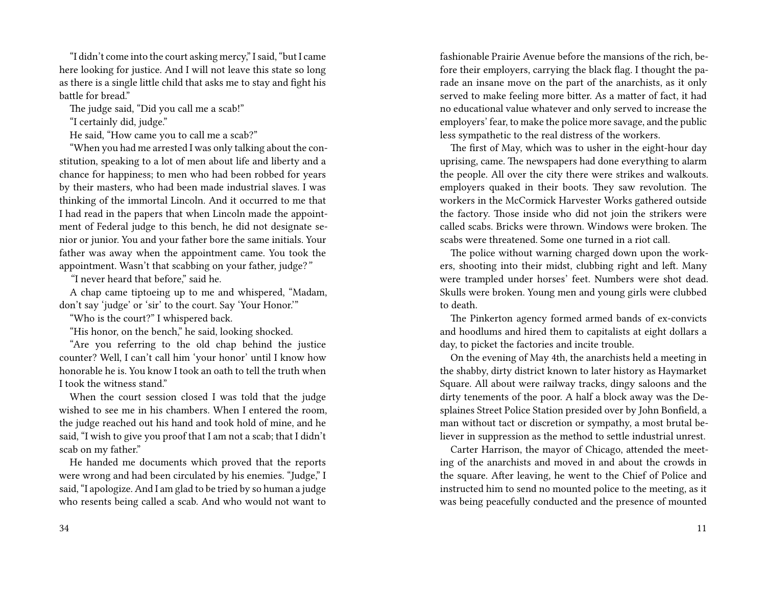"I didn't come into the court asking mercy," I said, "but I came here looking for justice. And I will not leave this state so long as there is a single little child that asks me to stay and fight his battle for bread."

The judge said, "Did you call me a scab!"

"I certainly did, judge."

He said, "How came you to call me a scab?"

"When you had me arrested I was only talking about the constitution, speaking to a lot of men about life and liberty and a chance for happiness; to men who had been robbed for years by their masters, who had been made industrial slaves. I was thinking of the immortal Lincoln. And it occurred to me that I had read in the papers that when Lincoln made the appointment of Federal judge to this bench, he did not designate senior or junior. You and your father bore the same initials. Your father was away when the appointment came. You took the appointment. Wasn't that scabbing on your father, judge?*"*

*"*I never heard that before," said he.

A chap came tiptoeing up to me and whispered, "Madam, don't say 'judge' or 'sir' to the court. Say 'Your Honor.'"

"Who is the court?" I whispered back.

"His honor, on the bench," he said, looking shocked.

"Are you referring to the old chap behind the justice counter? Well, I can't call him 'your honor' until I know how honorable he is. You know I took an oath to tell the truth when I took the witness stand"

When the court session closed I was told that the judge wished to see me in his chambers. When I entered the room, the judge reached out his hand and took hold of mine, and he said, "I wish to give you proof that I am not a scab; that I didn't scab on my father."

He handed me documents which proved that the reports were wrong and had been circulated by his enemies. "Judge," I said, "I apologize. And I am glad to be tried by so human a judge who resents being called a scab. And who would not want to fashionable Prairie Avenue before the mansions of the rich, before their employers, carrying the black flag. I thought the parade an insane move on the part of the anarchists, as it only served to make feeling more bitter. As a matter of fact, it had no educational value whatever and only served to increase the employers' fear, to make the police more savage, and the public less sympathetic to the real distress of the workers.

The first of May, which was to usher in the eight-hour day uprising, came. The newspapers had done everything to alarm the people. All over the city there were strikes and walkouts. employers quaked in their boots. They saw revolution. The workers in the McCormick Harvester Works gathered outside the factory. Those inside who did not join the strikers were called scabs. Bricks were thrown. Windows were broken. The scabs were threatened. Some one turned in a riot call.

The police without warning charged down upon the workers, shooting into their midst, clubbing right and left. Many were trampled under horses' feet. Numbers were shot dead. Skulls were broken. Young men and young girls were clubbed to death.

The Pinkerton agency formed armed bands of ex-convicts and hoodlums and hired them to capitalists at eight dollars a day, to picket the factories and incite trouble.

On the evening of May 4th, the anarchists held a meeting in the shabby, dirty district known to later history as Haymarket Square. All about were railway tracks, dingy saloons and the dirty tenements of the poor. A half a block away was the Desplaines Street Police Station presided over by John Bonfield, a man without tact or discretion or sympathy, a most brutal believer in suppression as the method to settle industrial unrest.

Carter Harrison, the mayor of Chicago, attended the meeting of the anarchists and moved in and about the crowds in the square. After leaving, he went to the Chief of Police and instructed him to send no mounted police to the meeting, as it was being peacefully conducted and the presence of mounted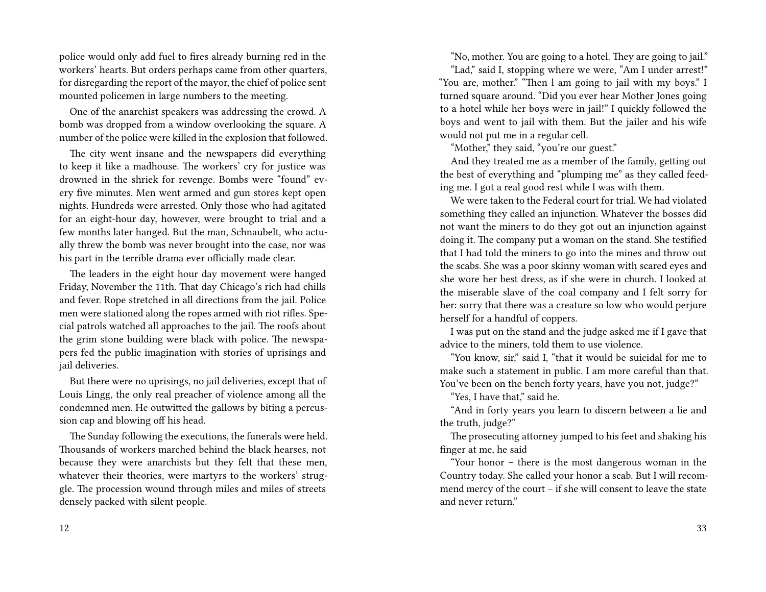police would only add fuel to fires already burning red in the workers' hearts. But orders perhaps came from other quarters, for disregarding the report of the mayor, the chief of police sent mounted policemen in large numbers to the meeting.

One of the anarchist speakers was addressing the crowd. A bomb was dropped from a window overlooking the square. A number of the police were killed in the explosion that followed.

The city went insane and the newspapers did everything to keep it like a madhouse. The workers' cry for justice was drowned in the shriek for revenge. Bombs were "found" every five minutes. Men went armed and gun stores kept open nights. Hundreds were arrested. Only those who had agitated for an eight-hour day, however, were brought to trial and a few months later hanged. But the man, Schnaubelt, who actually threw the bomb was never brought into the case, nor was his part in the terrible drama ever officially made clear.

The leaders in the eight hour day movement were hanged Friday, November the 11th. That day Chicago's rich had chills and fever. Rope stretched in all directions from the jail. Police men were stationed along the ropes armed with riot rifles. Special patrols watched all approaches to the jail. The roofs about the grim stone building were black with police. The newspapers fed the public imagination with stories of uprisings and jail deliveries.

But there were no uprisings, no jail deliveries, except that of Louis Lingg, the only real preacher of violence among all the condemned men. He outwitted the gallows by biting a percussion cap and blowing off his head.

The Sunday following the executions, the funerals were held. Thousands of workers marched behind the black hearses, not because they were anarchists but they felt that these men, whatever their theories, were martyrs to the workers' struggle. The procession wound through miles and miles of streets densely packed with silent people.

"No, mother. You are going to a hotel. They are going to jail."

"Lad," said I, stopping where we were, "Am I under arrest!" "You are, mother." "Then l am going to jail with my boys." I turned square around. "Did you ever hear Mother Jones going to a hotel while her boys were in jail!" I quickly followed the boys and went to jail with them. But the jailer and his wife would not put me in a regular cell.

"Mother," they said, "you're our guest."

And they treated me as a member of the family, getting out the best of everything and "plumping me" as they called feeding me. I got a real good rest while I was with them.

We were taken to the Federal court for trial. We had violated something they called an injunction. Whatever the bosses did not want the miners to do they got out an injunction against doing it. The company put a woman on the stand. She testified that I had told the miners to go into the mines and throw out the scabs. She was a poor skinny woman with scared eyes and she wore her best dress, as if she were in church. I looked at the miserable slave of the coal company and I felt sorry for her: sorry that there was a creature so low who would perjure herself for a handful of coppers.

I was put on the stand and the judge asked me if I gave that advice to the miners, told them to use violence.

"You know, sir," said I, "that it would be suicidal for me to make such a statement in public. I am more careful than that. You've been on the bench forty years, have you not, judge?"

"Yes, I have that," said he.

"And in forty years you learn to discern between a lie and the truth, judge?"

The prosecuting attorney jumped to his feet and shaking his finger at me, he said

"Your honor – there is the most dangerous woman in the Country today. She called your honor a scab. But I will recommend mercy of the court – if she will consent to leave the state and never return."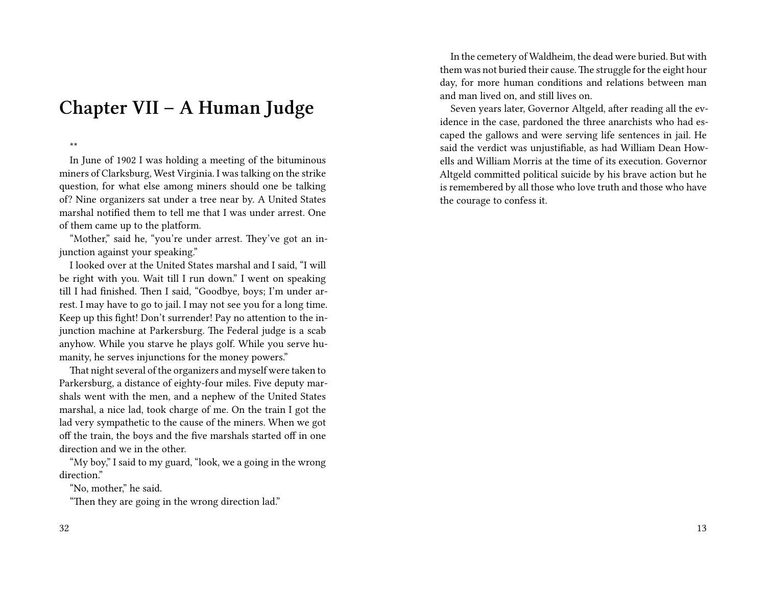### **Chapter VII – A Human Judge**

\*\*

In June of 1902 I was holding a meeting of the bituminous miners of Clarksburg, West Virginia. I was talking on the strike question, for what else among miners should one be talking of? Nine organizers sat under a tree near by. A United States marshal notified them to tell me that I was under arrest. One of them came up to the platform.

"Mother," said he, "you're under arrest. They've got an injunction against your speaking."

I looked over at the United States marshal and I said, "I will be right with you. Wait till I run down." I went on speaking till I had finished. Then I said, "Goodbye, boys; I'm under arrest. I may have to go to jail. I may not see you for a long time. Keep up this fight! Don't surrender! Pay no attention to the injunction machine at Parkersburg. The Federal judge is a scab anyhow. While you starve he plays golf. While you serve humanity, he serves injunctions for the money powers."

That night several of the organizers and myself were taken to Parkersburg, a distance of eighty-four miles. Five deputy marshals went with the men, and a nephew of the United States marshal, a nice lad, took charge of me. On the train I got the lad very sympathetic to the cause of the miners. When we got off the train, the boys and the five marshals started off in one direction and we in the other.

"My boy," I said to my guard, "look, we a going in the wrong direction."

"No, mother," he said.

"Then they are going in the wrong direction lad."

In the cemetery of Waldheim, the dead were buried. But with them was not buried their cause. The struggle for the eight hour day, for more human conditions and relations between man and man lived on, and still lives on.

Seven years later, Governor Altgeld, after reading all the evidence in the case, pardoned the three anarchists who had escaped the gallows and were serving life sentences in jail. He said the verdict was unjustifiable, as had William Dean Howells and William Morris at the time of its execution. Governor Altgeld committed political suicide by his brave action but he is remembered by all those who love truth and those who have the courage to confess it.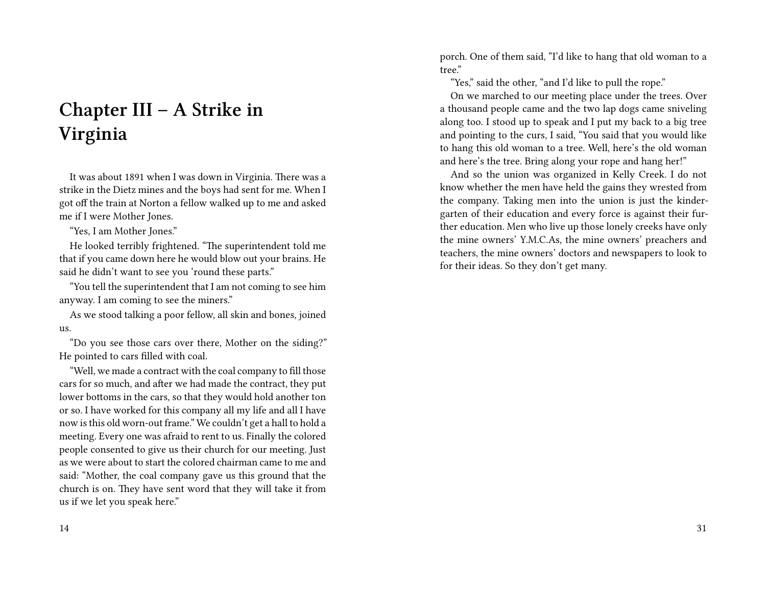# **Chapter III – A Strike in Virginia**

It was about 1891 when I was down in Virginia. There was a strike in the Dietz mines and the boys had sent for me. When I got off the train at Norton a fellow walked up to me and asked me if I were Mother Jones.

"Yes, I am Mother Jones."

He looked terribly frightened. "The superintendent told me that if you came down here he would blow out your brains. He said he didn't want to see you 'round these parts."

"You tell the superintendent that I am not coming to see him anyway. I am coming to see the miners."

As we stood talking a poor fellow, all skin and bones, joined us.

"Do you see those cars over there, Mother on the siding?" He pointed to cars filled with coal.

"Well, we made a contract with the coal company to fill those cars for so much, and after we had made the contract, they put lower bottoms in the cars, so that they would hold another ton or so. I have worked for this company all my life and all I have now is this old worn-out frame." We couldn't get a hall to hold a meeting. Every one was afraid to rent to us. Finally the colored people consented to give us their church for our meeting. Just as we were about to start the colored chairman came to me and said: "Mother, the coal company gave us this ground that the church is on. They have sent word that they will take it from us if we let you speak here."

14

porch. One of them said, "I'd like to hang that old woman to a tree."

"Yes," said the other, "and I'd like to pull the rope."

On we marched to our meeting place under the trees. Over a thousand people came and the two lap dogs came sniveling along too. I stood up to speak and I put my back to a big tree and pointing to the curs, I said, "You said that you would like to hang this old woman to a tree. Well, here's the old woman and here's the tree. Bring along your rope and hang her!"

And so the union was organized in Kelly Creek. I do not know whether the men have held the gains they wrested from the company. Taking men into the union is just the kindergarten of their education and every force is against their further education. Men who live up those lonely creeks have only the mine owners' Y.M.C.As, the mine owners' preachers and teachers, the mine owners' doctors and newspapers to look to for their ideas. So they don't get many.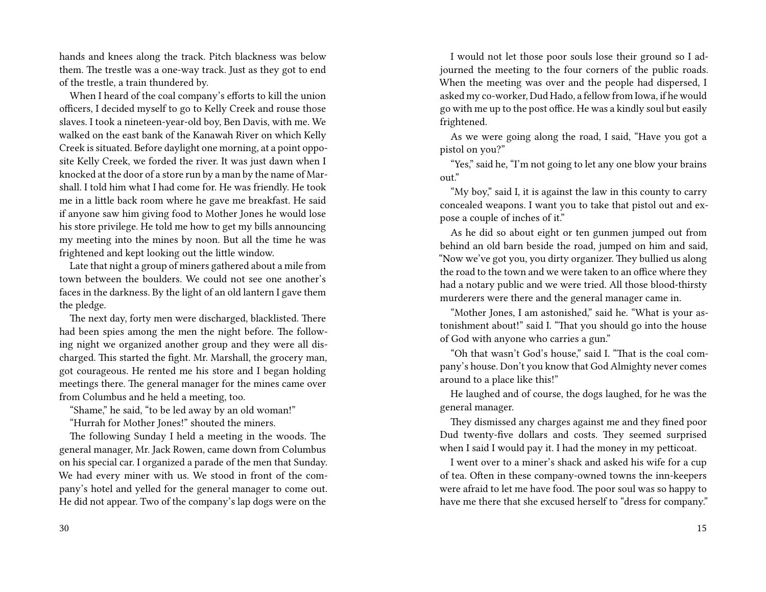hands and knees along the track. Pitch blackness was below them. The trestle was a one-way track. Just as they got to end of the trestle, a train thundered by.

When I heard of the coal company's efforts to kill the union officers, I decided myself to go to Kelly Creek and rouse those slaves. I took a nineteen-year-old boy, Ben Davis, with me. We walked on the east bank of the Kanawah River on which Kelly Creek is situated. Before daylight one morning, at a point opposite Kelly Creek, we forded the river. It was just dawn when I knocked at the door of a store run by a man by the name of Marshall. I told him what I had come for. He was friendly. He took me in a little back room where he gave me breakfast. He said if anyone saw him giving food to Mother Jones he would lose his store privilege. He told me how to get my bills announcing my meeting into the mines by noon. But all the time he was frightened and kept looking out the little window.

Late that night a group of miners gathered about a mile from town between the boulders. We could not see one another's faces in the darkness. By the light of an old lantern I gave them the pledge.

The next day, forty men were discharged, blacklisted. There had been spies among the men the night before. The following night we organized another group and they were all discharged. This started the fight. Mr. Marshall, the grocery man, got courageous. He rented me his store and I began holding meetings there. The general manager for the mines came over from Columbus and he held a meeting, too.

"Shame," he said, "to be led away by an old woman!"

"Hurrah for Mother Jones!" shouted the miners.

The following Sunday I held a meeting in the woods. The general manager, Mr. Jack Rowen, came down from Columbus on his special car. I organized a parade of the men that Sunday. We had every miner with us. We stood in front of the company's hotel and yelled for the general manager to come out. He did not appear. Two of the company's lap dogs were on the

I would not let those poor souls lose their ground so I adjourned the meeting to the four corners of the public roads. When the meeting was over and the people had dispersed, I asked my co-worker, Dud Hado, a fellow from Iowa, if he would go with me up to the post office. He was a kindly soul but easily frightened.

As we were going along the road, I said, "Have you got a pistol on you?"

"Yes," said he, "I'm not going to let any one blow your brains out."

"My boy," said I, it is against the law in this county to carry concealed weapons. I want you to take that pistol out and expose a couple of inches of it."

As he did so about eight or ten gunmen jumped out from behind an old barn beside the road, jumped on him and said, "Now we've got you, you dirty organizer. They bullied us along the road to the town and we were taken to an office where they had a notary public and we were tried. All those blood-thirsty murderers were there and the general manager came in.

"Mother Jones, I am astonished," said he. "What is your astonishment about!" said I. "That you should go into the house of God with anyone who carries a gun."

"Oh that wasn't God's house," said I. "That is the coal company's house. Don't you know that God Almighty never comes around to a place like this!"

He laughed and of course, the dogs laughed, for he was the general manager.

They dismissed any charges against me and they fined poor Dud twenty-five dollars and costs. They seemed surprised when I said I would pay it. I had the money in my petticoat.

I went over to a miner's shack and asked his wife for a cup of tea. Often in these company-owned towns the inn-keepers were afraid to let me have food. The poor soul was so happy to have me there that she excused herself to "dress for company."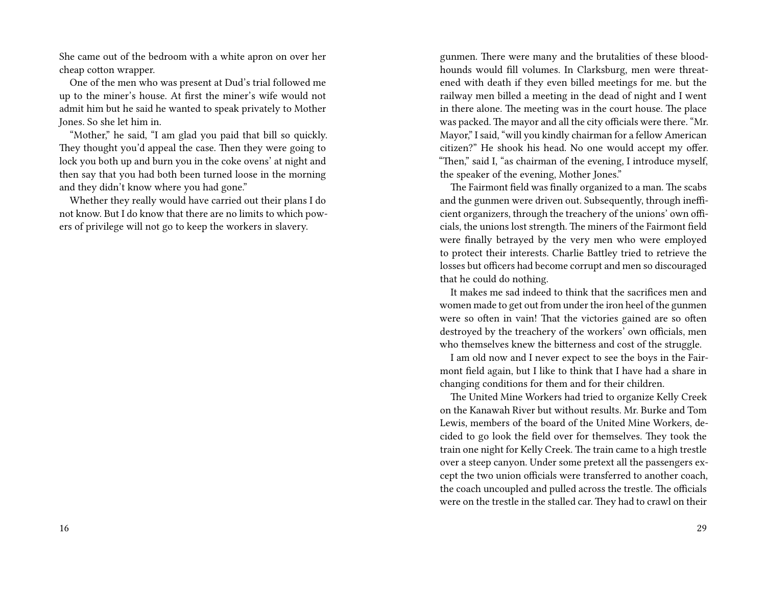She came out of the bedroom with a white apron on over her cheap cotton wrapper.

One of the men who was present at Dud's trial followed me up to the miner's house. At first the miner's wife would not admit him but he said he wanted to speak privately to Mother Jones. So she let him in.

"Mother," he said, "I am glad you paid that bill so quickly. They thought you'd appeal the case. Then they were going to lock you both up and burn you in the coke ovens' at night and then say that you had both been turned loose in the morning and they didn't know where you had gone."

Whether they really would have carried out their plans I do not know. But I do know that there are no limits to which powers of privilege will not go to keep the workers in slavery.

gunmen. There were many and the brutalities of these bloodhounds would fill volumes. In Clarksburg, men were threatened with death if they even billed meetings for me. but the railway men billed a meeting in the dead of night and I went in there alone. The meeting was in the court house. The place was packed. The mayor and all the city officials were there. "Mr. Mayor," I said, "will you kindly chairman for a fellow American citizen?" He shook his head. No one would accept my offer. "Then," said I, "as chairman of the evening, I introduce myself, the speaker of the evening, Mother Jones."

The Fairmont field was finally organized to a man. The scabs and the gunmen were driven out. Subsequently, through inefficient organizers, through the treachery of the unions' own officials, the unions lost strength. The miners of the Fairmont field were finally betrayed by the very men who were employed to protect their interests. Charlie Battley tried to retrieve the losses but officers had become corrupt and men so discouraged that he could do nothing.

It makes me sad indeed to think that the sacrifices men and women made to get out from under the iron heel of the gunmen were so often in vain! That the victories gained are so often destroyed by the treachery of the workers' own officials, men who themselves knew the bitterness and cost of the struggle.

I am old now and I never expect to see the boys in the Fairmont field again, but I like to think that I have had a share in changing conditions for them and for their children.

The United Mine Workers had tried to organize Kelly Creek on the Kanawah River but without results. Mr. Burke and Tom Lewis, members of the board of the United Mine Workers, decided to go look the field over for themselves. They took the train one night for Kelly Creek. The train came to a high trestle over a steep canyon. Under some pretext all the passengers except the two union officials were transferred to another coach, the coach uncoupled and pulled across the trestle. The officials were on the trestle in the stalled car. They had to crawl on their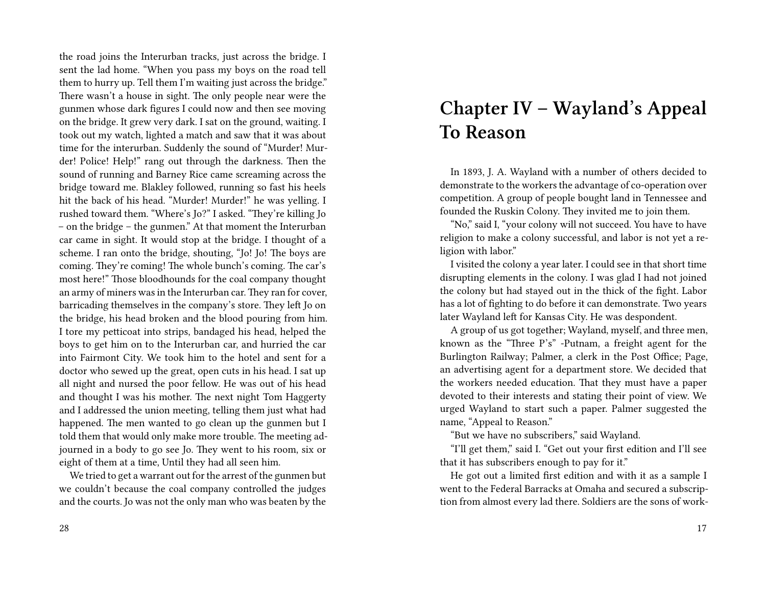the road joins the Interurban tracks, just across the bridge. I sent the lad home. "When you pass my boys on the road tell them to hurry up. Tell them I'm waiting just across the bridge." There wasn't a house in sight. The only people near were the gunmen whose dark figures I could now and then see moving on the bridge. It grew very dark. I sat on the ground, waiting. I took out my watch, lighted a match and saw that it was about time for the interurban. Suddenly the sound of "Murder! Murder! Police! Help!" rang out through the darkness. Then the sound of running and Barney Rice came screaming across the bridge toward me. Blakley followed, running so fast his heels hit the back of his head. "Murder! Murder!" he was yelling. I rushed toward them. "Where's Jo?" I asked. "They're killing Jo – on the bridge – the gunmen." At that moment the Interurban car came in sight. It would stop at the bridge. I thought of a scheme. I ran onto the bridge, shouting, "Jo! Jo! The boys are coming. They're coming! The whole bunch's coming. The car's most here!" Those bloodhounds for the coal company thought an army of miners was in the Interurban car. They ran for cover, barricading themselves in the company's store. They left Jo on the bridge, his head broken and the blood pouring from him. I tore my petticoat into strips, bandaged his head, helped the boys to get him on to the Interurban car, and hurried the car into Fairmont City. We took him to the hotel and sent for a doctor who sewed up the great, open cuts in his head. I sat up all night and nursed the poor fellow. He was out of his head and thought I was his mother. The next night Tom Haggerty and I addressed the union meeting, telling them just what had happened. The men wanted to go clean up the gunmen but I told them that would only make more trouble. The meeting adjourned in a body to go see Jo. They went to his room, six or eight of them at a time, Until they had all seen him.

We tried to get a warrant out for the arrest of the gunmen but we couldn't because the coal company controlled the judges and the courts. Jo was not the only man who was beaten by the

#### 28

## **Chapter IV – Wayland's Appeal To Reason**

In 1893, J. A. Wayland with a number of others decided to demonstrate to the workers the advantage of co-operation over competition. A group of people bought land in Tennessee and founded the Ruskin Colony. They invited me to join them.

"No," said I, "your colony will not succeed. You have to have religion to make a colony successful, and labor is not yet a religion with labor."

I visited the colony a year later. I could see in that short time disrupting elements in the colony. I was glad I had not joined the colony but had stayed out in the thick of the fight. Labor has a lot of fighting to do before it can demonstrate. Two years later Wayland left for Kansas City. He was despondent.

A group of us got together; Wayland, myself, and three men, known as the "Three P's" -Putnam, a freight agent for the Burlington Railway; Palmer, a clerk in the Post Office; Page, an advertising agent for a department store. We decided that the workers needed education. That they must have a paper devoted to their interests and stating their point of view. We urged Wayland to start such a paper. Palmer suggested the name, "Appeal to Reason."

"But we have no subscribers," said Wayland.

"I'll get them," said I. "Get out your first edition and I'll see that it has subscribers enough to pay for it."

He got out a limited first edition and with it as a sample I went to the Federal Barracks at Omaha and secured a subscription from almost every lad there. Soldiers are the sons of work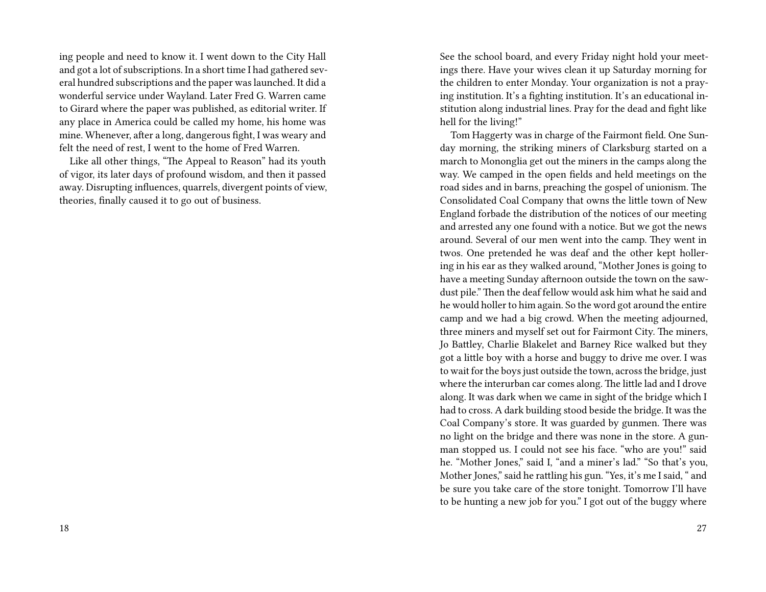ing people and need to know it. I went down to the City Hall and got a lot of subscriptions. In a short time I had gathered several hundred subscriptions and the paper was launched. It did a wonderful service under Wayland. Later Fred G. Warren came to Girard where the paper was published, as editorial writer. If any place in America could be called my home, his home was mine. Whenever, after a long, dangerous fight, I was weary and felt the need of rest, I went to the home of Fred Warren.

Like all other things, "The Appeal to Reason" had its youth of vigor, its later days of profound wisdom, and then it passed away. Disrupting influences, quarrels, divergent points of view, theories, finally caused it to go out of business.

See the school board, and every Friday night hold your meetings there. Have your wives clean it up Saturday morning for the children to enter Monday. Your organization is not a praying institution. It's a fighting institution. It's an educational institution along industrial lines. Pray for the dead and fight like hell for the living!"

Tom Haggerty was in charge of the Fairmont field. One Sunday morning, the striking miners of Clarksburg started on a march to Mononglia get out the miners in the camps along the way. We camped in the open fields and held meetings on the road sides and in barns, preaching the gospel of unionism. The Consolidated Coal Company that owns the little town of New England forbade the distribution of the notices of our meeting and arrested any one found with a notice. But we got the news around. Several of our men went into the camp. They went in twos. One pretended he was deaf and the other kept hollering in his ear as they walked around, "Mother Jones is going to have a meeting Sunday afternoon outside the town on the sawdust pile." Then the deaf fellow would ask him what he said and he would holler to him again. So the word got around the entire camp and we had a big crowd. When the meeting adjourned, three miners and myself set out for Fairmont City. The miners, Jo Battley, Charlie Blakelet and Barney Rice walked but they got a little boy with a horse and buggy to drive me over. I was to wait for the boys just outside the town, across the bridge, just where the interurban car comes along. The little lad and I drove along. It was dark when we came in sight of the bridge which I had to cross. A dark building stood beside the bridge. It was the Coal Company's store. It was guarded by gunmen. There was no light on the bridge and there was none in the store. A gunman stopped us. I could not see his face. "who are you!" said he. "Mother Jones," said I, "and a miner's lad." "So that's you, Mother Jones," said he rattling his gun. "Yes, it's me I said, " and be sure you take care of the store tonight. Tomorrow I'll have to be hunting a new job for you." I got out of the buggy where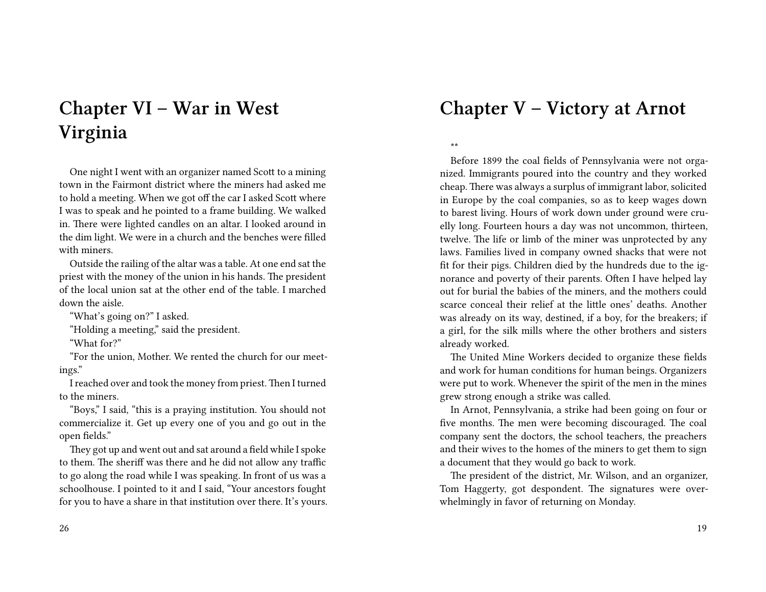# **Chapter VI – War in West Virginia**

One night I went with an organizer named Scott to a mining town in the Fairmont district where the miners had asked me to hold a meeting. When we got off the car I asked Scott where I was to speak and he pointed to a frame building. We walked in. There were lighted candles on an altar. I looked around in the dim light. We were in a church and the benches were filled with miners.

Outside the railing of the altar was a table. At one end sat the priest with the money of the union in his hands. The president of the local union sat at the other end of the table. I marched down the aisle.

"What's going on?" I asked.

"Holding a meeting," said the president.

"What for?"

"For the union, Mother. We rented the church for our meetings."

I reached over and took the money from priest. Then I turned to the miners.

"Boys," I said, "this is a praying institution. You should not commercialize it. Get up every one of you and go out in the open fields."

They got up and went out and sat around a field while I spoke to them. The sheriff was there and he did not allow any traffic to go along the road while I was speaking. In front of us was a schoolhouse. I pointed to it and I said, "Your ancestors fought for you to have a share in that institution over there. It's yours.

### **Chapter V – Victory at Arnot**

\*\*

Before 1899 the coal fields of Pennsylvania were not organized. Immigrants poured into the country and they worked cheap. There was always a surplus of immigrant labor, solicited in Europe by the coal companies, so as to keep wages down to barest living. Hours of work down under ground were cruelly long. Fourteen hours a day was not uncommon, thirteen, twelve. The life or limb of the miner was unprotected by any laws. Families lived in company owned shacks that were not fit for their pigs. Children died by the hundreds due to the ignorance and poverty of their parents. Often I have helped lay out for burial the babies of the miners, and the mothers could scarce conceal their relief at the little ones' deaths. Another was already on its way, destined, if a boy, for the breakers; if a girl, for the silk mills where the other brothers and sisters already worked.

The United Mine Workers decided to organize these fields and work for human conditions for human beings. Organizers were put to work. Whenever the spirit of the men in the mines grew strong enough a strike was called.

In Arnot, Pennsylvania, a strike had been going on four or five months. The men were becoming discouraged. The coal company sent the doctors, the school teachers, the preachers and their wives to the homes of the miners to get them to sign a document that they would go back to work.

The president of the district, Mr. Wilson, and an organizer, Tom Haggerty, got despondent. The signatures were overwhelmingly in favor of returning on Monday.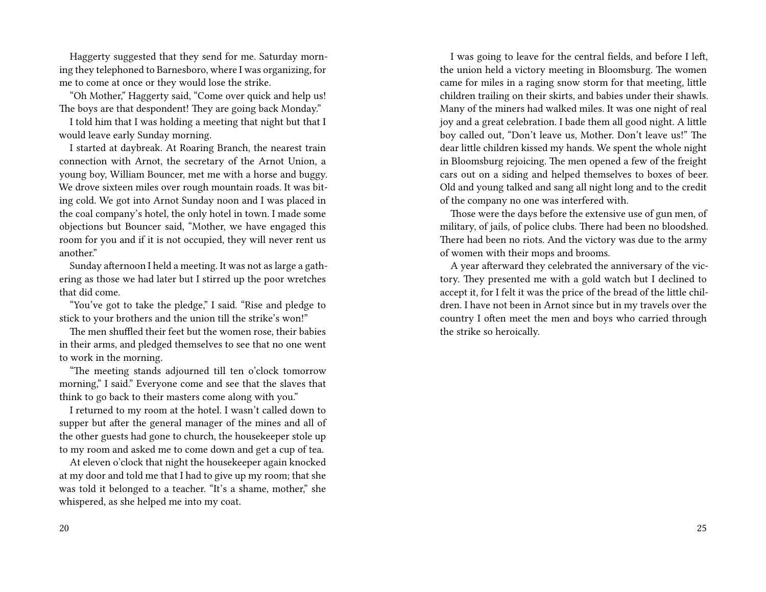Haggerty suggested that they send for me. Saturday morning they telephoned to Barnesboro, where I was organizing, for me to come at once or they would lose the strike.

"Oh Mother," Haggerty said, "Come over quick and help us! The boys are that despondent! They are going back Monday."

I told him that I was holding a meeting that night but that I would leave early Sunday morning.

I started at daybreak. At Roaring Branch, the nearest train connection with Arnot, the secretary of the Arnot Union, a young boy, William Bouncer, met me with a horse and buggy. We drove sixteen miles over rough mountain roads. It was biting cold. We got into Arnot Sunday noon and I was placed in the coal company's hotel, the only hotel in town. I made some objections but Bouncer said, "Mother, we have engaged this room for you and if it is not occupied, they will never rent us another."

Sunday afternoon I held a meeting. It was not as large a gathering as those we had later but I stirred up the poor wretches that did come.

"You've got to take the pledge," I said. "Rise and pledge to stick to your brothers and the union till the strike's won!"

The men shuffled their feet but the women rose, their babies in their arms, and pledged themselves to see that no one went to work in the morning.

"The meeting stands adjourned till ten o'clock tomorrow morning," I said." Everyone come and see that the slaves that think to go back to their masters come along with you."

I returned to my room at the hotel. I wasn't called down to supper but after the general manager of the mines and all of the other guests had gone to church, the housekeeper stole up to my room and asked me to come down and get a cup of tea.

At eleven o'clock that night the housekeeper again knocked at my door and told me that I had to give up my room; that she was told it belonged to a teacher. "It's a shame, mother," she whispered, as she helped me into my coat.

I was going to leave for the central fields, and before I left, the union held a victory meeting in Bloomsburg. The women came for miles in a raging snow storm for that meeting, little children trailing on their skirts, and babies under their shawls. Many of the miners had walked miles. It was one night of real joy and a great celebration. I bade them all good night. A little boy called out, "Don't leave us, Mother. Don't leave us!" The dear little children kissed my hands. We spent the whole night in Bloomsburg rejoicing. The men opened a few of the freight cars out on a siding and helped themselves to boxes of beer. Old and young talked and sang all night long and to the credit of the company no one was interfered with.

Those were the days before the extensive use of gun men, of military, of jails, of police clubs. There had been no bloodshed. There had been no riots. And the victory was due to the army of women with their mops and brooms.

A year afterward they celebrated the anniversary of the victory. They presented me with a gold watch but I declined to accept it, for I felt it was the price of the bread of the little children. I have not been in Arnot since but in my travels over the country I often meet the men and boys who carried through the strike so heroically.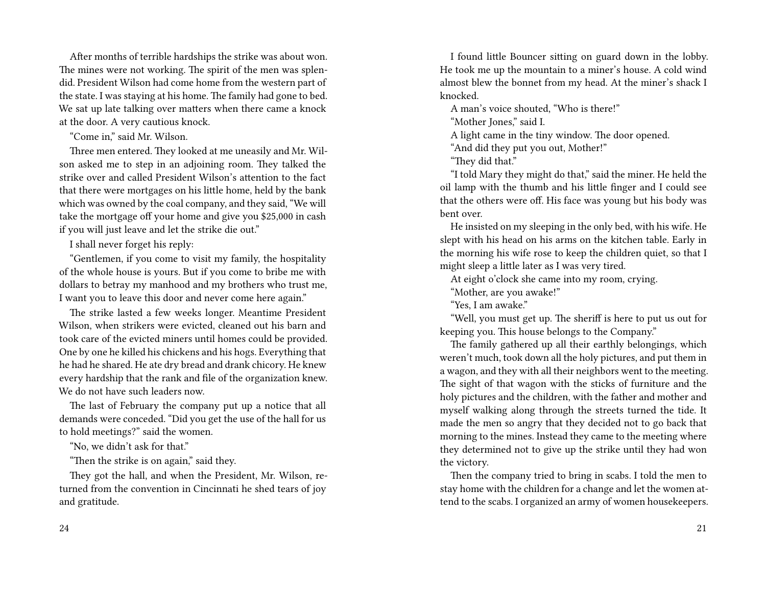After months of terrible hardships the strike was about won. The mines were not working. The spirit of the men was splendid. President Wilson had come home from the western part of the state. I was staying at his home. The family had gone to bed. We sat up late talking over matters when there came a knock at the door. A very cautious knock.

"Come in," said Mr. Wilson.

Three men entered. They looked at me uneasily and Mr. Wilson asked me to step in an adjoining room. They talked the strike over and called President Wilson's attention to the fact that there were mortgages on his little home, held by the bank which was owned by the coal company, and they said, "We will take the mortgage off your home and give you \$25,000 in cash if you will just leave and let the strike die out."

I shall never forget his reply:

"Gentlemen, if you come to visit my family, the hospitality of the whole house is yours. But if you come to bribe me with dollars to betray my manhood and my brothers who trust me, I want you to leave this door and never come here again."

The strike lasted a few weeks longer. Meantime President Wilson, when strikers were evicted, cleaned out his barn and took care of the evicted miners until homes could be provided. One by one he killed his chickens and his hogs. Everything that he had he shared. He ate dry bread and drank chicory. He knew every hardship that the rank and file of the organization knew. We do not have such leaders now.

The last of February the company put up a notice that all demands were conceded. "Did you get the use of the hall for us to hold meetings?" said the women.

"No, we didn't ask for that."

"Then the strike is on again," said they.

They got the hall, and when the President, Mr. Wilson, returned from the convention in Cincinnati he shed tears of joy and gratitude.

I found little Bouncer sitting on guard down in the lobby. He took me up the mountain to a miner's house. A cold wind almost blew the bonnet from my head. At the miner's shack I knocked.

A man's voice shouted, "Who is there!"

"Mother Jones," said I.

A light came in the tiny window. The door opened.

"And did they put you out, Mother!"

"They did that."

"I told Mary they might do that," said the miner. He held the oil lamp with the thumb and his little finger and I could see that the others were off. His face was young but his body was bent over.

He insisted on my sleeping in the only bed, with his wife. He slept with his head on his arms on the kitchen table. Early in the morning his wife rose to keep the children quiet, so that I might sleep a little later as I was very tired.

At eight o'clock she came into my room, crying.

"Mother, are you awake!"

"Yes, I am awake."

"Well, you must get up. The sheriff is here to put us out for keeping you. This house belongs to the Company."

The family gathered up all their earthly belongings, which weren't much, took down all the holy pictures, and put them in a wagon, and they with all their neighbors went to the meeting. The sight of that wagon with the sticks of furniture and the holy pictures and the children, with the father and mother and myself walking along through the streets turned the tide. It made the men so angry that they decided not to go back that morning to the mines. Instead they came to the meeting where they determined not to give up the strike until they had won the victory.

Then the company tried to bring in scabs. I told the men to stay home with the children for a change and let the women attend to the scabs. I organized an army of women housekeepers.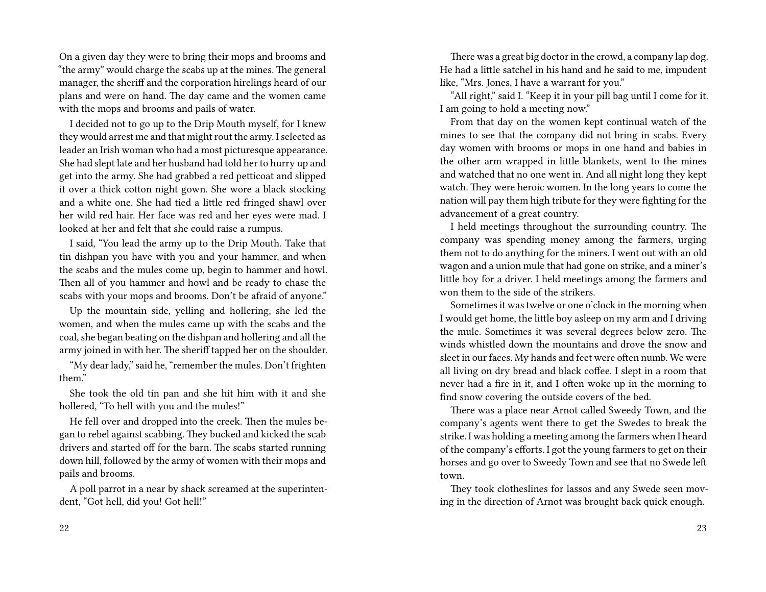On a given day they were to bring their mops and brooms and "the army" would charge the scabs up at the mines. The general manager, the sheriff and the corporation hirelings heard of our plans and were on hand. The day came and the women came with the mops and brooms and pails of water.

I decided not to go up to the Drip Mouth myself, for I knew they would arrest me and that might rout the army. I selected as leader an Irish woman who had a most picturesque appearance. She had slept late and her husband had told her to hurry up and get into the army. She had grabbed a red petticoat and slipped it over a thick cotton night gown. She wore a black stocking and a white one. She had tied a little red fringed shawl over her wild red hair. Her face was red and her eyes were mad. I looked at her and felt that she could raise a rumpus.

I said, "You lead the army up to the Drip Mouth. Take that tin dishpan you have with you and your hammer, and when the scabs and the mules come up, begin to hammer and howl. Then all of you hammer and howl and be ready to chase the scabs with your mops and brooms. Don't be afraid of anyone."

Up the mountain side, yelling and hollering, she led the women, and when the mules came up with the scabs and the coal, she began beating on the dishpan and hollering and all the army joined in with her. The sheriff tapped her on the shoulder.

"My dear lady," said he, "remember the mules. Don't frighten them."

She took the old tin pan and she hit him with it and she hollered, "To hell with you and the mules!"

He fell over and dropped into the creek. Then the mules began to rebel against scabbing. They bucked and kicked the scab drivers and started off for the barn. The scabs started running down hill, followed by the army of women with their mops and pails and brooms.

A poll parrot in a near by shack screamed at the superintendent, "Got hell, did you! Got hell!"

There was a great big doctor in the crowd, a company lap dog. He had a little satchel in his hand and he said to me, impudent like, "Mrs. Jones, I have a warrant for you."

"All right," said I. "Keep it in your pill bag until I come for it. I am going to hold a meeting now."

From that day on the women kept continual watch of the mines to see that the company did not bring in scabs. Every day women with brooms or mops in one hand and babies in the other arm wrapped in little blankets, went to the mines and watched that no one went in. And all night long they kept watch. They were heroic women. In the long years to come the nation will pay them high tribute for they were fighting for the advancement of a great country.

I held meetings throughout the surrounding country. The company was spending money among the farmers, urging them not to do anything for the miners. I went out with an old wagon and a union mule that had gone on strike, and a miner's little boy for a driver. I held meetings among the farmers and won them to the side of the strikers.

Sometimes it was twelve or one o'clock in the morning when I would get home, the little boy asleep on my arm and I driving the mule. Sometimes it was several degrees below zero. The winds whistled down the mountains and drove the snow and sleet in our faces. My hands and feet were often numb. We were all living on dry bread and black coffee. I slept in a room that never had a fire in it, and I often woke up in the morning to find snow covering the outside covers of the bed.

There was a place near Arnot called Sweedy Town, and the company's agents went there to get the Swedes to break the strike. I was holding a meeting among the farmers when I heard of the company's efforts. I got the young farmers to get on their horses and go over to Sweedy Town and see that no Swede left town.

They took clotheslines for lassos and any Swede seen moving in the direction of Arnot was brought back quick enough.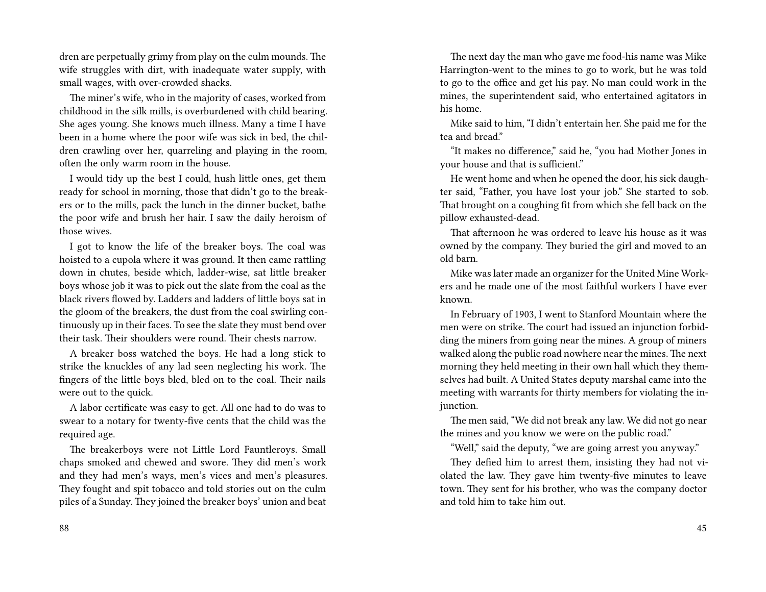dren are perpetually grimy from play on the culm mounds. The wife struggles with dirt, with inadequate water supply, with small wages, with over-crowded shacks.

The miner's wife, who in the majority of cases, worked from childhood in the silk mills, is overburdened with child bearing. She ages young. She knows much illness. Many a time I have been in a home where the poor wife was sick in bed, the children crawling over her, quarreling and playing in the room, often the only warm room in the house.

I would tidy up the best I could, hush little ones, get them ready for school in morning, those that didn't go to the breakers or to the mills, pack the lunch in the dinner bucket, bathe the poor wife and brush her hair. I saw the daily heroism of those wives.

I got to know the life of the breaker boys. The coal was hoisted to a cupola where it was ground. It then came rattling down in chutes, beside which, ladder-wise, sat little breaker boys whose job it was to pick out the slate from the coal as the black rivers flowed by. Ladders and ladders of little boys sat in the gloom of the breakers, the dust from the coal swirling continuously up in their faces. To see the slate they must bend over their task. Their shoulders were round. Their chests narrow.

A breaker boss watched the boys. He had a long stick to strike the knuckles of any lad seen neglecting his work. The fingers of the little boys bled, bled on to the coal. Their nails were out to the quick.

A labor certificate was easy to get. All one had to do was to swear to a notary for twenty-five cents that the child was the required age.

The breakerboys were not Little Lord Fauntleroys. Small chaps smoked and chewed and swore. They did men's work and they had men's ways, men's vices and men's pleasures. They fought and spit tobacco and told stories out on the culm piles of a Sunday. They joined the breaker boys' union and beat

88

The next day the man who gave me food-his name was Mike Harrington-went to the mines to go to work, but he was told to go to the office and get his pay. No man could work in the mines, the superintendent said, who entertained agitators in his home.

Mike said to him, "I didn't entertain her. She paid me for the tea and bread."

"It makes no difference," said he, "you had Mother Jones in your house and that is sufficient."

He went home and when he opened the door, his sick daughter said, "Father, you have lost your job." She started to sob. That brought on a coughing fit from which she fell back on the pillow exhausted-dead.

That afternoon he was ordered to leave his house as it was owned by the company. They buried the girl and moved to an old barn.

Mike was later made an organizer for the United Mine Workers and he made one of the most faithful workers I have ever known.

In February of 1903, I went to Stanford Mountain where the men were on strike. The court had issued an injunction forbidding the miners from going near the mines. A group of miners walked along the public road nowhere near the mines. The next morning they held meeting in their own hall which they themselves had built. A United States deputy marshal came into the meeting with warrants for thirty members for violating the injunction.

The men said, "We did not break any law. We did not go near the mines and you know we were on the public road."

"Well," said the deputy, "we are going arrest you anyway."

They defied him to arrest them, insisting they had not violated the law. They gave him twenty-five minutes to leave town. They sent for his brother, who was the company doctor and told him to take him out.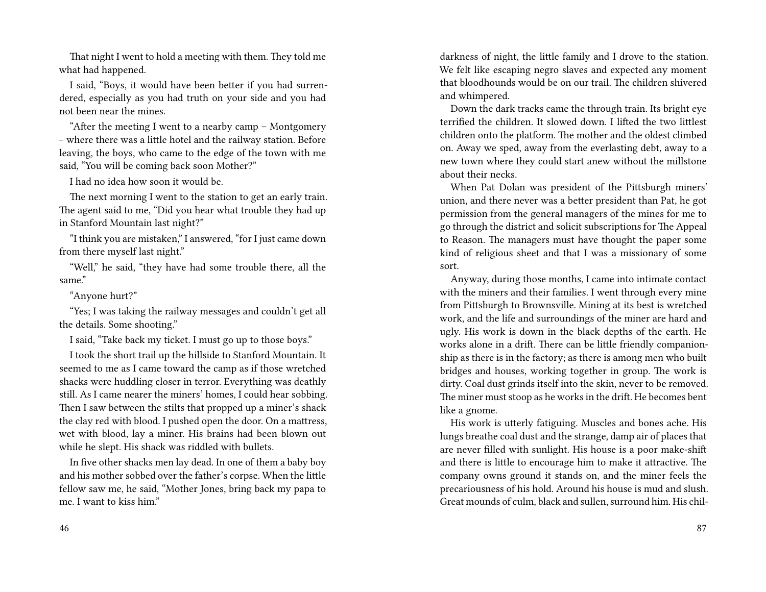That night I went to hold a meeting with them. They told me what had happened.

I said, "Boys, it would have been better if you had surrendered, especially as you had truth on your side and you had not been near the mines.

"After the meeting I went to a nearby camp – Montgomery – where there was a little hotel and the railway station. Before leaving, the boys, who came to the edge of the town with me said, "You will be coming back soon Mother?"

I had no idea how soon it would be.

The next morning I went to the station to get an early train. The agent said to me, "Did you hear what trouble they had up in Stanford Mountain last night?"

"I think you are mistaken," I answered, "for I just came down from there myself last night."

"Well," he said, "they have had some trouble there, all the same."

#### "Anyone hurt?"

"Yes; I was taking the railway messages and couldn't get all the details. Some shooting."

I said, "Take back my ticket. I must go up to those boys."

I took the short trail up the hillside to Stanford Mountain. It seemed to me as I came toward the camp as if those wretched shacks were huddling closer in terror. Everything was deathly still. As I came nearer the miners' homes, I could hear sobbing. Then I saw between the stilts that propped up a miner's shack the clay red with blood. I pushed open the door. On a mattress, wet with blood, lay a miner. His brains had been blown out while he slept. His shack was riddled with bullets.

In five other shacks men lay dead. In one of them a baby boy and his mother sobbed over the father's corpse. When the little fellow saw me, he said, "Mother Jones, bring back my papa to me. I want to kiss him."

darkness of night, the little family and I drove to the station. We felt like escaping negro slaves and expected any moment that bloodhounds would be on our trail. The children shivered and whimpered.

Down the dark tracks came the through train. Its bright eye terrified the children. It slowed down. I lifted the two littlest children onto the platform. The mother and the oldest climbed on. Away we sped, away from the everlasting debt, away to a new town where they could start anew without the millstone about their necks.

When Pat Dolan was president of the Pittsburgh miners' union, and there never was a better president than Pat, he got permission from the general managers of the mines for me to go through the district and solicit subscriptions for The Appeal to Reason. The managers must have thought the paper some kind of religious sheet and that I was a missionary of some sort.

Anyway, during those months, I came into intimate contact with the miners and their families. I went through every mine from Pittsburgh to Brownsville. Mining at its best is wretched work, and the life and surroundings of the miner are hard and ugly. His work is down in the black depths of the earth. He works alone in a drift. There can be little friendly companionship as there is in the factory; as there is among men who built bridges and houses, working together in group. The work is dirty. Coal dust grinds itself into the skin, never to be removed. The miner must stoop as he works in the drift. He becomes bent like a gnome.

His work is utterly fatiguing. Muscles and bones ache. His lungs breathe coal dust and the strange, damp air of places that are never filled with sunlight. His house is a poor make-shift and there is little to encourage him to make it attractive. The company owns ground it stands on, and the miner feels the precariousness of his hold. Around his house is mud and slush. Great mounds of culm, black and sullen, surround him. His chil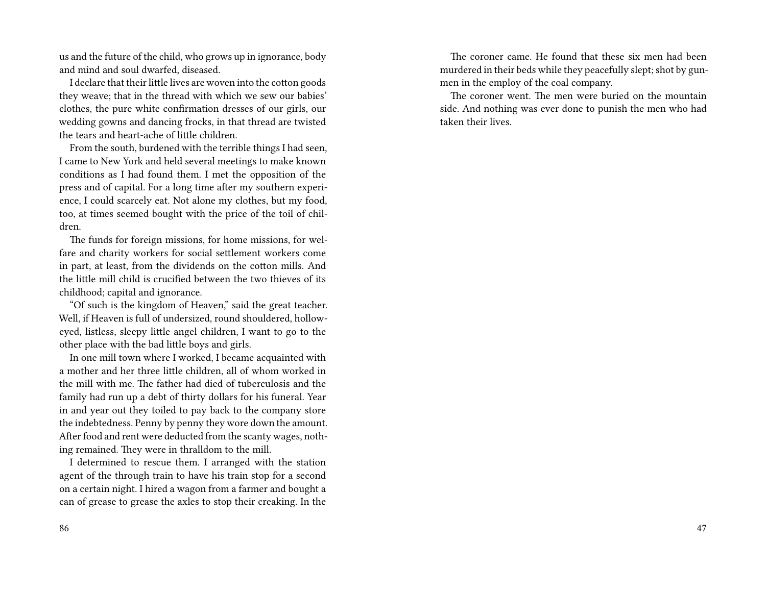us and the future of the child, who grows up in ignorance, body and mind and soul dwarfed, diseased.

I declare that their little lives are woven into the cotton goods they weave; that in the thread with which we sew our babies' clothes, the pure white confirmation dresses of our girls, our wedding gowns and dancing frocks, in that thread are twisted the tears and heart-ache of little children.

From the south, burdened with the terrible things I had seen, I came to New York and held several meetings to make known conditions as I had found them. I met the opposition of the press and of capital. For a long time after my southern experience, I could scarcely eat. Not alone my clothes, but my food, too, at times seemed bought with the price of the toil of children.

The funds for foreign missions, for home missions, for welfare and charity workers for social settlement workers come in part, at least, from the dividends on the cotton mills. And the little mill child is crucified between the two thieves of its childhood; capital and ignorance.

"Of such is the kingdom of Heaven," said the great teacher. Well, if Heaven is full of undersized, round shouldered, holloweyed, listless, sleepy little angel children, I want to go to the other place with the bad little boys and girls.

In one mill town where I worked, I became acquainted with a mother and her three little children, all of whom worked in the mill with me. The father had died of tuberculosis and the family had run up a debt of thirty dollars for his funeral. Year in and year out they toiled to pay back to the company store the indebtedness. Penny by penny they wore down the amount. After food and rent were deducted from the scanty wages, nothing remained. They were in thralldom to the mill.

I determined to rescue them. I arranged with the station agent of the through train to have his train stop for a second on a certain night. I hired a wagon from a farmer and bought a can of grease to grease the axles to stop their creaking. In the

The coroner came. He found that these six men had been murdered in their beds while they peacefully slept; shot by gunmen in the employ of the coal company.

The coroner went. The men were buried on the mountain side. And nothing was ever done to punish the men who had taken their lives.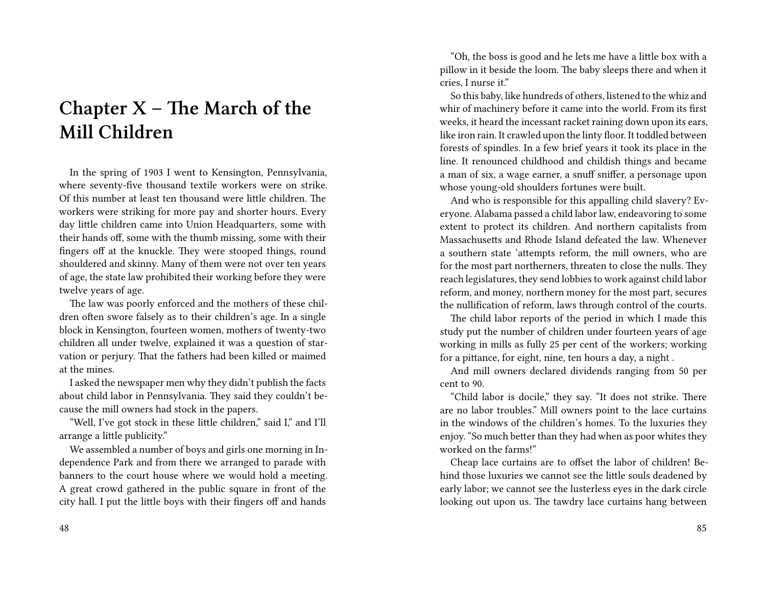# **Chapter X – The March of the Mill Children**

In the spring of 1903 I went to Kensington, Pennsylvania, where seventy-five thousand textile workers were on strike. Of this number at least ten thousand were little children. The workers were striking for more pay and shorter hours. Every day little children came into Union Headquarters, some with their hands off, some with the thumb missing, some with their fingers off at the knuckle. They were stooped things, round shouldered and skinny. Many of them were not over ten years of age, the state law prohibited their working before they were twelve years of age.

The law was poorly enforced and the mothers of these children often swore falsely as to their children's age. In a single block in Kensington, fourteen women, mothers of twenty-two children all under twelve, explained it was a question of starvation or perjury. That the fathers had been killed or maimed at the mines.

I asked the newspaper men why they didn't publish the facts about child labor in Pennsylvania. They said they couldn't because the mill owners had stock in the papers.

"Well, I've got stock in these little children," said I," and I'll arrange a little publicity."

We assembled a number of boys and girls one morning in Independence Park and from there we arranged to parade with banners to the court house where we would hold a meeting. A great crowd gathered in the public square in front of the city hall. I put the little boys with their fingers off and hands

"Oh, the boss is good and he lets me have a little box with a pillow in it beside the loom. The baby sleeps there and when it cries, I nurse it."

So this baby, like hundreds of others, listened to the whiz and whir of machinery before it came into the world. From its first weeks, it heard the incessant racket raining down upon its ears, like iron rain. It crawled upon the linty floor. It toddled between forests of spindles. In a few brief years it took its place in the line. It renounced childhood and childish things and became a man of six, a wage earner, a snuff sniffer, a personage upon whose young-old shoulders fortunes were built.

And who is responsible for this appalling child slavery? Everyone. Alabama passed a child labor law, endeavoring to some extent to protect its children. And northern capitalists from Massachusetts and Rhode Island defeated the law. Whenever a southern state 'attempts reform, the mill owners, who are for the most part northerners, threaten to close the nulls. They reach legislatures, they send lobbies to work against child labor reform, and money, northern money for the most part, secures the nullification of reform, laws through control of the courts.

The child labor reports of the period in which I made this study put the number of children under fourteen years of age working in mills as fully 25 per cent of the workers; working for a pittance, for eight, nine, ten hours a day, a night .

And mill owners declared dividends ranging from 50 per cent to 90.

"Child labor is docile," they say. "It does not strike. There are no labor troubles." Mill owners point to the lace curtains in the windows of the children's homes. To the luxuries they enjoy. "So much better than they had when as poor whites they worked on the farms!"

Cheap lace curtains are to offset the labor of children! Behind those luxuries we cannot see the little souls deadened by early labor; we cannot see the lusterless eyes in the dark circle looking out upon us. The tawdry lace curtains hang between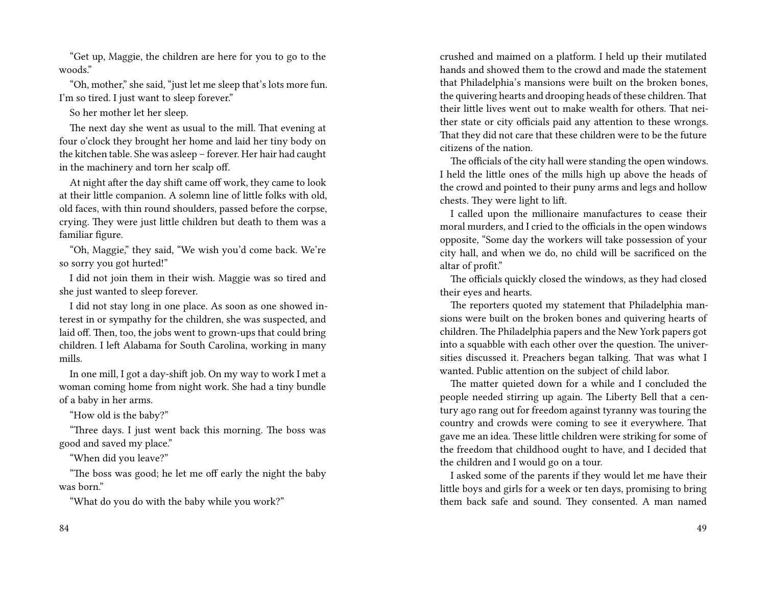"Get up, Maggie, the children are here for you to go to the woods."

"Oh, mother," she said, "just let me sleep that's lots more fun. I'm so tired. I just want to sleep forever."

So her mother let her sleep.

The next day she went as usual to the mill. That evening at four o'clock they brought her home and laid her tiny body on the kitchen table. She was asleep – forever. Her hair had caught in the machinery and torn her scalp off.

At night after the day shift came off work, they came to look at their little companion. A solemn line of little folks with old, old faces, with thin round shoulders, passed before the corpse, crying. They were just little children but death to them was a familiar figure.

"Oh, Maggie," they said, "We wish you'd come back. We're so sorry you got hurted!"

I did not join them in their wish. Maggie was so tired and she just wanted to sleep forever.

I did not stay long in one place. As soon as one showed interest in or sympathy for the children, she was suspected, and laid off. Then, too, the jobs went to grown-ups that could bring children. I left Alabama for South Carolina, working in many mills.

In one mill, I got a day-shift job. On my way to work I met a woman coming home from night work. She had a tiny bundle of a baby in her arms.

"How old is the baby?"

"Three days. I just went back this morning. The boss was good and saved my place."

"When did you leave?"

"The boss was good; he let me off early the night the baby was born."

"What do you do with the baby while you work?"

crushed and maimed on a platform. I held up their mutilated hands and showed them to the crowd and made the statement that Philadelphia's mansions were built on the broken bones, the quivering hearts and drooping heads of these children. That their little lives went out to make wealth for others. That neither state or city officials paid any attention to these wrongs. That they did not care that these children were to be the future citizens of the nation.

The officials of the city hall were standing the open windows. I held the little ones of the mills high up above the heads of the crowd and pointed to their puny arms and legs and hollow chests. They were light to lift.

I called upon the millionaire manufactures to cease their moral murders, and I cried to the officials in the open windows opposite, "Some day the workers will take possession of your city hall, and when we do, no child will be sacrificed on the altar of profit."

The officials quickly closed the windows, as they had closed their eyes and hearts.

The reporters quoted my statement that Philadelphia mansions were built on the broken bones and quivering hearts of children. The Philadelphia papers and the New York papers got into a squabble with each other over the question. The universities discussed it. Preachers began talking. That was what I wanted. Public attention on the subject of child labor.

The matter quieted down for a while and I concluded the people needed stirring up again. The Liberty Bell that a century ago rang out for freedom against tyranny was touring the country and crowds were coming to see it everywhere. That gave me an idea. These little children were striking for some of the freedom that childhood ought to have, and I decided that the children and I would go on a tour.

I asked some of the parents if they would let me have their little boys and girls for a week or ten days, promising to bring them back safe and sound. They consented. A man named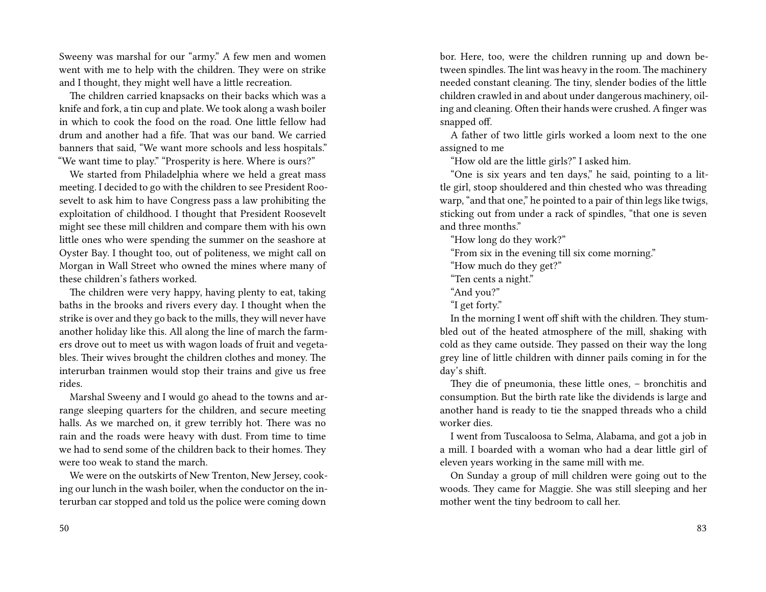Sweeny was marshal for our "army." A few men and women went with me to help with the children. They were on strike and I thought, they might well have a little recreation.

The children carried knapsacks on their backs which was a knife and fork, a tin cup and plate. We took along a wash boiler in which to cook the food on the road. One little fellow had drum and another had a fife. That was our band. We carried banners that said, "We want more schools and less hospitals." "We want time to play." "Prosperity is here. Where is ours?"

We started from Philadelphia where we held a great mass meeting. I decided to go with the children to see President Roosevelt to ask him to have Congress pass a law prohibiting the exploitation of childhood. I thought that President Roosevelt might see these mill children and compare them with his own little ones who were spending the summer on the seashore at Oyster Bay. I thought too, out of politeness, we might call on Morgan in Wall Street who owned the mines where many of these children's fathers worked.

The children were very happy, having plenty to eat, taking baths in the brooks and rivers every day. I thought when the strike is over and they go back to the mills, they will never have another holiday like this. All along the line of march the farmers drove out to meet us with wagon loads of fruit and vegetables. Their wives brought the children clothes and money. The interurban trainmen would stop their trains and give us free rides.

Marshal Sweeny and I would go ahead to the towns and arrange sleeping quarters for the children, and secure meeting halls. As we marched on, it grew terribly hot. There was no rain and the roads were heavy with dust. From time to time we had to send some of the children back to their homes. They were too weak to stand the march.

We were on the outskirts of New Trenton, New Jersey, cooking our lunch in the wash boiler, when the conductor on the interurban car stopped and told us the police were coming down

bor. Here, too, were the children running up and down between spindles. The lint was heavy in the room. The machinery needed constant cleaning. The tiny, slender bodies of the little children crawled in and about under dangerous machinery, oiling and cleaning. Often their hands were crushed. A finger was snapped off.

A father of two little girls worked a loom next to the one assigned to me

"How old are the little girls?" I asked him.

"One is six years and ten days," he said, pointing to a little girl, stoop shouldered and thin chested who was threading warp, "and that one," he pointed to a pair of thin legs like twigs, sticking out from under a rack of spindles, "that one is seven and three months."

"How long do they work?"

"From six in the evening till six come morning."

"How much do they get?"

"Ten cents a night."

"And you?"

"I get forty."

In the morning I went off shift with the children. They stumbled out of the heated atmosphere of the mill, shaking with cold as they came outside. They passed on their way the long grey line of little children with dinner pails coming in for the day's shift.

They die of pneumonia, these little ones, – bronchitis and consumption. But the birth rate like the dividends is large and another hand is ready to tie the snapped threads who a child worker dies.

I went from Tuscaloosa to Selma, Alabama, and got a job in a mill. I boarded with a woman who had a dear little girl of eleven years working in the same mill with me.

On Sunday a group of mill children were going out to the woods. They came for Maggie. She was still sleeping and her mother went the tiny bedroom to call her.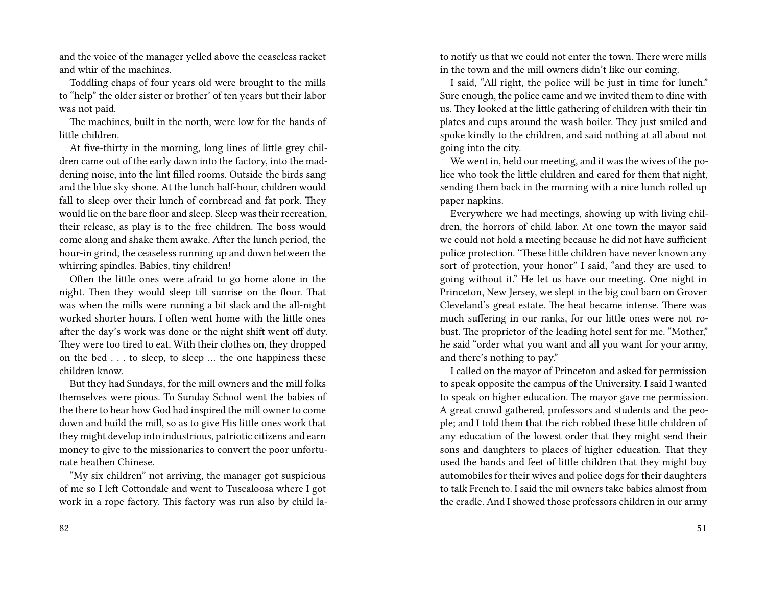and the voice of the manager yelled above the ceaseless racket and whir of the machines.

Toddling chaps of four years old were brought to the mills to "help" the older sister or brother' of ten years but their labor was not paid.

The machines, built in the north, were low for the hands of little children.

At five-thirty in the morning, long lines of little grey children came out of the early dawn into the factory, into the maddening noise, into the lint filled rooms. Outside the birds sang and the blue sky shone. At the lunch half-hour, children would fall to sleep over their lunch of cornbread and fat pork. They would lie on the bare floor and sleep. Sleep was their recreation, their release, as play is to the free children. The boss would come along and shake them awake. After the lunch period, the hour-in grind, the ceaseless running up and down between the whirring spindles. Babies, tiny children!

Often the little ones were afraid to go home alone in the night. Then they would sleep till sunrise on the floor. That was when the mills were running a bit slack and the all-night worked shorter hours. I often went home with the little ones after the day's work was done or the night shift went off duty. They were too tired to eat. With their clothes on, they dropped on the bed . . . to sleep, to sleep … the one happiness these children know.

But they had Sundays, for the mill owners and the mill folks themselves were pious. To Sunday School went the babies of the there to hear how God had inspired the mill owner to come down and build the mill, so as to give His little ones work that they might develop into industrious, patriotic citizens and earn money to give to the missionaries to convert the poor unfortunate heathen Chinese.

"My six children" not arriving, the manager got suspicious of me so I left Cottondale and went to Tuscaloosa where I got work in a rope factory. This factory was run also by child lato notify us that we could not enter the town. There were mills in the town and the mill owners didn't like our coming.

I said, "All right, the police will be just in time for lunch." Sure enough, the police came and we invited them to dine with us. They looked at the little gathering of children with their tin plates and cups around the wash boiler. They just smiled and spoke kindly to the children, and said nothing at all about not going into the city.

We went in, held our meeting, and it was the wives of the police who took the little children and cared for them that night, sending them back in the morning with a nice lunch rolled up paper napkins.

Everywhere we had meetings, showing up with living children, the horrors of child labor. At one town the mayor said we could not hold a meeting because he did not have sufficient police protection. "These little children have never known any sort of protection, your honor" I said, "and they are used to going without it." He let us have our meeting. One night in Princeton, New Jersey, we slept in the big cool barn on Grover Cleveland's great estate. The heat became intense. There was much suffering in our ranks, for our little ones were not robust. The proprietor of the leading hotel sent for me. "Mother," he said "order what you want and all you want for your army, and there's nothing to pay."

I called on the mayor of Princeton and asked for permission to speak opposite the campus of the University. I said I wanted to speak on higher education. The mayor gave me permission. A great crowd gathered, professors and students and the people; and I told them that the rich robbed these little children of any education of the lowest order that they might send their sons and daughters to places of higher education. That they used the hands and feet of little children that they might buy automobiles for their wives and police dogs for their daughters to talk French to. I said the mil owners take babies almost from the cradle. And I showed those professors children in our army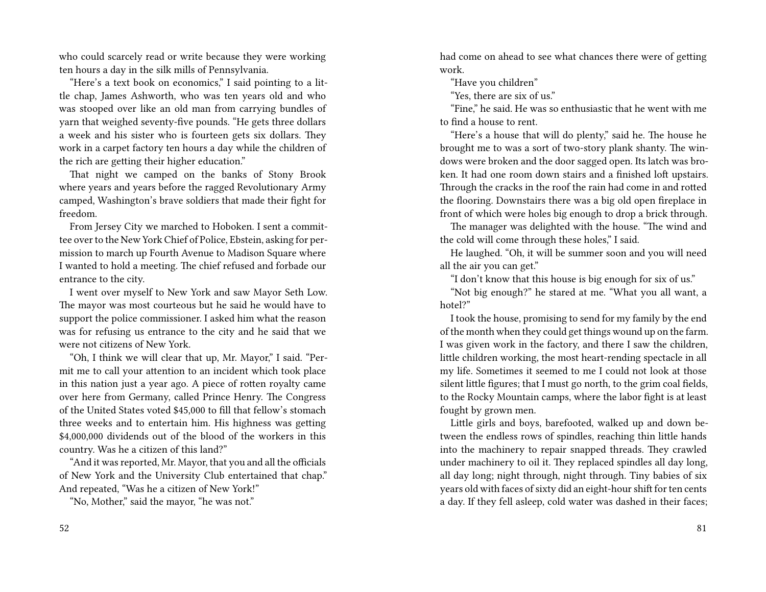who could scarcely read or write because they were working ten hours a day in the silk mills of Pennsylvania.

"Here's a text book on economics," I said pointing to a little chap, James Ashworth, who was ten years old and who was stooped over like an old man from carrying bundles of yarn that weighed seventy-five pounds. "He gets three dollars a week and his sister who is fourteen gets six dollars. They work in a carpet factory ten hours a day while the children of the rich are getting their higher education."

That night we camped on the banks of Stony Brook where years and years before the ragged Revolutionary Army camped, Washington's brave soldiers that made their fight for freedom.

From Jersey City we marched to Hoboken. I sent a committee over to the New York Chief of Police, Ebstein, asking for permission to march up Fourth Avenue to Madison Square where I wanted to hold a meeting. The chief refused and forbade our entrance to the city.

I went over myself to New York and saw Mayor Seth Low. The mayor was most courteous but he said he would have to support the police commissioner. I asked him what the reason was for refusing us entrance to the city and he said that we were not citizens of New York.

"Oh, I think we will clear that up, Mr. Mayor," I said. "Permit me to call your attention to an incident which took place in this nation just a year ago. A piece of rotten royalty came over here from Germany, called Prince Henry. The Congress of the United States voted \$45,000 to fill that fellow's stomach three weeks and to entertain him. His highness was getting \$4,000,000 dividends out of the blood of the workers in this country. Was he a citizen of this land?"

"And it was reported, Mr. Mayor, that you and all the officials of New York and the University Club entertained that chap." And repeated, "Was he a citizen of New York!"

"No, Mother," said the mayor, "he was not."

had come on ahead to see what chances there were of getting work.

"Have you children"

"Yes, there are six of us."

"Fine," he said. He was so enthusiastic that he went with me to find a house to rent.

"Here's a house that will do plenty," said he. The house he brought me to was a sort of two-story plank shanty. The windows were broken and the door sagged open. Its latch was broken. It had one room down stairs and a finished loft upstairs. Through the cracks in the roof the rain had come in and rotted the flooring. Downstairs there was a big old open fireplace in front of which were holes big enough to drop a brick through.

The manager was delighted with the house. "The wind and the cold will come through these holes," I said.

He laughed. "Oh, it will be summer soon and you will need all the air you can get."

"I don't know that this house is big enough for six of us."

"Not big enough?" he stared at me. "What you all want, a hotel?"

I took the house, promising to send for my family by the end of the month when they could get things wound up on the farm. I was given work in the factory, and there I saw the children, little children working, the most heart-rending spectacle in all my life. Sometimes it seemed to me I could not look at those silent little figures; that I must go north, to the grim coal fields, to the Rocky Mountain camps, where the labor fight is at least fought by grown men.

Little girls and boys, barefooted, walked up and down between the endless rows of spindles, reaching thin little hands into the machinery to repair snapped threads. They crawled under machinery to oil it. They replaced spindles all day long, all day long; night through, night through. Tiny babies of six years old with faces of sixty did an eight-hour shift for ten cents a day. If they fell asleep, cold water was dashed in their faces;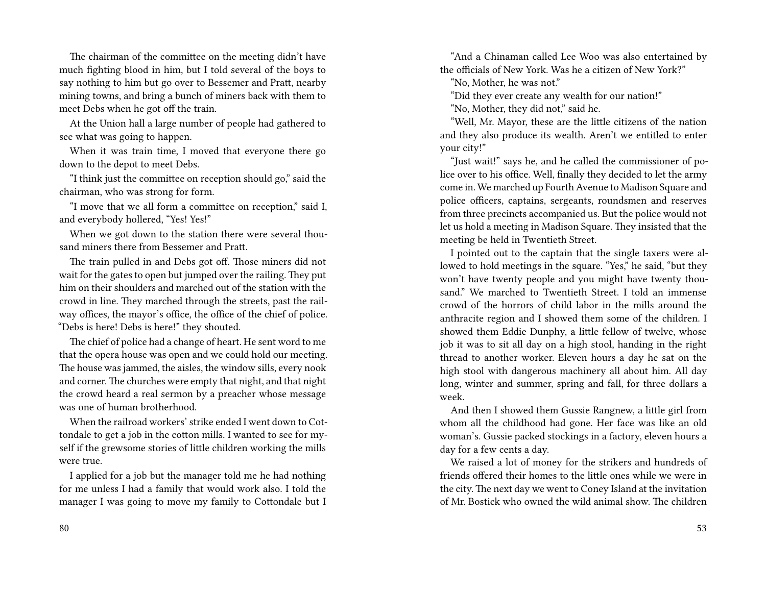The chairman of the committee on the meeting didn't have much fighting blood in him, but I told several of the boys to say nothing to him but go over to Bessemer and Pratt, nearby mining towns, and bring a bunch of miners back with them to meet Debs when he got off the train.

At the Union hall a large number of people had gathered to see what was going to happen.

When it was train time, I moved that everyone there go down to the depot to meet Debs.

"I think just the committee on reception should go," said the chairman, who was strong for form.

"I move that we all form a committee on reception," said I, and everybody hollered, "Yes! Yes!"

When we got down to the station there were several thousand miners there from Bessemer and Pratt.

The train pulled in and Debs got off. Those miners did not wait for the gates to open but jumped over the railing. They put him on their shoulders and marched out of the station with the crowd in line. They marched through the streets, past the railway offices, the mayor's office, the office of the chief of police. "Debs is here! Debs is here!" they shouted.

The chief of police had a change of heart. He sent word to me that the opera house was open and we could hold our meeting. The house was jammed, the aisles, the window sills, every nook and corner. The churches were empty that night, and that night the crowd heard a real sermon by a preacher whose message was one of human brotherhood.

When the railroad workers' strike ended I went down to Cottondale to get a job in the cotton mills. I wanted to see for myself if the grewsome stories of little children working the mills were true.

I applied for a job but the manager told me he had nothing for me unless I had a family that would work also. I told the manager I was going to move my family to Cottondale but I

"And a Chinaman called Lee Woo was also entertained by the officials of New York. Was he a citizen of New York?"

"No, Mother, he was not."

"Did they ever create any wealth for our nation!"

"No, Mother, they did not," said he.

"Well, Mr. Mayor, these are the little citizens of the nation and they also produce its wealth. Aren't we entitled to enter your city!"

"Just wait!" says he, and he called the commissioner of police over to his office. Well, finally they decided to let the army come in. We marched up Fourth Avenue to Madison Square and police officers, captains, sergeants, roundsmen and reserves from three precincts accompanied us. But the police would not let us hold a meeting in Madison Square. They insisted that the meeting be held in Twentieth Street.

I pointed out to the captain that the single taxers were allowed to hold meetings in the square. "Yes," he said, "but they won't have twenty people and you might have twenty thousand." We marched to Twentieth Street. I told an immense crowd of the horrors of child labor in the mills around the anthracite region and I showed them some of the children. I showed them Eddie Dunphy, a little fellow of twelve, whose job it was to sit all day on a high stool, handing in the right thread to another worker. Eleven hours a day he sat on the high stool with dangerous machinery all about him. All day long, winter and summer, spring and fall, for three dollars a week.

And then I showed them Gussie Rangnew, a little girl from whom all the childhood had gone. Her face was like an old woman's. Gussie packed stockings in a factory, eleven hours a day for a few cents a day.

We raised a lot of money for the strikers and hundreds of friends offered their homes to the little ones while we were in the city. The next day we went to Coney Island at the invitation of Mr. Bostick who owned the wild animal show. The children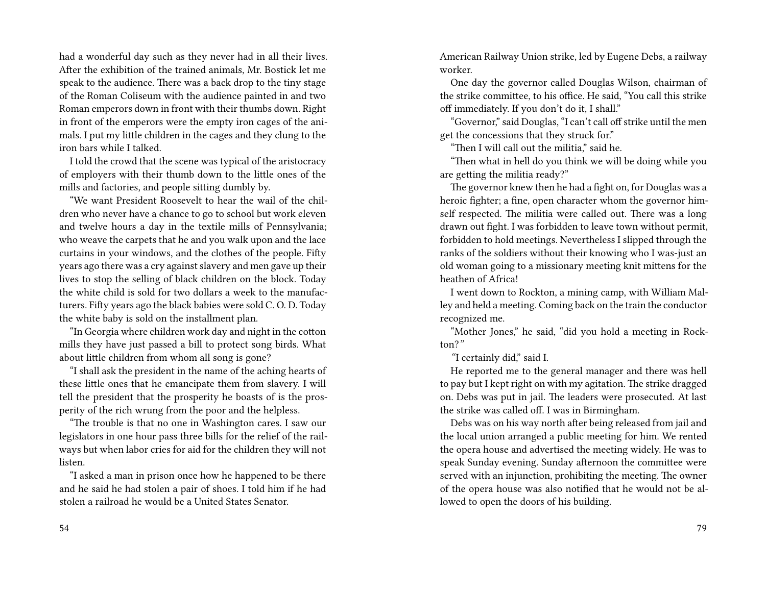had a wonderful day such as they never had in all their lives. After the exhibition of the trained animals, Mr. Bostick let me speak to the audience. There was a back drop to the tiny stage of the Roman Coliseum with the audience painted in and two Roman emperors down in front with their thumbs down. Right in front of the emperors were the empty iron cages of the animals. I put my little children in the cages and they clung to the iron bars while I talked.

I told the crowd that the scene was typical of the aristocracy of employers with their thumb down to the little ones of the mills and factories, and people sitting dumbly by.

"We want President Roosevelt to hear the wail of the children who never have a chance to go to school but work eleven and twelve hours a day in the textile mills of Pennsylvania; who weave the carpets that he and you walk upon and the lace curtains in your windows, and the clothes of the people. Fifty years ago there was a cry against slavery and men gave up their lives to stop the selling of black children on the block. Today the white child is sold for two dollars a week to the manufacturers. Fifty years ago the black babies were sold C. O. D. Today the white baby is sold on the installment plan.

"In Georgia where children work day and night in the cotton mills they have just passed a bill to protect song birds. What about little children from whom all song is gone?

"I shall ask the president in the name of the aching hearts of these little ones that he emancipate them from slavery. I will tell the president that the prosperity he boasts of is the prosperity of the rich wrung from the poor and the helpless.

"The trouble is that no one in Washington cares. I saw our legislators in one hour pass three bills for the relief of the railways but when labor cries for aid for the children they will not listen.

"I asked a man in prison once how he happened to be there and he said he had stolen a pair of shoes. I told him if he had stolen a railroad he would be a United States Senator.

American Railway Union strike, led by Eugene Debs, a railway worker.

One day the governor called Douglas Wilson, chairman of the strike committee, to his office. He said, "You call this strike off immediately. If you don't do it, I shall."

"Governor," said Douglas, "I can't call off strike until the men get the concessions that they struck for."

"Then I will call out the militia," said he.

"Then what in hell do you think we will be doing while you are getting the militia ready?"

The governor knew then he had a fight on, for Douglas was a heroic fighter; a fine, open character whom the governor himself respected. The militia were called out. There was a long drawn out fight. I was forbidden to leave town without permit, forbidden to hold meetings. Nevertheless I slipped through the ranks of the soldiers without their knowing who I was-just an old woman going to a missionary meeting knit mittens for the heathen of Africa!

I went down to Rockton, a mining camp, with William Malley and held a meeting. Coming back on the train the conductor recognized me.

"Mother Jones," he said, "did you hold a meeting in Rockton?*"*

*"*I certainly did," said I.

He reported me to the general manager and there was hell to pay but I kept right on with my agitation. The strike dragged on. Debs was put in jail. The leaders were prosecuted. At last the strike was called off. I was in Birmingham.

Debs was on his way north after being released from jail and the local union arranged a public meeting for him. We rented the opera house and advertised the meeting widely. He was to speak Sunday evening. Sunday afternoon the committee were served with an injunction, prohibiting the meeting. The owner of the opera house was also notified that he would not be allowed to open the doors of his building.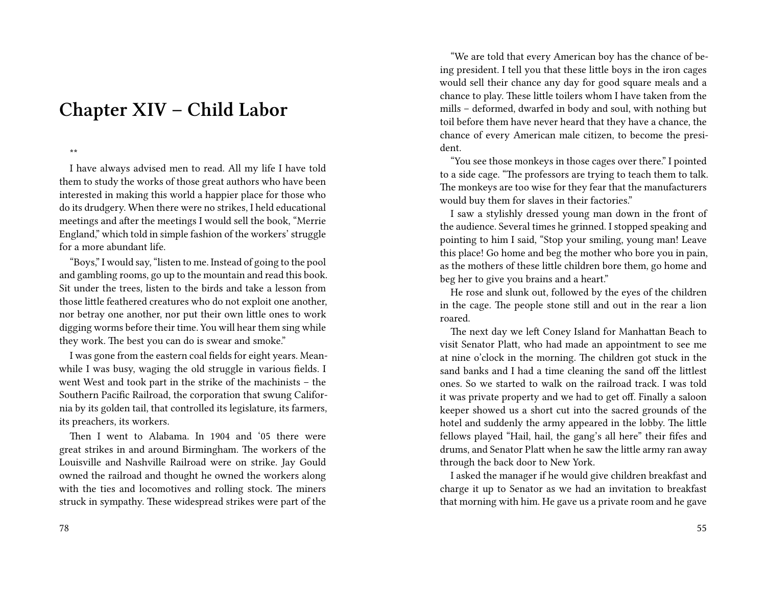## **Chapter XIV – Child Labor**

\*\*

I have always advised men to read. All my life I have told them to study the works of those great authors who have been interested in making this world a happier place for those who do its drudgery. When there were no strikes, I held educational meetings and after the meetings I would sell the book, "Merrie England," which told in simple fashion of the workers' struggle for a more abundant life.

"Boys," I would say, "listen to me. Instead of going to the pool and gambling rooms, go up to the mountain and read this book. Sit under the trees, listen to the birds and take a lesson from those little feathered creatures who do not exploit one another, nor betray one another, nor put their own little ones to work digging worms before their time. You will hear them sing while they work. The best you can do is swear and smoke."

I was gone from the eastern coal fields for eight years. Meanwhile I was busy, waging the old struggle in various fields. I went West and took part in the strike of the machinists – the Southern Pacific Railroad, the corporation that swung California by its golden tail, that controlled its legislature, its farmers, its preachers, its workers.

Then I went to Alabama. In 1904 and '05 there were great strikes in and around Birmingham. The workers of the Louisville and Nashville Railroad were on strike. Jay Gould owned the railroad and thought he owned the workers along with the ties and locomotives and rolling stock. The miners struck in sympathy. These widespread strikes were part of the

"We are told that every American boy has the chance of being president. I tell you that these little boys in the iron cages would sell their chance any day for good square meals and a chance to play. These little toilers whom I have taken from the mills – deformed, dwarfed in body and soul, with nothing but toil before them have never heard that they have a chance, the chance of every American male citizen, to become the president.

"You see those monkeys in those cages over there." I pointed to a side cage. "The professors are trying to teach them to talk. The monkeys are too wise for they fear that the manufacturers would buy them for slaves in their factories."

I saw a stylishly dressed young man down in the front of the audience. Several times he grinned. I stopped speaking and pointing to him I said, "Stop your smiling, young man! Leave this place! Go home and beg the mother who bore you in pain, as the mothers of these little children bore them, go home and beg her to give you brains and a heart."

He rose and slunk out, followed by the eyes of the children in the cage. The people stone still and out in the rear a lion roared.

The next day we left Coney Island for Manhattan Beach to visit Senator Platt, who had made an appointment to see me at nine o'clock in the morning. The children got stuck in the sand banks and I had a time cleaning the sand off the littlest ones. So we started to walk on the railroad track. I was told it was private property and we had to get off. Finally a saloon keeper showed us a short cut into the sacred grounds of the hotel and suddenly the army appeared in the lobby. The little fellows played "Hail, hail, the gang's all here" their fifes and drums, and Senator Platt when he saw the little army ran away through the back door to New York.

I asked the manager if he would give children breakfast and charge it up to Senator as we had an invitation to breakfast that morning with him. He gave us a private room and he gave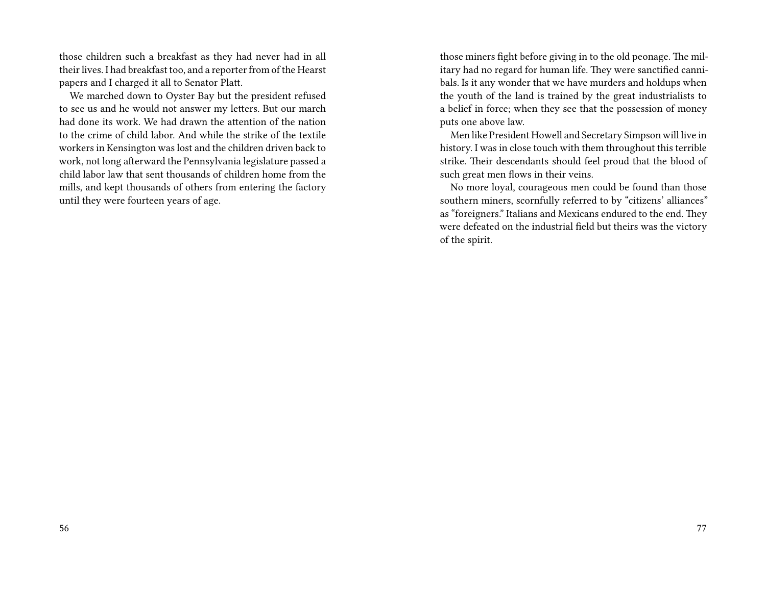those children such a breakfast as they had never had in all their lives. I had breakfast too, and a reporter from of the Hearst papers and I charged it all to Senator Platt.

We marched down to Oyster Bay but the president refused to see us and he would not answer my letters. But our march had done its work. We had drawn the attention of the nation to the crime of child labor. And while the strike of the textile workers in Kensington was lost and the children driven back to work, not long afterward the Pennsylvania legislature passed a child labor law that sent thousands of children home from the mills, and kept thousands of others from entering the factory until they were fourteen years of age.

those miners fight before giving in to the old peonage. The military had no regard for human life. They were sanctified cannibals. Is it any wonder that we have murders and holdups when the youth of the land is trained by the great industrialists to a belief in force; when they see that the possession of money puts one above law.

Men like President Howell and Secretary Simpson will live in history. I was in close touch with them throughout this terrible strike. Their descendants should feel proud that the blood of such great men flows in their veins.

No more loyal, courageous men could be found than those southern miners, scornfully referred to by "citizens' alliances" as "foreigners." Italians and Mexicans endured to the end. They were defeated on the industrial field but theirs was the victory of the spirit.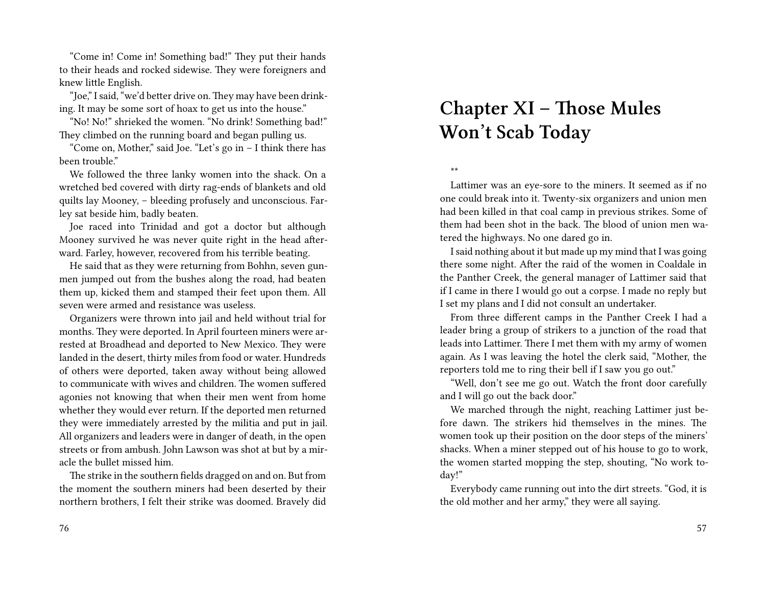"Come in! Come in! Something bad!" They put their hands to their heads and rocked sidewise. They were foreigners and knew little English.

"Joe," I said, "we'd better drive on. They may have been drinking. It may be some sort of hoax to get us into the house."

"No! No!" shrieked the women. "No drink! Something bad!" They climbed on the running board and began pulling us.

"Come on, Mother," said Joe. "Let's go in – I think there has been trouble."

We followed the three lanky women into the shack. On a wretched bed covered with dirty rag-ends of blankets and old quilts lay Mooney, – bleeding profusely and unconscious. Farley sat beside him, badly beaten.

Joe raced into Trinidad and got a doctor but although Mooney survived he was never quite right in the head afterward. Farley, however, recovered from his terrible beating.

He said that as they were returning from Bohhn, seven gunmen jumped out from the bushes along the road, had beaten them up, kicked them and stamped their feet upon them. All seven were armed and resistance was useless.

Organizers were thrown into jail and held without trial for months. They were deported. In April fourteen miners were arrested at Broadhead and deported to New Mexico. They were landed in the desert, thirty miles from food or water. Hundreds of others were deported, taken away without being allowed to communicate with wives and children. The women suffered agonies not knowing that when their men went from home whether they would ever return. If the deported men returned they were immediately arrested by the militia and put in jail. All organizers and leaders were in danger of death, in the open streets or from ambush. John Lawson was shot at but by a miracle the bullet missed him.

The strike in the southern fields dragged on and on. But from the moment the southern miners had been deserted by their northern brothers, I felt their strike was doomed. Bravely did

#### 76

# **Chapter XI – Those Mules Won't Scab Today**

\*\*

Lattimer was an eye-sore to the miners. It seemed as if no one could break into it. Twenty-six organizers and union men had been killed in that coal camp in previous strikes. Some of them had been shot in the back. The blood of union men watered the highways. No one dared go in.

I said nothing about it but made up my mind that I was going there some night. After the raid of the women in Coaldale in the Panther Creek, the general manager of Lattimer said that if I came in there I would go out a corpse. I made no reply but I set my plans and I did not consult an undertaker.

From three different camps in the Panther Creek I had a leader bring a group of strikers to a junction of the road that leads into Lattimer. There I met them with my army of women again. As I was leaving the hotel the clerk said, "Mother, the reporters told me to ring their bell if I saw you go out."

"Well, don't see me go out. Watch the front door carefully and I will go out the back door."

We marched through the night, reaching Lattimer just before dawn. The strikers hid themselves in the mines. The women took up their position on the door steps of the miners' shacks. When a miner stepped out of his house to go to work, the women started mopping the step, shouting, "No work today!"

Everybody came running out into the dirt streets. "God, it is the old mother and her army," they were all saying.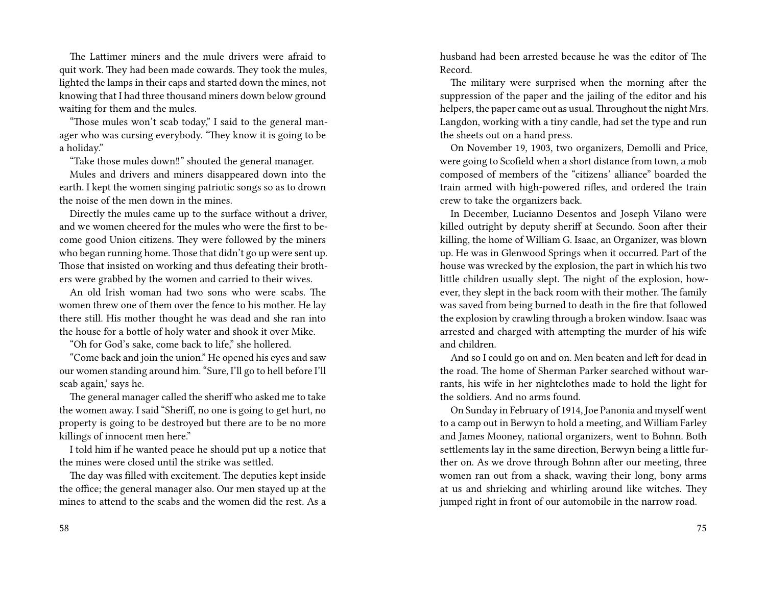The Lattimer miners and the mule drivers were afraid to quit work. They had been made cowards. They took the mules, lighted the lamps in their caps and started down the mines, not knowing that I had three thousand miners down below ground waiting for them and the mules.

"Those mules won't scab today," I said to the general manager who was cursing everybody. "They know it is going to be a holiday."

"Take those mules down‼" shouted the general manager.

Mules and drivers and miners disappeared down into the earth. I kept the women singing patriotic songs so as to drown the noise of the men down in the mines.

Directly the mules came up to the surface without a driver, and we women cheered for the mules who were the first to become good Union citizens. They were followed by the miners who began running home. Those that didn't go up were sent up. Those that insisted on working and thus defeating their brothers were grabbed by the women and carried to their wives.

An old Irish woman had two sons who were scabs. The women threw one of them over the fence to his mother. He lay there still. His mother thought he was dead and she ran into the house for a bottle of holy water and shook it over Mike.

"Oh for God's sake, come back to life," she hollered.

"Come back and join the union." He opened his eyes and saw our women standing around him. "Sure, I'll go to hell before I'll scab again,' says he.

The general manager called the sheriff who asked me to take the women away. I said "Sheriff, no one is going to get hurt, no property is going to be destroyed but there are to be no more killings of innocent men here."

I told him if he wanted peace he should put up a notice that the mines were closed until the strike was settled.

The day was filled with excitement. The deputies kept inside the office; the general manager also. Our men stayed up at the mines to attend to the scabs and the women did the rest. As a husband had been arrested because he was the editor of The Record.

The military were surprised when the morning after the suppression of the paper and the jailing of the editor and his helpers, the paper came out as usual. Throughout the night Mrs. Langdon, working with a tiny candle, had set the type and run the sheets out on a hand press.

On November 19, 1903, two organizers, Demolli and Price, were going to Scofield when a short distance from town, a mob composed of members of the "citizens' alliance" boarded the train armed with high-powered rifles, and ordered the train crew to take the organizers back.

In December, Lucianno Desentos and Joseph Vilano were killed outright by deputy sheriff at Secundo. Soon after their killing, the home of William G. Isaac, an Organizer, was blown up. He was in Glenwood Springs when it occurred. Part of the house was wrecked by the explosion, the part in which his two little children usually slept. The night of the explosion, however, they slept in the back room with their mother. The family was saved from being burned to death in the fire that followed the explosion by crawling through a broken window. Isaac was arrested and charged with attempting the murder of his wife and children.

And so I could go on and on. Men beaten and left for dead in the road. The home of Sherman Parker searched without warrants, his wife in her nightclothes made to hold the light for the soldiers. And no arms found.

On Sunday in February of 1914, Joe Panonia and myself went to a camp out in Berwyn to hold a meeting, and William Farley and James Mooney, national organizers, went to Bohnn. Both settlements lay in the same direction, Berwyn being a little further on. As we drove through Bohnn after our meeting, three women ran out from a shack, waving their long, bony arms at us and shrieking and whirling around like witches. They jumped right in front of our automobile in the narrow road.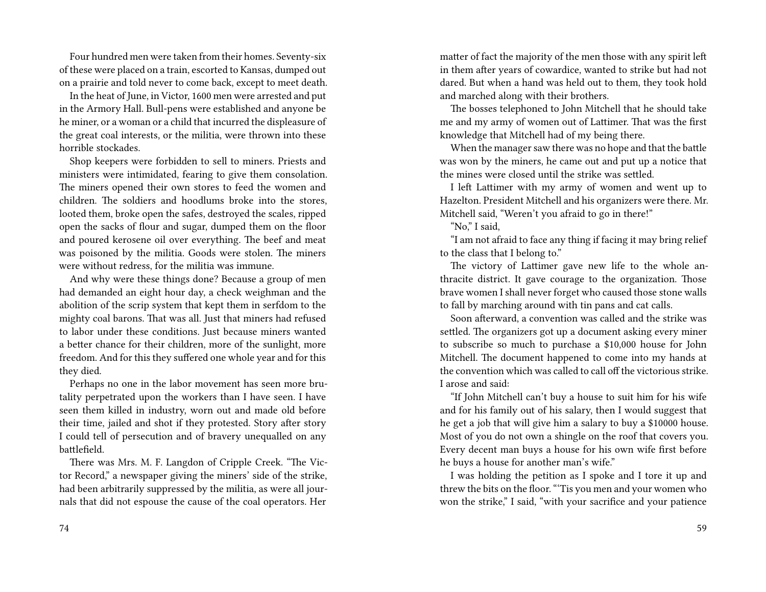Four hundred men were taken from their homes. Seventy-six of these were placed on a train, escorted to Kansas, dumped out on a prairie and told never to come back, except to meet death.

In the heat of June, in Victor, 1600 men were arrested and put in the Armory Hall. Bull-pens were established and anyone be he miner, or a woman or a child that incurred the displeasure of the great coal interests, or the militia, were thrown into these horrible stockades.

Shop keepers were forbidden to sell to miners. Priests and ministers were intimidated, fearing to give them consolation. The miners opened their own stores to feed the women and children. The soldiers and hoodlums broke into the stores, looted them, broke open the safes, destroyed the scales, ripped open the sacks of flour and sugar, dumped them on the floor and poured kerosene oil over everything. The beef and meat was poisoned by the militia. Goods were stolen. The miners were without redress, for the militia was immune.

And why were these things done? Because a group of men had demanded an eight hour day, a check weighman and the abolition of the scrip system that kept them in serfdom to the mighty coal barons. That was all. Just that miners had refused to labor under these conditions. Just because miners wanted a better chance for their children, more of the sunlight, more freedom. And for this they suffered one whole year and for this they died.

Perhaps no one in the labor movement has seen more brutality perpetrated upon the workers than I have seen. I have seen them killed in industry, worn out and made old before their time, jailed and shot if they protested. Story after story I could tell of persecution and of bravery unequalled on any battlefield.

There was Mrs. M. F. Langdon of Cripple Creek. "The Victor Record," a newspaper giving the miners' side of the strike, had been arbitrarily suppressed by the militia, as were all journals that did not espouse the cause of the coal operators. Her

matter of fact the majority of the men those with any spirit left in them after years of cowardice, wanted to strike but had not dared. But when a hand was held out to them, they took hold and marched along with their brothers.

The bosses telephoned to John Mitchell that he should take me and my army of women out of Lattimer. That was the first knowledge that Mitchell had of my being there.

When the manager saw there was no hope and that the battle was won by the miners, he came out and put up a notice that the mines were closed until the strike was settled.

I left Lattimer with my army of women and went up to Hazelton. President Mitchell and his organizers were there. Mr. Mitchell said, "Weren't you afraid to go in there!"

"No," I said,

"I am not afraid to face any thing if facing it may bring relief to the class that I belong to."

The victory of Lattimer gave new life to the whole anthracite district. It gave courage to the organization. Those brave women I shall never forget who caused those stone walls to fall by marching around with tin pans and cat calls.

Soon afterward, a convention was called and the strike was settled. The organizers got up a document asking every miner to subscribe so much to purchase a \$10,000 house for John Mitchell. The document happened to come into my hands at the convention which was called to call off the victorious strike. I arose and said:

"If John Mitchell can't buy a house to suit him for his wife and for his family out of his salary, then I would suggest that he get a job that will give him a salary to buy a \$10000 house. Most of you do not own a shingle on the roof that covers you. Every decent man buys a house for his own wife first before he buys a house for another man's wife."

I was holding the petition as I spoke and I tore it up and threw the bits on the floor. "'Tis you men and your women who won the strike," I said, "with your sacrifice and your patience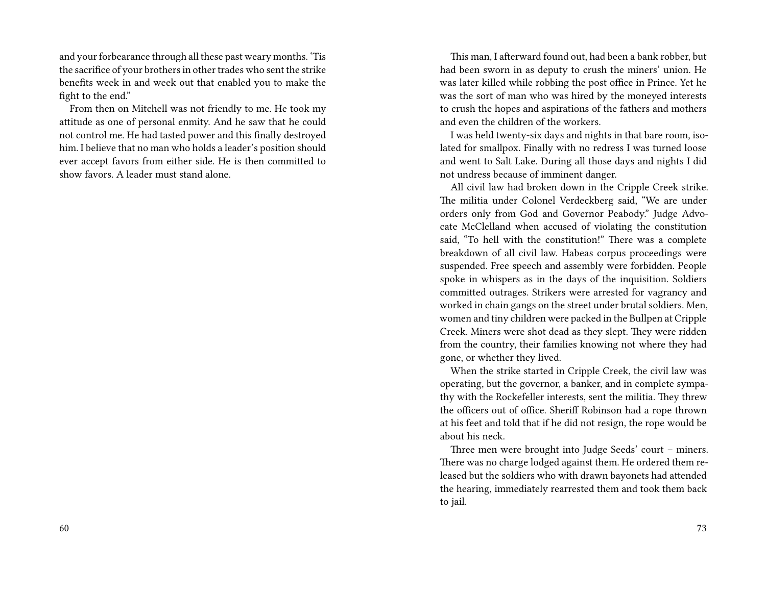and your forbearance through all these past weary months. 'Tis the sacrifice of your brothers in other trades who sent the strike benefits week in and week out that enabled you to make the fight to the end."

From then on Mitchell was not friendly to me. He took my attitude as one of personal enmity. And he saw that he could not control me. He had tasted power and this finally destroyed him. I believe that no man who holds a leader's position should ever accept favors from either side. He is then committed to show favors. A leader must stand alone.

This man, I afterward found out, had been a bank robber, but had been sworn in as deputy to crush the miners' union. He was later killed while robbing the post office in Prince. Yet he was the sort of man who was hired by the moneyed interests to crush the hopes and aspirations of the fathers and mothers and even the children of the workers.

I was held twenty-six days and nights in that bare room, isolated for smallpox. Finally with no redress I was turned loose and went to Salt Lake. During all those days and nights I did not undress because of imminent danger.

All civil law had broken down in the Cripple Creek strike. The militia under Colonel Verdeckberg said, "We are under orders only from God and Governor Peabody." Judge Advocate McClelland when accused of violating the constitution said, "To hell with the constitution!" There was a complete breakdown of all civil law. Habeas corpus proceedings were suspended. Free speech and assembly were forbidden. People spoke in whispers as in the days of the inquisition. Soldiers committed outrages. Strikers were arrested for vagrancy and worked in chain gangs on the street under brutal soldiers. Men, women and tiny children were packed in the Bullpen at Cripple Creek. Miners were shot dead as they slept. They were ridden from the country, their families knowing not where they had gone, or whether they lived.

When the strike started in Cripple Creek, the civil law was operating, but the governor, a banker, and in complete sympathy with the Rockefeller interests, sent the militia. They threw the officers out of office. Sheriff Robinson had a rope thrown at his feet and told that if he did not resign, the rope would be about his neck.

Three men were brought into Judge Seeds' court – miners. There was no charge lodged against them. He ordered them released but the soldiers who with drawn bayonets had attended the hearing, immediately rearrested them and took them back to jail.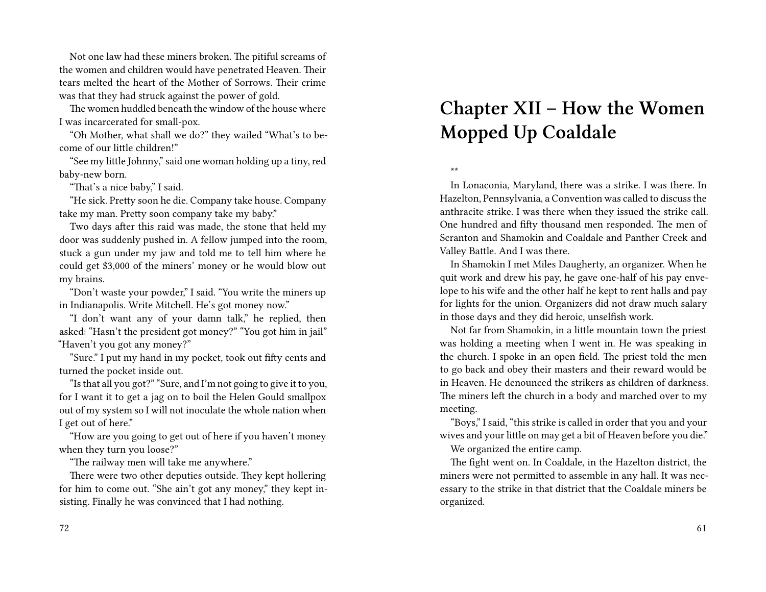Not one law had these miners broken. The pitiful screams of the women and children would have penetrated Heaven. Their tears melted the heart of the Mother of Sorrows. Their crime was that they had struck against the power of gold.

The women huddled beneath the window of the house where I was incarcerated for small-pox.

"Oh Mother, what shall we do?" they wailed "What's to become of our little children!"

"See my little Johnny," said one woman holding up a tiny, red baby-new born.

"That's a nice baby," I said.

"He sick. Pretty soon he die. Company take house. Company take my man. Pretty soon company take my baby."

Two days after this raid was made, the stone that held my door was suddenly pushed in. A fellow jumped into the room, stuck a gun under my jaw and told me to tell him where he could get \$3,000 of the miners' money or he would blow out my brains.

"Don't waste your powder," I said. "You write the miners up in Indianapolis. Write Mitchell. He's got money now."

"I don't want any of your damn talk," he replied, then asked: "Hasn't the president got money?" "You got him in jail" "Haven't you got any money?"

"Sure." I put my hand in my pocket, took out fifty cents and turned the pocket inside out.

"Is that all you got?" "Sure, and I'm not going to give it to you, for I want it to get a jag on to boil the Helen Gould smallpox out of my system so I will not inoculate the whole nation when I get out of here."

"How are you going to get out of here if you haven't money when they turn you loose?"

"The railway men will take me anywhere."

There were two other deputies outside. They kept hollering for him to come out. "She ain't got any money," they kept insisting. Finally he was convinced that I had nothing.

### 72

# **Chapter XII – How the Women Mopped Up Coaldale**

\*\*

In Lonaconia, Maryland, there was a strike. I was there. In Hazelton, Pennsylvania, a Convention was called to discuss the anthracite strike. I was there when they issued the strike call. One hundred and fifty thousand men responded. The men of Scranton and Shamokin and Coaldale and Panther Creek and Valley Battle. And I was there.

In Shamokin I met Miles Daugherty, an organizer. When he quit work and drew his pay, he gave one-half of his pay envelope to his wife and the other half he kept to rent halls and pay for lights for the union. Organizers did not draw much salary in those days and they did heroic, unselfish work.

Not far from Shamokin, in a little mountain town the priest was holding a meeting when I went in. He was speaking in the church. I spoke in an open field. The priest told the men to go back and obey their masters and their reward would be in Heaven. He denounced the strikers as children of darkness. The miners left the church in a body and marched over to my meeting.

"Boys," I said, "this strike is called in order that you and your wives and your little on may get a bit of Heaven before you die."

We organized the entire camp.

The fight went on. In Coaldale, in the Hazelton district, the miners were not permitted to assemble in any hall. It was necessary to the strike in that district that the Coaldale miners be organized.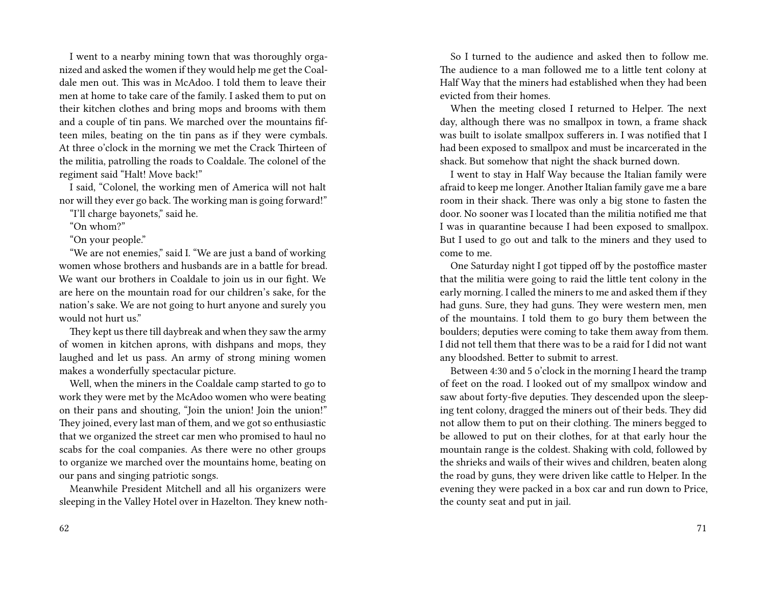I went to a nearby mining town that was thoroughly organized and asked the women if they would help me get the Coaldale men out. This was in McAdoo. I told them to leave their men at home to take care of the family. I asked them to put on their kitchen clothes and bring mops and brooms with them and a couple of tin pans. We marched over the mountains fifteen miles, beating on the tin pans as if they were cymbals. At three o'clock in the morning we met the Crack Thirteen of the militia, patrolling the roads to Coaldale. The colonel of the regiment said "Halt! Move back!"

I said, "Colonel, the working men of America will not halt nor will they ever go back. The working man is going forward!"

"I'll charge bayonets," said he.

"On whom?"

"On your people."

"We are not enemies," said I. "We are just a band of working women whose brothers and husbands are in a battle for bread. We want our brothers in Coaldale to join us in our fight. We are here on the mountain road for our children's sake, for the nation's sake. We are not going to hurt anyone and surely you would not hurt us."

They kept us there till daybreak and when they saw the army of women in kitchen aprons, with dishpans and mops, they laughed and let us pass. An army of strong mining women makes a wonderfully spectacular picture.

Well, when the miners in the Coaldale camp started to go to work they were met by the McAdoo women who were beating on their pans and shouting, "Join the union! Join the union!" They joined, every last man of them, and we got so enthusiastic that we organized the street car men who promised to haul no scabs for the coal companies. As there were no other groups to organize we marched over the mountains home, beating on our pans and singing patriotic songs.

Meanwhile President Mitchell and all his organizers were sleeping in the Valley Hotel over in Hazelton. They knew noth-

So I turned to the audience and asked then to follow me. The audience to a man followed me to a little tent colony at Half Way that the miners had established when they had been evicted from their homes.

When the meeting closed I returned to Helper. The next day, although there was no smallpox in town, a frame shack was built to isolate smallpox sufferers in. I was notified that I had been exposed to smallpox and must be incarcerated in the shack. But somehow that night the shack burned down.

I went to stay in Half Way because the Italian family were afraid to keep me longer. Another Italian family gave me a bare room in their shack. There was only a big stone to fasten the door. No sooner was I located than the militia notified me that I was in quarantine because I had been exposed to smallpox. But I used to go out and talk to the miners and they used to come to me.

One Saturday night I got tipped off by the postoffice master that the militia were going to raid the little tent colony in the early morning. I called the miners to me and asked them if they had guns. Sure, they had guns. They were western men, men of the mountains. I told them to go bury them between the boulders; deputies were coming to take them away from them. I did not tell them that there was to be a raid for I did not want any bloodshed. Better to submit to arrest.

Between 4:30 and 5 o'clock in the morning I heard the tramp of feet on the road. I looked out of my smallpox window and saw about forty-five deputies. They descended upon the sleeping tent colony, dragged the miners out of their beds. They did not allow them to put on their clothing. The miners begged to be allowed to put on their clothes, for at that early hour the mountain range is the coldest. Shaking with cold, followed by the shrieks and wails of their wives and children, beaten along the road by guns, they were driven like cattle to Helper. In the evening they were packed in a box car and run down to Price, the county seat and put in jail.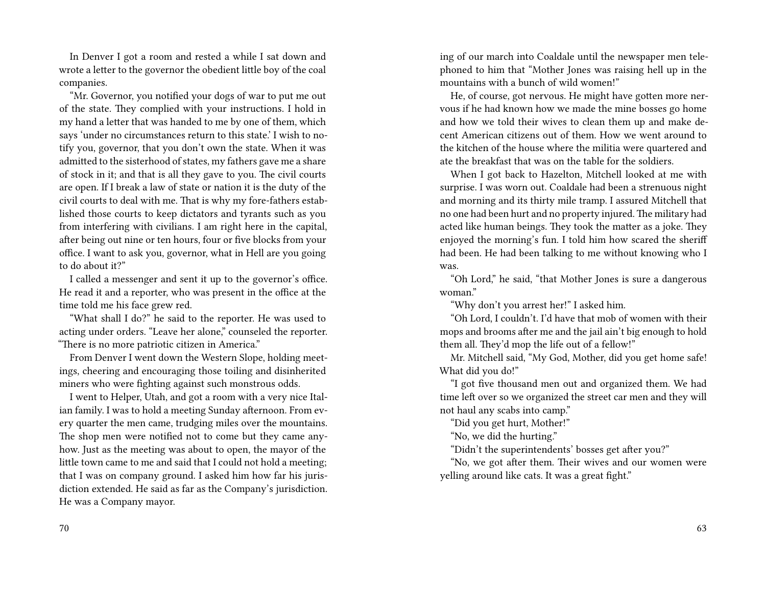In Denver I got a room and rested a while I sat down and wrote a letter to the governor the obedient little boy of the coal companies.

"Mr. Governor, you notified your dogs of war to put me out of the state. They complied with your instructions. I hold in my hand a letter that was handed to me by one of them, which says 'under no circumstances return to this state.' I wish to notify you, governor, that you don't own the state. When it was admitted to the sisterhood of states, my fathers gave me a share of stock in it; and that is all they gave to you. The civil courts are open. If I break a law of state or nation it is the duty of the civil courts to deal with me. That is why my fore-fathers established those courts to keep dictators and tyrants such as you from interfering with civilians. I am right here in the capital, after being out nine or ten hours, four or five blocks from your office. I want to ask you, governor, what in Hell are you going to do about it?"

I called a messenger and sent it up to the governor's office. He read it and a reporter, who was present in the office at the time told me his face grew red.

"What shall I do?" he said to the reporter. He was used to acting under orders. "Leave her alone," counseled the reporter. "There is no more patriotic citizen in America."

From Denver I went down the Western Slope, holding meetings, cheering and encouraging those toiling and disinherited miners who were fighting against such monstrous odds.

I went to Helper, Utah, and got a room with a very nice Italian family. I was to hold a meeting Sunday afternoon. From every quarter the men came, trudging miles over the mountains. The shop men were notified not to come but they came anyhow. Just as the meeting was about to open, the mayor of the little town came to me and said that I could not hold a meeting; that I was on company ground. I asked him how far his jurisdiction extended. He said as far as the Company's jurisdiction. He was a Company mayor.

ing of our march into Coaldale until the newspaper men telephoned to him that "Mother Jones was raising hell up in the mountains with a bunch of wild women!"

He, of course, got nervous. He might have gotten more nervous if he had known how we made the mine bosses go home and how we told their wives to clean them up and make decent American citizens out of them. How we went around to the kitchen of the house where the militia were quartered and ate the breakfast that was on the table for the soldiers.

When I got back to Hazelton, Mitchell looked at me with surprise. I was worn out. Coaldale had been a strenuous night and morning and its thirty mile tramp. I assured Mitchell that no one had been hurt and no property injured. The military had acted like human beings. They took the matter as a joke. They enjoyed the morning's fun. I told him how scared the sheriff had been. He had been talking to me without knowing who I was.

"Oh Lord," he said, "that Mother Jones is sure a dangerous woman."

"Why don't you arrest her!" I asked him.

"Oh Lord, I couldn't. I'd have that mob of women with their mops and brooms after me and the jail ain't big enough to hold them all. They'd mop the life out of a fellow!"

Mr. Mitchell said, "My God, Mother, did you get home safe! What did you do!"

"I got five thousand men out and organized them. We had time left over so we organized the street car men and they will not haul any scabs into camp."

"Did you get hurt, Mother!"

"No, we did the hurting."

"Didn't the superintendents' bosses get after you?"

"No, we got after them. Their wives and our women were yelling around like cats. It was a great fight."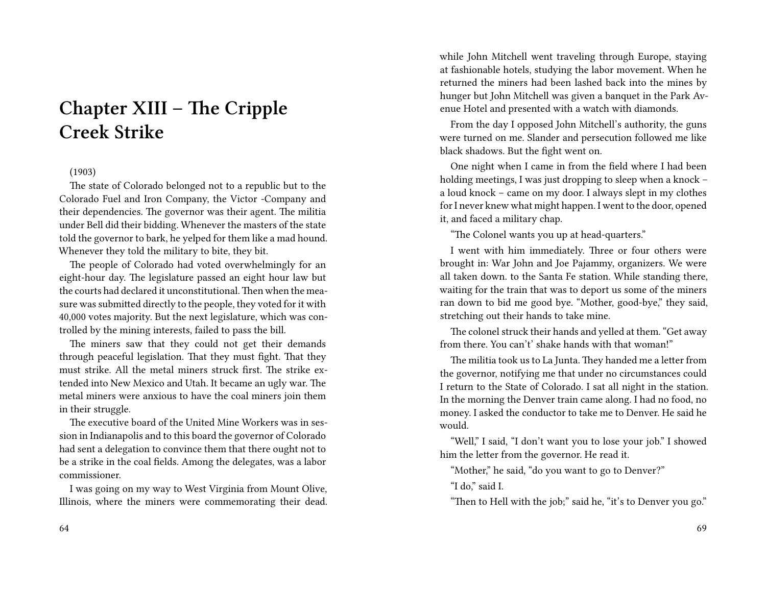# **Chapter XIII – The Cripple Creek Strike**

## (1903)

The state of Colorado belonged not to a republic but to the Colorado Fuel and Iron Company, the Victor -Company and their dependencies. The governor was their agent. The militia under Bell did their bidding. Whenever the masters of the state told the governor to bark, he yelped for them like a mad hound. Whenever they told the military to bite, they bit.

The people of Colorado had voted overwhelmingly for an eight-hour day. The legislature passed an eight hour law but the courts had declared it unconstitutional.Then when the measure was submitted directly to the people, they voted for it with 40,000 votes majority. But the next legislature, which was controlled by the mining interests, failed to pass the bill.

The miners saw that they could not get their demands through peaceful legislation. That they must fight. That they must strike. All the metal miners struck first. The strike extended into New Mexico and Utah. It became an ugly war. The metal miners were anxious to have the coal miners join them in their struggle.

The executive board of the United Mine Workers was in session in Indianapolis and to this board the governor of Colorado had sent a delegation to convince them that there ought not to be a strike in the coal fields. Among the delegates, was a labor commissioner.

I was going on my way to West Virginia from Mount Olive, Illinois, where the miners were commemorating their dead. while John Mitchell went traveling through Europe, staying at fashionable hotels, studying the labor movement. When he returned the miners had been lashed back into the mines by hunger but John Mitchell was given a banquet in the Park Avenue Hotel and presented with a watch with diamonds.

From the day I opposed John Mitchell's authority, the guns were turned on me. Slander and persecution followed me like black shadows. But the fight went on.

One night when I came in from the field where I had been holding meetings, I was just dropping to sleep when a knock – a loud knock – came on my door. I always slept in my clothes for I never knew what might happen. I went to the door, opened it, and faced a military chap.

"The Colonel wants you up at head-quarters."

I went with him immediately. Three or four others were brought in: War John and Joe Pajammy, organizers. We were all taken down. to the Santa Fe station. While standing there, waiting for the train that was to deport us some of the miners ran down to bid me good bye. "Mother, good-bye," they said, stretching out their hands to take mine.

The colonel struck their hands and yelled at them. "Get away from there. You can't' shake hands with that woman!"

The militia took us to La Junta. They handed me a letter from the governor, notifying me that under no circumstances could I return to the State of Colorado. I sat all night in the station. In the morning the Denver train came along. I had no food, no money. I asked the conductor to take me to Denver. He said he would.

"Well," I said, "I don't want you to lose your job." I showed him the letter from the governor. He read it.

"Mother," he said, "do you want to go to Denver?"

"I do," said I.

"Then to Hell with the job;" said he, "it's to Denver you go."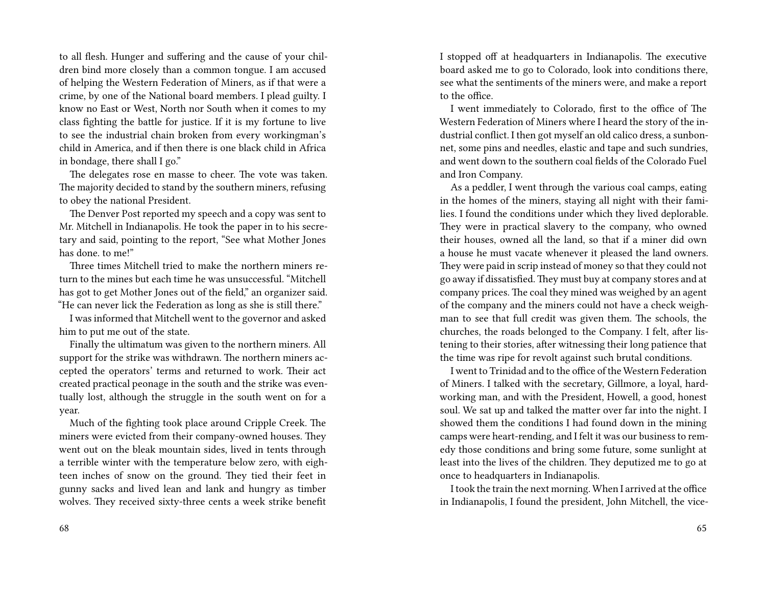to all flesh. Hunger and suffering and the cause of your children bind more closely than a common tongue. I am accused of helping the Western Federation of Miners, as if that were a crime, by one of the National board members. I plead guilty. I know no East or West, North nor South when it comes to my class fighting the battle for justice. If it is my fortune to live to see the industrial chain broken from every workingman's child in America, and if then there is one black child in Africa in bondage, there shall I go."

The delegates rose en masse to cheer. The vote was taken. The majority decided to stand by the southern miners, refusing to obey the national President.

The Denver Post reported my speech and a copy was sent to Mr. Mitchell in Indianapolis. He took the paper in to his secretary and said, pointing to the report, "See what Mother Jones has done. to me!"

Three times Mitchell tried to make the northern miners return to the mines but each time he was unsuccessful. "Mitchell has got to get Mother Jones out of the field," an organizer said. "He can never lick the Federation as long as she is still there."

I was informed that Mitchell went to the governor and asked him to put me out of the state.

Finally the ultimatum was given to the northern miners. All support for the strike was withdrawn. The northern miners accepted the operators' terms and returned to work. Their act created practical peonage in the south and the strike was eventually lost, although the struggle in the south went on for a year.

Much of the fighting took place around Cripple Creek. The miners were evicted from their company-owned houses. They went out on the bleak mountain sides, lived in tents through a terrible winter with the temperature below zero, with eighteen inches of snow on the ground. They tied their feet in gunny sacks and lived lean and lank and hungry as timber wolves. They received sixty-three cents a week strike benefit

I stopped off at headquarters in Indianapolis. The executive board asked me to go to Colorado, look into conditions there, see what the sentiments of the miners were, and make a report to the office.

I went immediately to Colorado, first to the office of The Western Federation of Miners where I heard the story of the industrial conflict. I then got myself an old calico dress, a sunbonnet, some pins and needles, elastic and tape and such sundries, and went down to the southern coal fields of the Colorado Fuel and Iron Company.

As a peddler, I went through the various coal camps, eating in the homes of the miners, staying all night with their families. I found the conditions under which they lived deplorable. They were in practical slavery to the company, who owned their houses, owned all the land, so that if a miner did own a house he must vacate whenever it pleased the land owners. They were paid in scrip instead of money so that they could not go away if dissatisfied. They must buy at company stores and at company prices. The coal they mined was weighed by an agent of the company and the miners could not have a check weighman to see that full credit was given them. The schools, the churches, the roads belonged to the Company. I felt, after listening to their stories, after witnessing their long patience that the time was ripe for revolt against such brutal conditions.

I went to Trinidad and to the office of the Western Federation of Miners. I talked with the secretary, Gillmore, a loyal, hardworking man, and with the President, Howell, a good, honest soul. We sat up and talked the matter over far into the night. I showed them the conditions I had found down in the mining camps were heart-rending, and I felt it was our business to remedy those conditions and bring some future, some sunlight at least into the lives of the children. They deputized me to go at once to headquarters in Indianapolis.

I took the train the next morning. When I arrived at the office in Indianapolis, I found the president, John Mitchell, the vice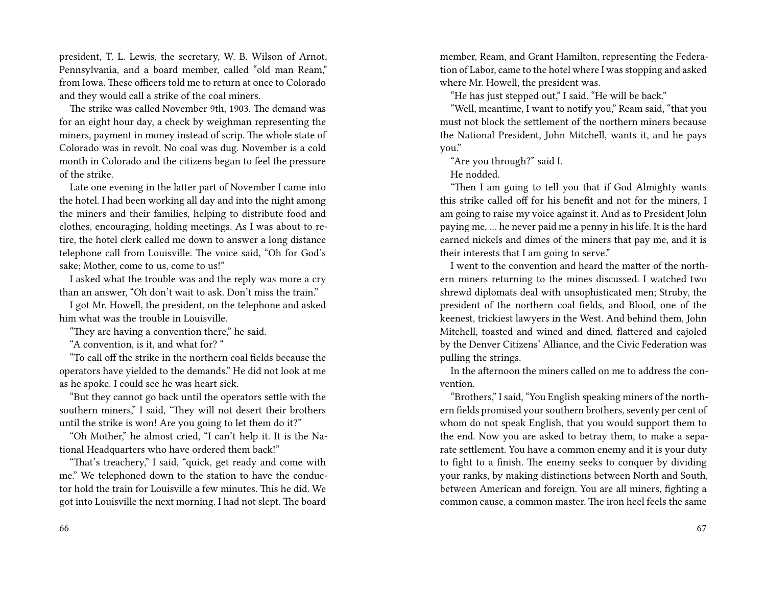president, T. L. Lewis, the secretary, W. B. Wilson of Arnot, Pennsylvania, and a board member, called "old man Ream," from Iowa. These officers told me to return at once to Colorado and they would call a strike of the coal miners.

The strike was called November 9th, 1903. The demand was for an eight hour day, a check by weighman representing the miners, payment in money instead of scrip. The whole state of Colorado was in revolt. No coal was dug. November is a cold month in Colorado and the citizens began to feel the pressure of the strike.

Late one evening in the latter part of November I came into the hotel. I had been working all day and into the night among the miners and their families, helping to distribute food and clothes, encouraging, holding meetings. As I was about to retire, the hotel clerk called me down to answer a long distance telephone call from Louisville. The voice said, "Oh for God's sake; Mother, come to us, come to us!"

I asked what the trouble was and the reply was more a cry than an answer, "Oh don't wait to ask. Don't miss the train."

I got Mr. Howell, the president, on the telephone and asked him what was the trouble in Louisville.

"They are having a convention there," he said.

"A convention, is it, and what for? "

"To call off the strike in the northern coal fields because the operators have yielded to the demands." He did not look at me as he spoke. I could see he was heart sick.

"But they cannot go back until the operators settle with the southern miners," I said, "They will not desert their brothers until the strike is won! Are you going to let them do it?"

"Oh Mother," he almost cried, "I can't help it. It is the National Headquarters who have ordered them back!"

"That's treachery," I said, "quick, get ready and come with me." We telephoned down to the station to have the conductor hold the train for Louisville a few minutes. This he did. We got into Louisville the next morning. I had not slept. The board

member, Ream, and Grant Hamilton, representing the Federation of Labor, came to the hotel where I was stopping and asked where Mr. Howell, the president was.

"He has just stepped out," I said. "He will be back."

"Well, meantime, I want to notify you," Ream said, "that you must not block the settlement of the northern miners because the National President, John Mitchell, wants it, and he pays you."

"Are you through?" said I.

He nodded.

"Then I am going to tell you that if God Almighty wants this strike called off for his benefit and not for the miners, I am going to raise my voice against it. And as to President John paying me, … he never paid me a penny in his life. It is the hard earned nickels and dimes of the miners that pay me, and it is their interests that I am going to serve."

I went to the convention and heard the matter of the northern miners returning to the mines discussed. I watched two shrewd diplomats deal with unsophisticated men; Struby, the president of the northern coal fields, and Blood, one of the keenest, trickiest lawyers in the West. And behind them, John Mitchell, toasted and wined and dined, flattered and cajoled by the Denver Citizens' Alliance, and the Civic Federation was pulling the strings.

In the afternoon the miners called on me to address the convention.

"Brothers," I said, "You English speaking miners of the northern fields promised your southern brothers, seventy per cent of whom do not speak English, that you would support them to the end. Now you are asked to betray them, to make a separate settlement. You have a common enemy and it is your duty to fight to a finish. The enemy seeks to conquer by dividing your ranks, by making distinctions between North and South, between American and foreign. You are all miners, fighting a common cause, a common master. The iron heel feels the same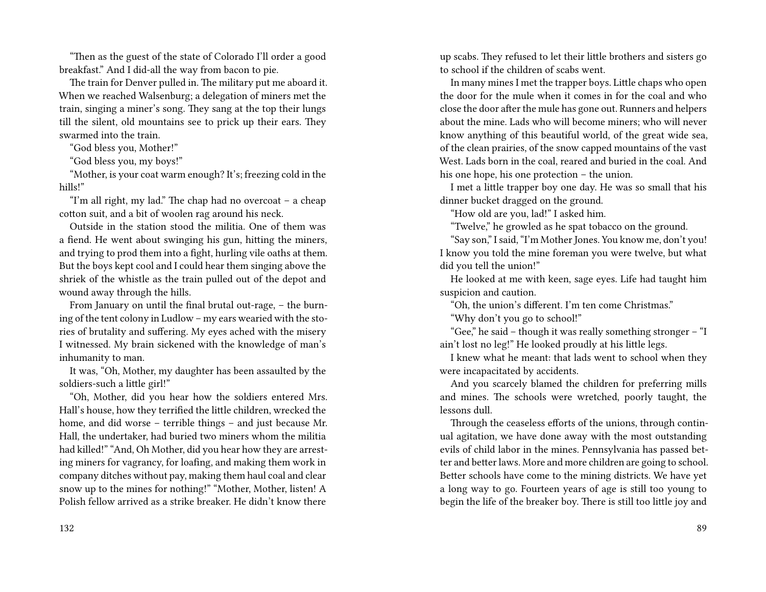"Then as the guest of the state of Colorado I'll order a good breakfast." And I did-all the way from bacon to pie.

The train for Denver pulled in. The military put me aboard it. When we reached Walsenburg; a delegation of miners met the train, singing a miner's song. They sang at the top their lungs till the silent, old mountains see to prick up their ears. They swarmed into the train.

"God bless you, Mother!"

"God bless you, my boys!"

"Mother, is your coat warm enough? It's; freezing cold in the hills!"

"I'm all right, my lad." The chap had no overcoat – a cheap cotton suit, and a bit of woolen rag around his neck.

Outside in the station stood the militia. One of them was a fiend. He went about swinging his gun, hitting the miners, and trying to prod them into a fight, hurling vile oaths at them. But the boys kept cool and I could hear them singing above the shriek of the whistle as the train pulled out of the depot and wound away through the hills.

From January on until the final brutal out-rage, – the burning of the tent colony in Ludlow – my ears wearied with the stories of brutality and suffering. My eyes ached with the misery I witnessed. My brain sickened with the knowledge of man's inhumanity to man.

It was, "Oh, Mother, my daughter has been assaulted by the soldiers-such a little girl!"

"Oh, Mother, did you hear how the soldiers entered Mrs. Hall's house, how they terrified the little children, wrecked the home, and did worse – terrible things – and just because Mr. Hall, the undertaker, had buried two miners whom the militia had killed!" "And, Oh Mother, did you hear how they are arresting miners for vagrancy, for loafing, and making them work in company ditches without pay, making them haul coal and clear snow up to the mines for nothing!" "Mother, Mother, listen! A Polish fellow arrived as a strike breaker. He didn't know there

up scabs. They refused to let their little brothers and sisters go to school if the children of scabs went.

In many mines I met the trapper boys. Little chaps who open the door for the mule when it comes in for the coal and who close the door after the mule has gone out. Runners and helpers about the mine. Lads who will become miners; who will never know anything of this beautiful world, of the great wide sea, of the clean prairies, of the snow capped mountains of the vast West. Lads born in the coal, reared and buried in the coal. And his one hope, his one protection – the union.

I met a little trapper boy one day. He was so small that his dinner bucket dragged on the ground.

"How old are you, lad!" I asked him.

"Twelve," he growled as he spat tobacco on the ground.

"Say son," I said, "I'm Mother Jones. You know me, don't you! I know you told the mine foreman you were twelve, but what did you tell the union!"

He looked at me with keen, sage eyes. Life had taught him suspicion and caution.

"Oh, the union's different. I'm ten come Christmas."

"Why don't you go to school!"

"Gee," he said – though it was really something stronger – "I ain't lost no leg!" He looked proudly at his little legs.

I knew what he meant: that lads went to school when they were incapacitated by accidents.

And you scarcely blamed the children for preferring mills and mines. The schools were wretched, poorly taught, the lessons dull.

Through the ceaseless efforts of the unions, through continual agitation, we have done away with the most outstanding evils of child labor in the mines. Pennsylvania has passed better and better laws. More and more children are going to school. Better schools have come to the mining districts. We have yet a long way to go. Fourteen years of age is still too young to begin the life of the breaker boy. There is still too little joy and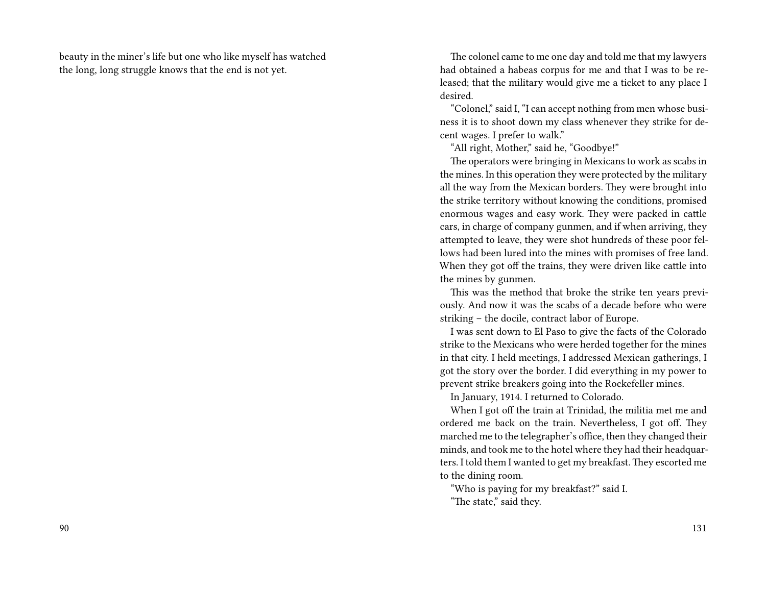beauty in the miner's life but one who like myself has watched the long, long struggle knows that the end is not yet.

The colonel came to me one day and told me that my lawyers had obtained a habeas corpus for me and that I was to be released; that the military would give me a ticket to any place I desired.

"Colonel," said I, "I can accept nothing from men whose business it is to shoot down my class whenever they strike for decent wages. I prefer to walk."

"All right, Mother," said he, "Goodbye!"

The operators were bringing in Mexicans to work as scabs in the mines. In this operation they were protected by the military all the way from the Mexican borders. They were brought into the strike territory without knowing the conditions, promised enormous wages and easy work. They were packed in cattle cars, in charge of company gunmen, and if when arriving, they attempted to leave, they were shot hundreds of these poor fellows had been lured into the mines with promises of free land. When they got off the trains, they were driven like cattle into the mines by gunmen.

This was the method that broke the strike ten years previously. And now it was the scabs of a decade before who were striking – the docile, contract labor of Europe.

I was sent down to El Paso to give the facts of the Colorado strike to the Mexicans who were herded together for the mines in that city. I held meetings, I addressed Mexican gatherings, I got the story over the border. I did everything in my power to prevent strike breakers going into the Rockefeller mines.

In January, 1914. I returned to Colorado.

When I got off the train at Trinidad, the militia met me and ordered me back on the train. Nevertheless, I got off. They marched me to the telegrapher's office, then they changed their minds, and took me to the hotel where they had their headquarters. I told them I wanted to get my breakfast. They escorted me to the dining room.

"Who is paying for my breakfast?" said I.

"The state," said they.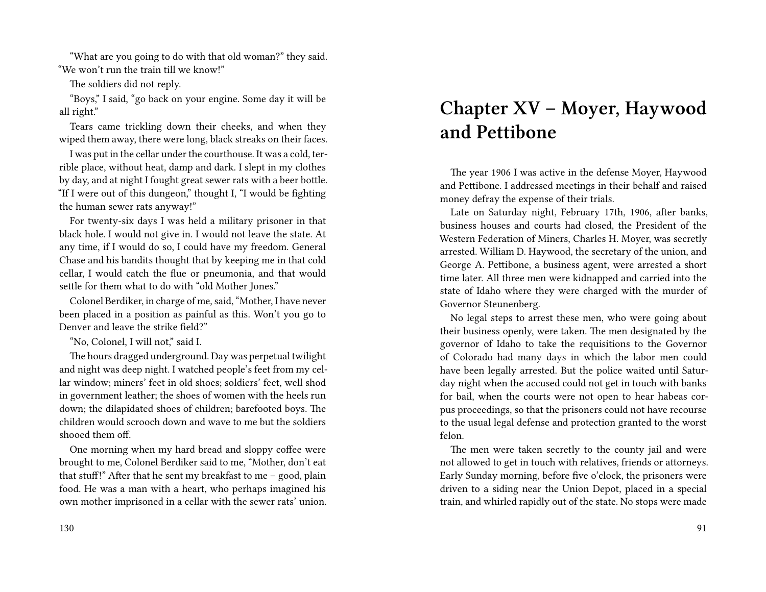"What are you going to do with that old woman?" they said. "We won't run the train till we know!"

The soldiers did not reply.

"Boys," I said, "go back on your engine. Some day it will be all right."

Tears came trickling down their cheeks, and when they wiped them away, there were long, black streaks on their faces.

I was put in the cellar under the courthouse. It was a cold, terrible place, without heat, damp and dark. I slept in my clothes by day, and at night I fought great sewer rats with a beer bottle. "If I were out of this dungeon," thought I, "I would be fighting the human sewer rats anyway!"

For twenty-six days I was held a military prisoner in that black hole. I would not give in. I would not leave the state. At any time, if I would do so, I could have my freedom. General Chase and his bandits thought that by keeping me in that cold cellar, I would catch the flue or pneumonia, and that would settle for them what to do with "old Mother Jones."

Colonel Berdiker, in charge of me, said, "Mother, I have never been placed in a position as painful as this. Won't you go to Denver and leave the strike field?"

"No, Colonel, I will not," said I.

The hours dragged underground. Day was perpetual twilight and night was deep night. I watched people's feet from my cellar window; miners' feet in old shoes; soldiers' feet, well shod in government leather; the shoes of women with the heels run down; the dilapidated shoes of children; barefooted boys. The children would scrooch down and wave to me but the soldiers shooed them off.

One morning when my hard bread and sloppy coffee were brought to me, Colonel Berdiker said to me, "Mother, don't eat that stuff!" After that he sent my breakfast to me  $-$  good, plain food. He was a man with a heart, who perhaps imagined his own mother imprisoned in a cellar with the sewer rats' union.

**Chapter XV – Moyer, Haywood and Pettibone**

The year 1906 I was active in the defense Moyer, Haywood and Pettibone. I addressed meetings in their behalf and raised money defray the expense of their trials.

Late on Saturday night, February 17th, 1906, after banks, business houses and courts had closed, the President of the Western Federation of Miners, Charles H. Moyer, was secretly arrested. William D. Haywood, the secretary of the union, and George A. Pettibone, a business agent, were arrested a short time later. All three men were kidnapped and carried into the state of Idaho where they were charged with the murder of Governor Steunenberg.

No legal steps to arrest these men, who were going about their business openly, were taken. The men designated by the governor of Idaho to take the requisitions to the Governor of Colorado had many days in which the labor men could have been legally arrested. But the police waited until Saturday night when the accused could not get in touch with banks for bail, when the courts were not open to hear habeas corpus proceedings, so that the prisoners could not have recourse to the usual legal defense and protection granted to the worst felon.

The men were taken secretly to the county jail and were not allowed to get in touch with relatives, friends or attorneys. Early Sunday morning, before five o'clock, the prisoners were driven to a siding near the Union Depot, placed in a special train, and whirled rapidly out of the state. No stops were made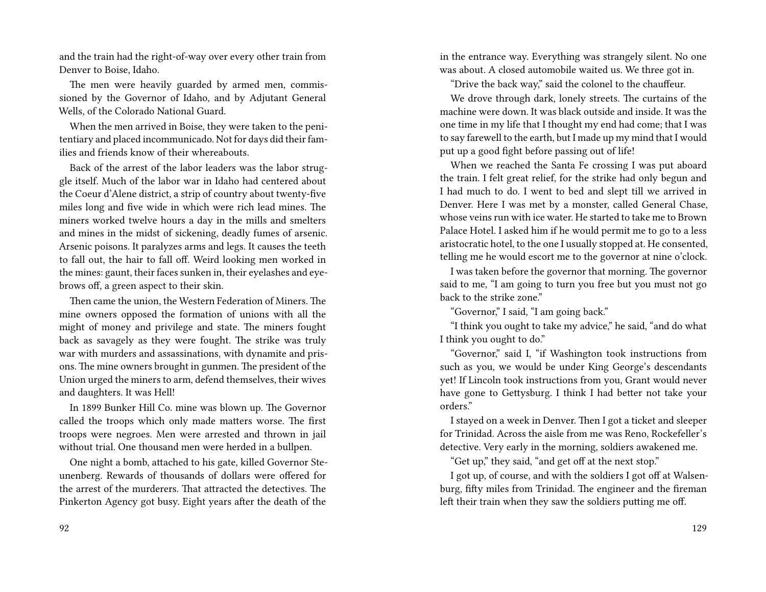and the train had the right-of-way over every other train from Denver to Boise, Idaho.

The men were heavily guarded by armed men, commissioned by the Governor of Idaho, and by Adjutant General Wells, of the Colorado National Guard.

When the men arrived in Boise, they were taken to the penitentiary and placed incommunicado. Not for days did their families and friends know of their whereabouts.

Back of the arrest of the labor leaders was the labor struggle itself. Much of the labor war in Idaho had centered about the Coeur d'Alene district, a strip of country about twenty-five miles long and five wide in which were rich lead mines. The miners worked twelve hours a day in the mills and smelters and mines in the midst of sickening, deadly fumes of arsenic. Arsenic poisons. It paralyzes arms and legs. It causes the teeth to fall out, the hair to fall off. Weird looking men worked in the mines: gaunt, their faces sunken in, their eyelashes and eyebrows off, a green aspect to their skin.

Then came the union, the Western Federation of Miners. The mine owners opposed the formation of unions with all the might of money and privilege and state. The miners fought back as savagely as they were fought. The strike was truly war with murders and assassinations, with dynamite and prisons. The mine owners brought in gunmen. The president of the Union urged the miners to arm, defend themselves, their wives and daughters. It was Hell!

In 1899 Bunker Hill Co. mine was blown up. The Governor called the troops which only made matters worse. The first troops were negroes. Men were arrested and thrown in jail without trial. One thousand men were herded in a bullpen.

One night a bomb, attached to his gate, killed Governor Steunenberg. Rewards of thousands of dollars were offered for the arrest of the murderers. That attracted the detectives. The Pinkerton Agency got busy. Eight years after the death of the

in the entrance way. Everything was strangely silent. No one was about. A closed automobile waited us. We three got in.

"Drive the back way," said the colonel to the chauffeur.

We drove through dark, lonely streets. The curtains of the machine were down. It was black outside and inside. It was the one time in my life that I thought my end had come; that I was to say farewell to the earth, but I made up my mind that I would put up a good fight before passing out of life!

When we reached the Santa Fe crossing I was put aboard the train. I felt great relief, for the strike had only begun and I had much to do. I went to bed and slept till we arrived in Denver. Here I was met by a monster, called General Chase, whose veins run with ice water. He started to take me to Brown Palace Hotel. I asked him if he would permit me to go to a less aristocratic hotel, to the one I usually stopped at. He consented, telling me he would escort me to the governor at nine o'clock.

I was taken before the governor that morning. The governor said to me, "I am going to turn you free but you must not go back to the strike zone."

"Governor," I said, "I am going back."

"I think you ought to take my advice," he said, "and do what I think you ought to do."

"Governor," said I, "if Washington took instructions from such as you, we would be under King George's descendants yet! If Lincoln took instructions from you, Grant would never have gone to Gettysburg. I think I had better not take your orders."

I stayed on a week in Denver. Then I got a ticket and sleeper for Trinidad. Across the aisle from me was Reno, Rockefeller's detective. Very early in the morning, soldiers awakened me.

"Get up," they said, "and get off at the next stop."

I got up, of course, and with the soldiers I got off at Walsenburg, fifty miles from Trinidad. The engineer and the fireman left their train when they saw the soldiers putting me off.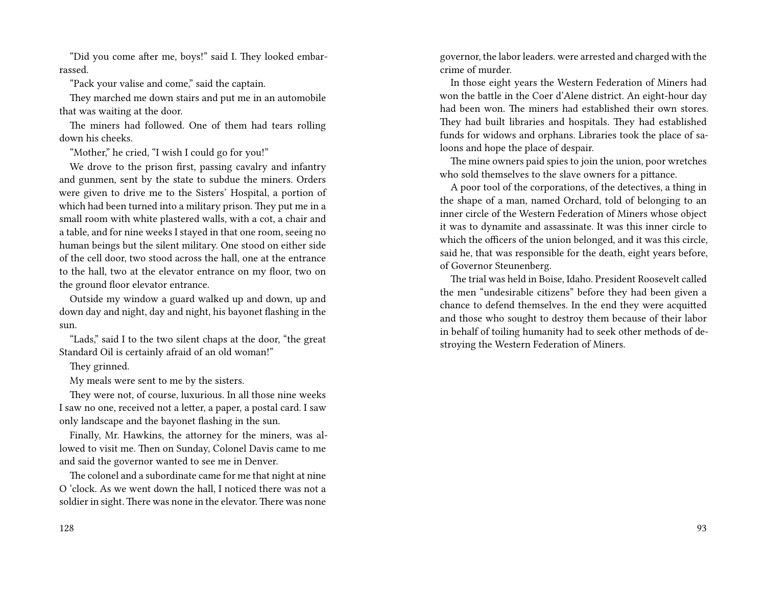"Did you come after me, boys!" said I. They looked embarrassed.

"Pack your valise and come," said the captain.

They marched me down stairs and put me in an automobile that was waiting at the door.

The miners had followed. One of them had tears rolling down his cheeks.

"Mother," he cried, "I wish I could go for you!"

We drove to the prison first, passing cavalry and infantry and gunmen, sent by the state to subdue the miners. Orders were given to drive me to the Sisters' Hospital, a portion of which had been turned into a military prison. They put me in a small room with white plastered walls, with a cot, a chair and a table, and for nine weeks I stayed in that one room, seeing no human beings but the silent military. One stood on either side of the cell door, two stood across the hall, one at the entrance to the hall, two at the elevator entrance on my floor, two on the ground floor elevator entrance.

Outside my window a guard walked up and down, up and down day and night, day and night, his bayonet flashing in the sun.

"Lads," said I to the two silent chaps at the door, "the great Standard Oil is certainly afraid of an old woman!"

They grinned.

My meals were sent to me by the sisters.

They were not, of course, luxurious. In all those nine weeks I saw no one, received not a letter, a paper, a postal card. I saw only landscape and the bayonet flashing in the sun.

Finally, Mr. Hawkins, the attorney for the miners, was allowed to visit me. Then on Sunday, Colonel Davis came to me and said the governor wanted to see me in Denver.

The colonel and a subordinate came for me that night at nine O 'clock. As we went down the hall, I noticed there was not a soldier in sight. There was none in the elevator. There was none governor, the labor leaders. were arrested and charged with the crime of murder.

In those eight years the Western Federation of Miners had won the battle in the Coer d'Alene district. An eight-hour day had been won. The miners had established their own stores. They had built libraries and hospitals. They had established funds for widows and orphans. Libraries took the place of saloons and hope the place of despair.

The mine owners paid spies to join the union, poor wretches who sold themselves to the slave owners for a pittance.

A poor tool of the corporations, of the detectives, a thing in the shape of a man, named Orchard, told of belonging to an inner circle of the Western Federation of Miners whose object it was to dynamite and assassinate. It was this inner circle to which the officers of the union belonged, and it was this circle, said he, that was responsible for the death, eight years before, of Governor Steunenberg.

The trial was held in Boise, Idaho. President Roosevelt called the men "undesirable citizens" before they had been given a chance to defend themselves. In the end they were acquitted and those who sought to destroy them because of their labor in behalf of toiling humanity had to seek other methods of destroying the Western Federation of Miners.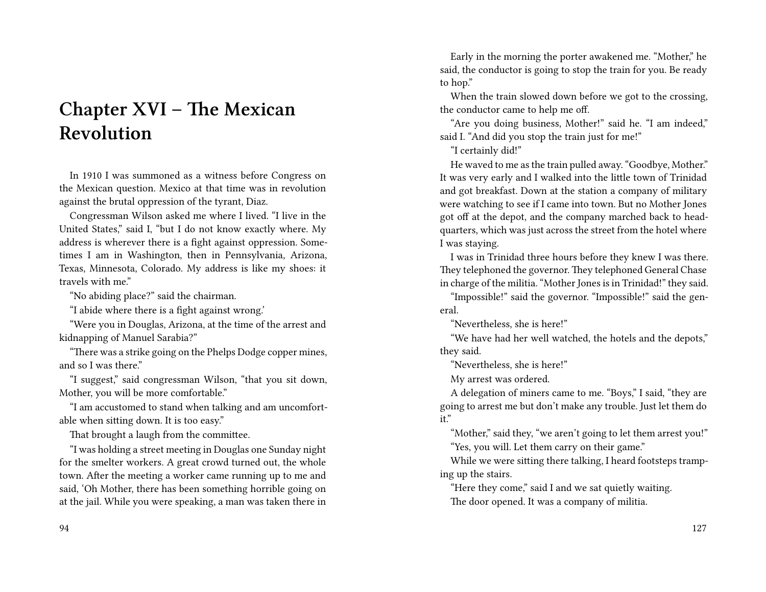# **Chapter XVI – The Mexican Revolution**

In 1910 I was summoned as a witness before Congress on the Mexican question. Mexico at that time was in revolution against the brutal oppression of the tyrant, Diaz.

Congressman Wilson asked me where I lived. "I live in the United States," said I, "but I do not know exactly where. My address is wherever there is a fight against oppression. Sometimes I am in Washington, then in Pennsylvania, Arizona, Texas, Minnesota, Colorado. My address is like my shoes: it travels with me."

"No abiding place?" said the chairman.

"I abide where there is a fight against wrong.'

"Were you in Douglas, Arizona, at the time of the arrest and kidnapping of Manuel Sarabia?"

"There was a strike going on the Phelps Dodge copper mines, and so I was there."

"I suggest," said congressman Wilson, "that you sit down, Mother, you will be more comfortable."

"I am accustomed to stand when talking and am uncomfortable when sitting down. It is too easy."

That brought a laugh from the committee.

"I was holding a street meeting in Douglas one Sunday night for the smelter workers. A great crowd turned out, the whole town. After the meeting a worker came running up to me and said, 'Oh Mother, there has been something horrible going on at the jail. While you were speaking, a man was taken there in

Early in the morning the porter awakened me. "Mother," he said, the conductor is going to stop the train for you. Be ready to hop."

When the train slowed down before we got to the crossing, the conductor came to help me off.

"Are you doing business, Mother!" said he. "I am indeed," said I. "And did you stop the train just for me!"

"I certainly did!"

He waved to me as the train pulled away. "Goodbye, Mother." It was very early and I walked into the little town of Trinidad and got breakfast. Down at the station a company of military were watching to see if I came into town. But no Mother Jones got off at the depot, and the company marched back to headquarters, which was just across the street from the hotel where I was staying.

I was in Trinidad three hours before they knew I was there. They telephoned the governor. They telephoned General Chase in charge of the militia. "Mother Jones is in Trinidad!" they said.

"Impossible!" said the governor. "Impossible!" said the general.

"Nevertheless, she is here!"

"We have had her well watched, the hotels and the depots," they said.

"Nevertheless, she is here!"

My arrest was ordered.

A delegation of miners came to me. "Boys," I said, "they are going to arrest me but don't make any trouble. Just let them do it."

"Mother," said they, "we aren't going to let them arrest you!" "Yes, you will. Let them carry on their game."

While we were sitting there talking, I heard footsteps tramping up the stairs.

"Here they come," said I and we sat quietly waiting. The door opened. It was a company of militia.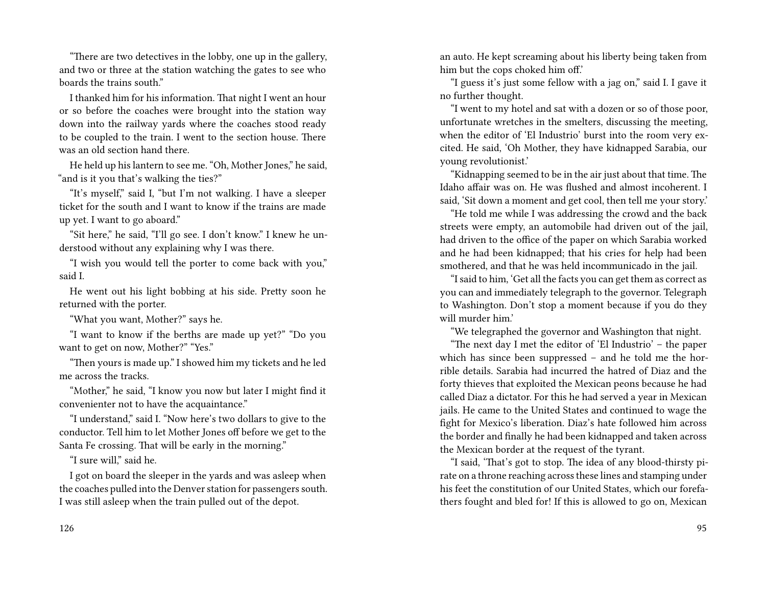"There are two detectives in the lobby, one up in the gallery, and two or three at the station watching the gates to see who boards the trains south."

I thanked him for his information. That night I went an hour or so before the coaches were brought into the station way down into the railway yards where the coaches stood ready to be coupled to the train. I went to the section house. There was an old section hand there.

He held up his lantern to see me. "Oh, Mother Jones," he said, "and is it you that's walking the ties?"

"It's myself," said I, "but I'm not walking. I have a sleeper ticket for the south and I want to know if the trains are made up yet. I want to go aboard."

"Sit here," he said, "I'll go see. I don't know." I knew he understood without any explaining why I was there.

"I wish you would tell the porter to come back with you," said I.

He went out his light bobbing at his side. Pretty soon he returned with the porter.

"What you want, Mother?" says he.

"I want to know if the berths are made up yet?" "Do you want to get on now, Mother?" "Yes."

"Then yours is made up." I showed him my tickets and he led me across the tracks.

"Mother," he said, "I know you now but later I might find it convenienter not to have the acquaintance."

"I understand," said I. "Now here's two dollars to give to the conductor. Tell him to let Mother Jones off before we get to the Santa Fe crossing. That will be early in the morning."

"I sure will," said he.

I got on board the sleeper in the yards and was asleep when the coaches pulled into the Denver station for passengers south. I was still asleep when the train pulled out of the depot.

an auto. He kept screaming about his liberty being taken from him but the cops choked him off.'

"I guess it's just some fellow with a jag on," said I. I gave it no further thought.

"I went to my hotel and sat with a dozen or so of those poor, unfortunate wretches in the smelters, discussing the meeting, when the editor of 'El Industrio' burst into the room very excited. He said, 'Oh Mother, they have kidnapped Sarabia, our young revolutionist.'

"Kidnapping seemed to be in the air just about that time. The Idaho affair was on. He was flushed and almost incoherent. I said, 'Sit down a moment and get cool, then tell me your story.'

"He told me while I was addressing the crowd and the back streets were empty, an automobile had driven out of the jail, had driven to the office of the paper on which Sarabia worked and he had been kidnapped; that his cries for help had been smothered, and that he was held incommunicado in the jail.

"I said to him, 'Get all the facts you can get them as correct as you can and immediately telegraph to the governor. Telegraph to Washington. Don't stop a moment because if you do they will murder him.'

"We telegraphed the governor and Washington that night.

"The next day I met the editor of 'El Industrio' – the paper which has since been suppressed – and he told me the horrible details. Sarabia had incurred the hatred of Diaz and the forty thieves that exploited the Mexican peons because he had called Diaz a dictator. For this he had served a year in Mexican jails. He came to the United States and continued to wage the fight for Mexico's liberation. Diaz's hate followed him across the border and finally he had been kidnapped and taken across the Mexican border at the request of the tyrant.

"I said, 'That's got to stop. The idea of any blood-thirsty pirate on a throne reaching across these lines and stamping under his feet the constitution of our United States, which our forefathers fought and bled for! If this is allowed to go on, Mexican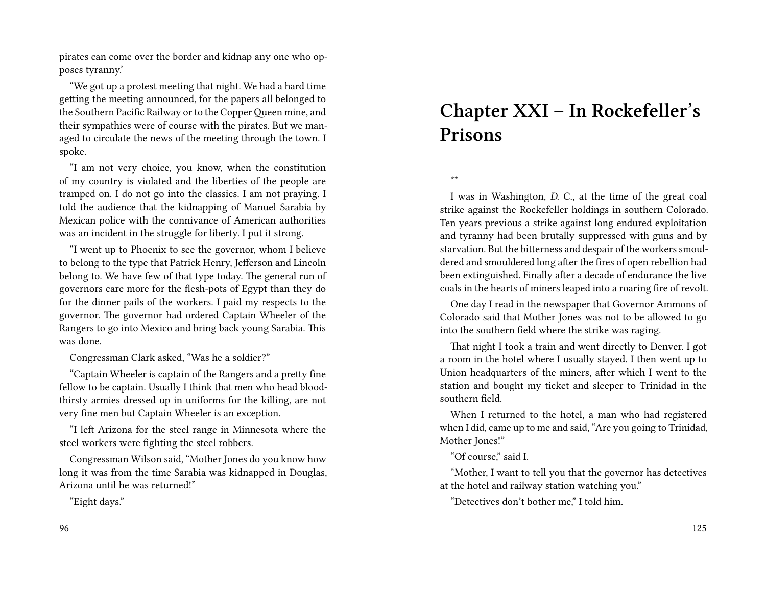pirates can come over the border and kidnap any one who opposes tyranny.'

"We got up a protest meeting that night. We had a hard time getting the meeting announced, for the papers all belonged to the Southern Pacific Railway or to the CopperQueen mine, and their sympathies were of course with the pirates. But we managed to circulate the news of the meeting through the town. I spoke.

"I am not very choice, you know, when the constitution of my country is violated and the liberties of the people are tramped on. I do not go into the classics. I am not praying. I told the audience that the kidnapping of Manuel Sarabia by Mexican police with the connivance of American authorities was an incident in the struggle for liberty. I put it strong.

"I went up to Phoenix to see the governor, whom I believe to belong to the type that Patrick Henry, Jefferson and Lincoln belong to. We have few of that type today. The general run of governors care more for the flesh-pots of Egypt than they do for the dinner pails of the workers. I paid my respects to the governor. The governor had ordered Captain Wheeler of the Rangers to go into Mexico and bring back young Sarabia. This was done.

Congressman Clark asked, "Was he a soldier?"

"Captain Wheeler is captain of the Rangers and a pretty fine fellow to be captain. Usually I think that men who head bloodthirsty armies dressed up in uniforms for the killing, are not very fine men but Captain Wheeler is an exception.

"I left Arizona for the steel range in Minnesota where the steel workers were fighting the steel robbers.

Congressman Wilson said, "Mother Jones do you know how long it was from the time Sarabia was kidnapped in Douglas, Arizona until he was returned!"

"Eight days."

# **Chapter XXI – In Rockefeller's Prisons**

\*\*

I was in Washington, *D.* C., at the time of the great coal strike against the Rockefeller holdings in southern Colorado. Ten years previous a strike against long endured exploitation and tyranny had been brutally suppressed with guns and by starvation. But the bitterness and despair of the workers smouldered and smouldered long after the fires of open rebellion had been extinguished. Finally after a decade of endurance the live coals in the hearts of miners leaped into a roaring fire of revolt.

One day I read in the newspaper that Governor Ammons of Colorado said that Mother Jones was not to be allowed to go into the southern field where the strike was raging.

That night I took a train and went directly to Denver. I got a room in the hotel where I usually stayed. I then went up to Union headquarters of the miners, after which I went to the station and bought my ticket and sleeper to Trinidad in the southern field.

When I returned to the hotel, a man who had registered when I did, came up to me and said, "Are you going to Trinidad, Mother Jones!"

"Of course," said I.

"Mother, I want to tell you that the governor has detectives at the hotel and railway station watching you."

"Detectives don't bother me," I told him.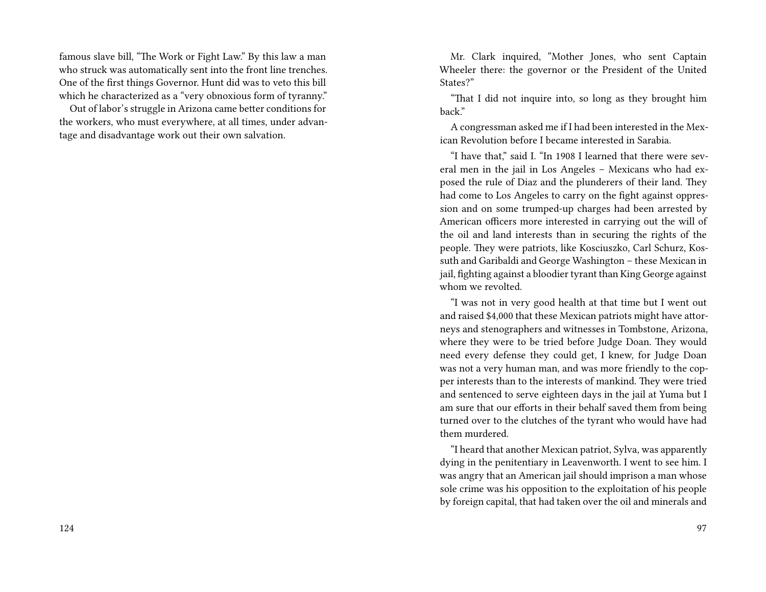famous slave bill, "The Work or Fight Law." By this law a man who struck was automatically sent into the front line trenches. One of the first things Governor. Hunt did was to veto this bill which he characterized as a "very obnoxious form of tyranny."

Out of labor's struggle in Arizona came better conditions for the workers, who must everywhere, at all times, under advantage and disadvantage work out their own salvation.

Mr. Clark inquired, "Mother Jones, who sent Captain Wheeler there: the governor or the President of the United States?"

"That I did not inquire into, so long as they brought him back."

A congressman asked me if I had been interested in the Mexican Revolution before I became interested in Sarabia.

"I have that," said I. "In 1908 I learned that there were several men in the jail in Los Angeles – Mexicans who had exposed the rule of Diaz and the plunderers of their land. They had come to Los Angeles to carry on the fight against oppression and on some trumped-up charges had been arrested by American officers more interested in carrying out the will of the oil and land interests than in securing the rights of the people. They were patriots, like Kosciuszko, Carl Schurz, Kossuth and Garibaldi and George Washington – these Mexican in jail, fighting against a bloodier tyrant than King George against whom we revolted.

"I was not in very good health at that time but I went out and raised \$4,000 that these Mexican patriots might have attorneys and stenographers and witnesses in Tombstone, Arizona, where they were to be tried before Judge Doan. They would need every defense they could get, I knew, for Judge Doan was not a very human man, and was more friendly to the copper interests than to the interests of mankind. They were tried and sentenced to serve eighteen days in the jail at Yuma but I am sure that our efforts in their behalf saved them from being turned over to the clutches of the tyrant who would have had them murdered.

"I heard that another Mexican patriot, Sylva, was apparently dying in the penitentiary in Leavenworth. I went to see him. I was angry that an American jail should imprison a man whose sole crime was his opposition to the exploitation of his people by foreign capital, that had taken over the oil and minerals and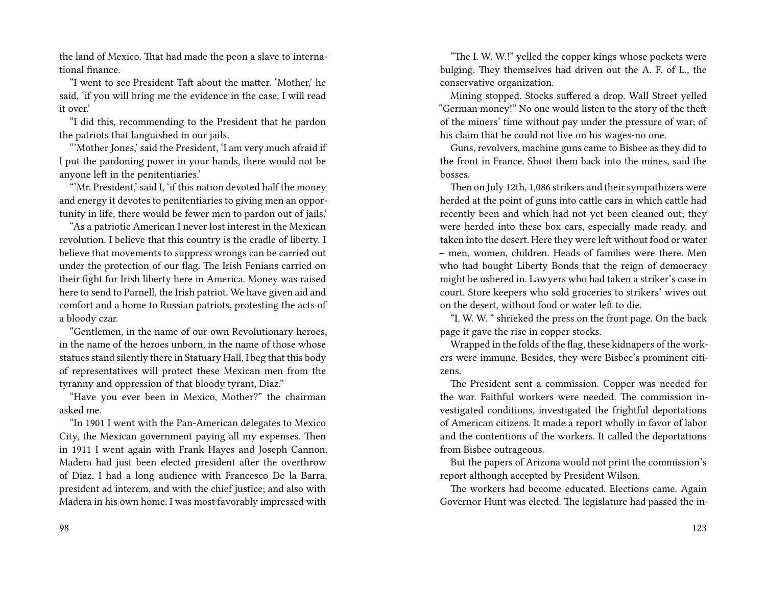the land of Mexico. That had made the peon a slave to international finance.

"I went to see President Taft about the matter. 'Mother,' he said, 'if you will bring me the evidence in the case, I will read it over.'

"I did this, recommending to the President that he pardon the patriots that languished in our jails.

"'Mother Jones,' said the President, 'I am very much afraid if I put the pardoning power in your hands, there would not be anyone left in the penitentiaries.'

"'Mr. President,' said I, 'if this nation devoted half the money and energy it devotes to penitentiaries to giving men an opportunity in life, there would be fewer men to pardon out of jails.'

"As a patriotic American I never lost interest in the Mexican revolution. I believe that this country is the cradle of liberty. I believe that movements to suppress wrongs can be carried out under the protection of our flag. The Irish Fenians carried on their fight for Irish liberty here in America. Money was raised here to send to Parnell, the Irish patriot. We have given aid and comfort and a home to Russian patriots, protesting the acts of a bloody czar.

"Gentlemen, in the name of our own Revolutionary heroes, in the name of the heroes unborn, in the name of those whose statues stand silently there in Statuary Hall, I beg that this body of representatives will protect these Mexican men from the tyranny and oppression of that bloody tyrant, Diaz."

"Have you ever been in Mexico, Mother?" the chairman asked me.

"In 1901 I went with the Pan-American delegates to Mexico City, the Mexican government paying all my expenses. Then in 1911 I went again with Frank Hayes and Joseph Cannon. Madera had just been elected president after the overthrow of Diaz. I had a long audience with Francesco De la Barra, president ad interem, and with the chief justice; and also with Madera in his own home. I was most favorably impressed with

"The I. W. W.!" yelled the copper kings whose pockets were bulging. They themselves had driven out the A. F. of L., the conservative organization.

Mining stopped. Stocks suffered a drop. Wall Street yelled "German money!" No one would listen to the story of the theft of the miners' time without pay under the pressure of war; of his claim that he could not live on his wages-no one.

Guns, revolvers, machine guns came to Bisbee as they did to the front in France. Shoot them back into the mines, said the bosses.

Then on July 12th, 1,086 strikers and their sympathizers were herded at the point of guns into cattle cars in which cattle had recently been and which had not yet been cleaned out; they were herded into these box cars, especially made ready, and taken into the desert. Here they were left without food or water – men, women, children. Heads of families were there. Men who had bought Liberty Bonds that the reign of democracy might be ushered in. Lawyers who had taken a striker's case in court. Store keepers who sold groceries to strikers' wives out on the desert, without food or water left to die.

"I. W. W. " shrieked the press on the front page. On the back page it gave the rise in copper stocks.

Wrapped in the folds of the flag, these kidnapers of the workers were immune. Besides, they were Bisbee's prominent citizens.

The President sent a commission. Copper was needed for the war. Faithful workers were needed. The commission investigated conditions, investigated the frightful deportations of American citizens. It made a report wholly in favor of labor and the contentions of the workers. It called the deportations from Bisbee outrageous.

But the papers of Arizona would not print the commission's report although accepted by President Wilson.

The workers had become educated. Elections came. Again Governor Hunt was elected. The legislature had passed the in-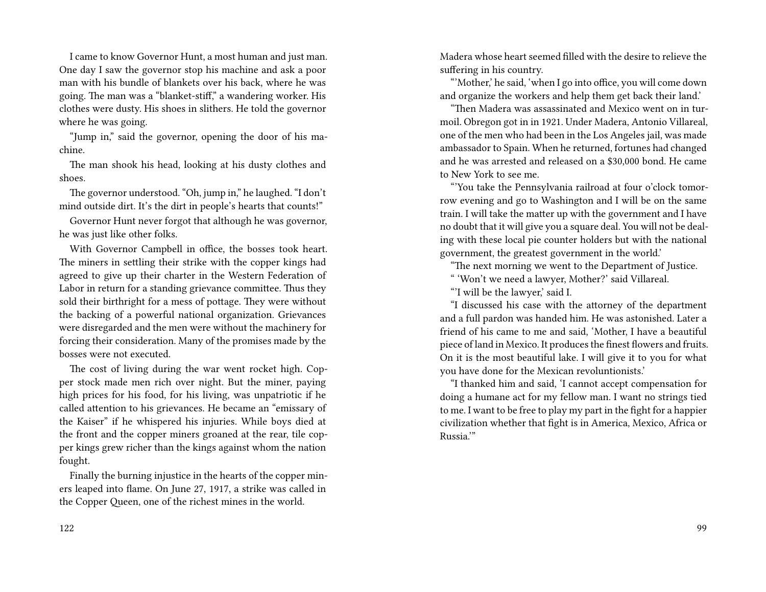I came to know Governor Hunt, a most human and just man. One day I saw the governor stop his machine and ask a poor man with his bundle of blankets over his back, where he was going. The man was a "blanket-stiff," a wandering worker. His clothes were dusty. His shoes in slithers. He told the governor where he was going.

"Jump in," said the governor, opening the door of his machine.

The man shook his head, looking at his dusty clothes and shoes.

The governor understood. "Oh, jump in," he laughed. "I don't mind outside dirt. It's the dirt in people's hearts that counts!"

Governor Hunt never forgot that although he was governor, he was just like other folks.

With Governor Campbell in office, the bosses took heart. The miners in settling their strike with the copper kings had agreed to give up their charter in the Western Federation of Labor in return for a standing grievance committee. Thus they sold their birthright for a mess of pottage. They were without the backing of a powerful national organization. Grievances were disregarded and the men were without the machinery for forcing their consideration. Many of the promises made by the bosses were not executed.

The cost of living during the war went rocket high. Copper stock made men rich over night. But the miner, paying high prices for his food, for his living, was unpatriotic if he called attention to his grievances. He became an "emissary of the Kaiser" if he whispered his injuries. While boys died at the front and the copper miners groaned at the rear, tile copper kings grew richer than the kings against whom the nation fought.

Finally the burning injustice in the hearts of the copper miners leaped into flame. On June 27, 1917, a strike was called in the Copper Queen, one of the richest mines in the world.

Madera whose heart seemed filled with the desire to relieve the suffering in his country.

"'Mother,' he said, 'when I go into office, you will come down and organize the workers and help them get back their land.'

"Then Madera was assassinated and Mexico went on in turmoil. Obregon got in in 1921. Under Madera, Antonio Villareal, one of the men who had been in the Los Angeles jail, was made ambassador to Spain. When he returned, fortunes had changed and he was arrested and released on a \$30,000 bond. He came to New York to see me.

"'You take the Pennsylvania railroad at four o'clock tomorrow evening and go to Washington and I will be on the same train. I will take the matter up with the government and I have no doubt that it will give you a square deal. You will not be dealing with these local pie counter holders but with the national government, the greatest government in the world.'

"The next morning we went to the Department of Justice.

" 'Won't we need a lawyer, Mother?' said Villareal.

"'I will be the lawyer,' said I.

"I discussed his case with the attorney of the department and a full pardon was handed him. He was astonished. Later a friend of his came to me and said, 'Mother, I have a beautiful piece of land in Mexico. It produces the finest flowers and fruits. On it is the most beautiful lake. I will give it to you for what you have done for the Mexican revoluntionists.'

"I thanked him and said, 'I cannot accept compensation for doing a humane act for my fellow man. I want no strings tied to me. I want to be free to play my part in the fight for a happier civilization whether that fight is in America, Mexico, Africa or Russia.'"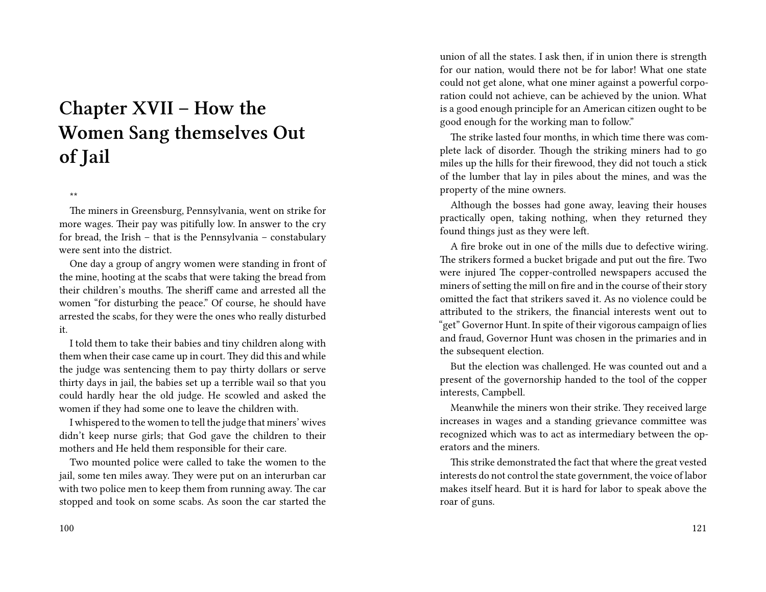# **Chapter XVII – How the Women Sang themselves Out of Jail**

#### \*\*

The miners in Greensburg, Pennsylvania, went on strike for more wages. Their pay was pitifully low. In answer to the cry for bread, the Irish – that is the Pennsylvania – constabulary were sent into the district.

One day a group of angry women were standing in front of the mine, hooting at the scabs that were taking the bread from their children's mouths. The sheriff came and arrested all the women "for disturbing the peace." Of course, he should have arrested the scabs, for they were the ones who really disturbed it.

I told them to take their babies and tiny children along with them when their case came up in court. They did this and while the judge was sentencing them to pay thirty dollars or serve thirty days in jail, the babies set up a terrible wail so that you could hardly hear the old judge. He scowled and asked the women if they had some one to leave the children with.

I whispered to the women to tell the judge that miners' wives didn't keep nurse girls; that God gave the children to their mothers and He held them responsible for their care.

Two mounted police were called to take the women to the jail, some ten miles away. They were put on an interurban car with two police men to keep them from running away. The car stopped and took on some scabs. As soon the car started the union of all the states. I ask then, if in union there is strength for our nation, would there not be for labor! What one state could not get alone, what one miner against a powerful corporation could not achieve, can be achieved by the union. What is a good enough principle for an American citizen ought to be good enough for the working man to follow."

The strike lasted four months, in which time there was complete lack of disorder. Though the striking miners had to go miles up the hills for their firewood, they did not touch a stick of the lumber that lay in piles about the mines, and was the property of the mine owners.

Although the bosses had gone away, leaving their houses practically open, taking nothing, when they returned they found things just as they were left.

A fire broke out in one of the mills due to defective wiring. The strikers formed a bucket brigade and put out the fire. Two were injured The copper-controlled newspapers accused the miners of setting the mill on fire and in the course of their story omitted the fact that strikers saved it. As no violence could be attributed to the strikers, the financial interests went out to "get" Governor Hunt. In spite of their vigorous campaign of lies and fraud, Governor Hunt was chosen in the primaries and in the subsequent election.

But the election was challenged. He was counted out and a present of the governorship handed to the tool of the copper interests, Campbell.

Meanwhile the miners won their strike. They received large increases in wages and a standing grievance committee was recognized which was to act as intermediary between the operators and the miners.

This strike demonstrated the fact that where the great vested interests do not control the state government, the voice of labor makes itself heard. But it is hard for labor to speak above the roar of guns.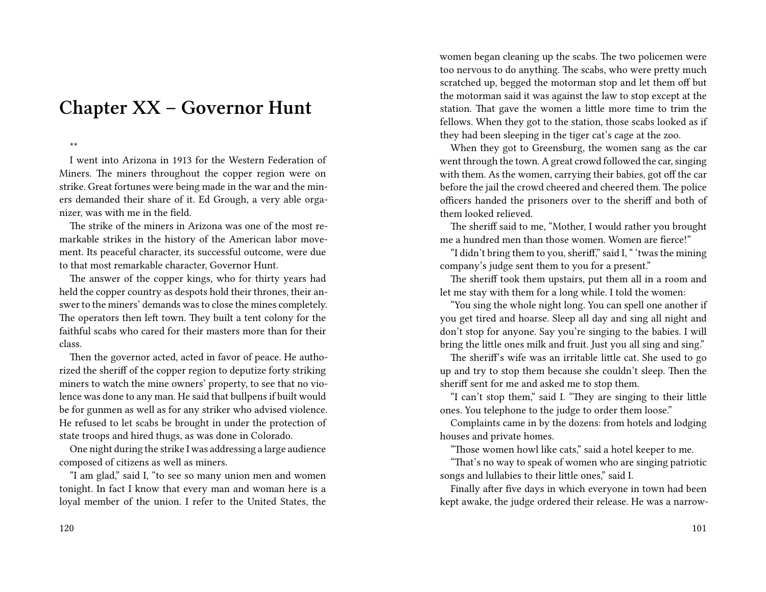## **Chapter XX – Governor Hunt**

\*\*

I went into Arizona in 1913 for the Western Federation of Miners. The miners throughout the copper region were on strike. Great fortunes were being made in the war and the miners demanded their share of it. Ed Grough, a very able organizer, was with me in the field.

The strike of the miners in Arizona was one of the most remarkable strikes in the history of the American labor movement. Its peaceful character, its successful outcome, were due to that most remarkable character, Governor Hunt.

The answer of the copper kings, who for thirty years had held the copper country as despots hold their thrones, their answer to the miners' demands was to close the mines completely. The operators then left town. They built a tent colony for the faithful scabs who cared for their masters more than for their class.

Then the governor acted, acted in favor of peace. He authorized the sheriff of the copper region to deputize forty striking miners to watch the mine owners' property, to see that no violence was done to any man. He said that bullpens if built would be for gunmen as well as for any striker who advised violence. He refused to let scabs be brought in under the protection of state troops and hired thugs, as was done in Colorado.

One night during the strike I was addressing a large audience composed of citizens as well as miners.

"I am glad," said I, "to see so many union men and women tonight. In fact I know that every man and woman here is a loyal member of the union. I refer to the United States, the women began cleaning up the scabs. The two policemen were too nervous to do anything. The scabs, who were pretty much scratched up, begged the motorman stop and let them off but the motorman said it was against the law to stop except at the station. That gave the women a little more time to trim the fellows. When they got to the station, those scabs looked as if they had been sleeping in the tiger cat's cage at the zoo.

When they got to Greensburg, the women sang as the car went through the town. A great crowd followed the car, singing with them. As the women, carrying their babies, got off the car before the jail the crowd cheered and cheered them. The police officers handed the prisoners over to the sheriff and both of them looked relieved.

The sheriff said to me, "Mother, I would rather you brought me a hundred men than those women. Women are fierce!"

"I didn't bring them to you, sheriff," said I, " 'twas the mining company's judge sent them to you for a present."

The sheriff took them upstairs, put them all in a room and let me stay with them for a long while. I told the women:

"You sing the whole night long. You can spell one another if you get tired and hoarse. Sleep all day and sing all night and don't stop for anyone. Say you're singing to the babies. I will bring the little ones milk and fruit. Just you all sing and sing."

The sheriff's wife was an irritable little cat. She used to go up and try to stop them because she couldn't sleep. Then the sheriff sent for me and asked me to stop them.

"I can't stop them," said I. "They are singing to their little ones. You telephone to the judge to order them loose."

Complaints came in by the dozens: from hotels and lodging houses and private homes.

"Those women howl like cats," said a hotel keeper to me.

"That's no way to speak of women who are singing patriotic songs and lullabies to their little ones," said I.

Finally after five days in which everyone in town had been kept awake, the judge ordered their release. He was a narrow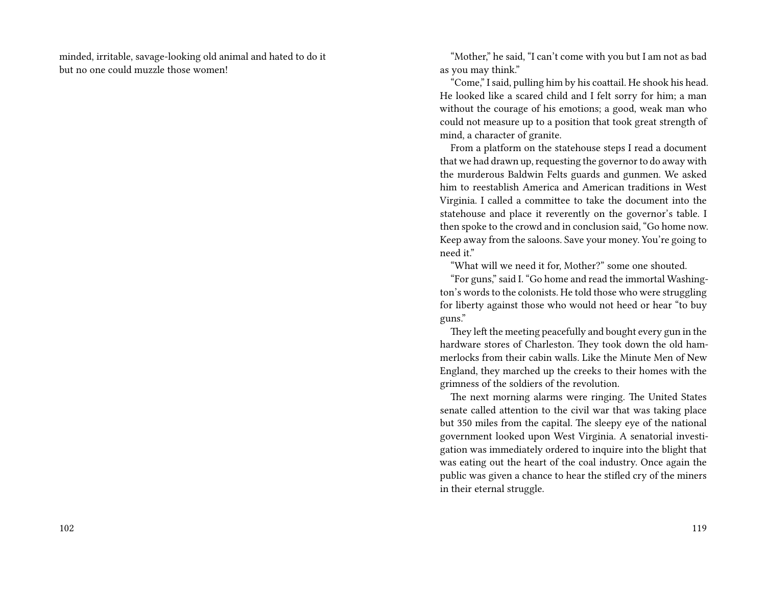minded, irritable, savage-looking old animal and hated to do it but no one could muzzle those women!

"Mother," he said, "I can't come with you but I am not as bad as you may think."

"Come," I said, pulling him by his coattail. He shook his head. He looked like a scared child and I felt sorry for him; a man without the courage of his emotions; a good, weak man who could not measure up to a position that took great strength of mind, a character of granite.

From a platform on the statehouse steps I read a document that we had drawn up, requesting the governor to do away with the murderous Baldwin Felts guards and gunmen. We asked him to reestablish America and American traditions in West Virginia. I called a committee to take the document into the statehouse and place it reverently on the governor's table. I then spoke to the crowd and in conclusion said, "Go home now. Keep away from the saloons. Save your money. You're going to need it."

"What will we need it for, Mother?" some one shouted.

"For guns," said I. "Go home and read the immortal Washington's words to the colonists. He told those who were struggling for liberty against those who would not heed or hear "to buy guns."

They left the meeting peacefully and bought every gun in the hardware stores of Charleston. They took down the old hammerlocks from their cabin walls. Like the Minute Men of New England, they marched up the creeks to their homes with the grimness of the soldiers of the revolution.

The next morning alarms were ringing. The United States senate called attention to the civil war that was taking place but 350 miles from the capital. The sleepy eye of the national government looked upon West Virginia. A senatorial investigation was immediately ordered to inquire into the blight that was eating out the heart of the coal industry. Once again the public was given a chance to hear the stifled cry of the miners in their eternal struggle.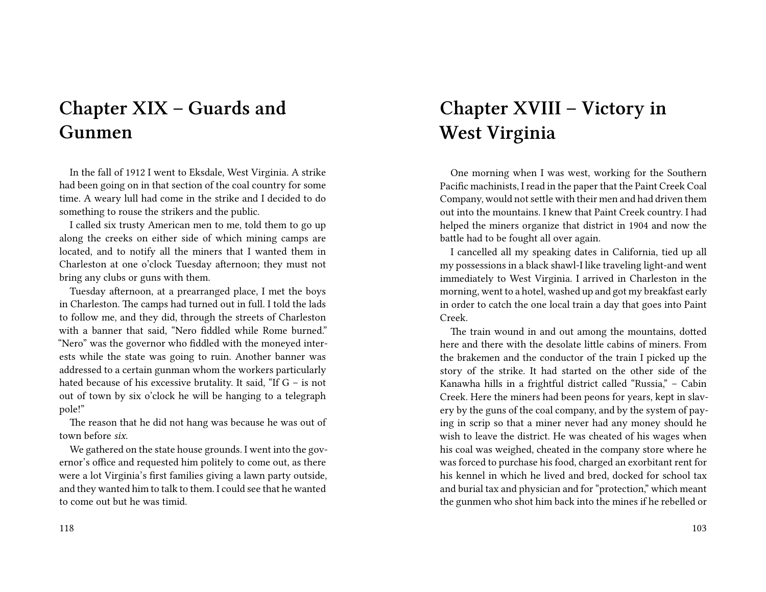# **Chapter XIX – Guards and Gunmen**

In the fall of 1912 I went to Eksdale, West Virginia. A strike had been going on in that section of the coal country for some time. A weary lull had come in the strike and I decided to do something to rouse the strikers and the public.

I called six trusty American men to me, told them to go up along the creeks on either side of which mining camps are located, and to notify all the miners that I wanted them in Charleston at one o'clock Tuesday afternoon; they must not bring any clubs or guns with them.

Tuesday afternoon, at a prearranged place, I met the boys in Charleston. The camps had turned out in full. I told the lads to follow me, and they did, through the streets of Charleston with a banner that said, "Nero fiddled while Rome burned." "Nero" was the governor who fiddled with the moneyed interests while the state was going to ruin. Another banner was addressed to a certain gunman whom the workers particularly hated because of his excessive brutality. It said, "If  $G -$  is not out of town by six o'clock he will be hanging to a telegraph pole!"

The reason that he did not hang was because he was out of town before *six.*

We gathered on the state house grounds. I went into the governor's office and requested him politely to come out, as there were a lot Virginia's first families giving a lawn party outside, and they wanted him to talk to them. I could see that he wanted to come out but he was timid.

# **Chapter XVIII – Victory in West Virginia**

One morning when I was west, working for the Southern Pacific machinists, I read in the paper that the Paint Creek Coal Company, would not settle with their men and had driven them out into the mountains. I knew that Paint Creek country. I had helped the miners organize that district in 1904 and now the battle had to be fought all over again.

I cancelled all my speaking dates in California, tied up all my possessions in a black shawl-I like traveling light-and went immediately to West Virginia. I arrived in Charleston in the morning, went to a hotel, washed up and got my breakfast early in order to catch the one local train a day that goes into Paint Creek.

The train wound in and out among the mountains, dotted here and there with the desolate little cabins of miners. From the brakemen and the conductor of the train I picked up the story of the strike. It had started on the other side of the Kanawha hills in a frightful district called "Russia," – Cabin Creek. Here the miners had been peons for years, kept in slavery by the guns of the coal company, and by the system of paying in scrip so that a miner never had any money should he wish to leave the district. He was cheated of his wages when his coal was weighed, cheated in the company store where he was forced to purchase his food, charged an exorbitant rent for his kennel in which he lived and bred, docked for school tax and burial tax and physician and for "protection," which meant the gunmen who shot him back into the mines if he rebelled or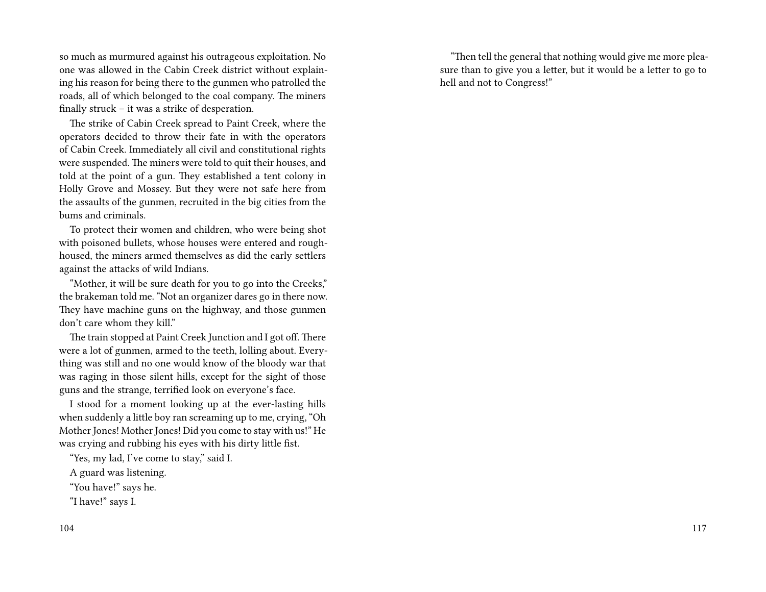so much as murmured against his outrageous exploitation. No one was allowed in the Cabin Creek district without explaining his reason for being there to the gunmen who patrolled the roads, all of which belonged to the coal company. The miners finally struck – it was a strike of desperation.

The strike of Cabin Creek spread to Paint Creek, where the operators decided to throw their fate in with the operators of Cabin Creek. Immediately all civil and constitutional rights were suspended. The miners were told to quit their houses, and told at the point of a gun. They established a tent colony in Holly Grove and Mossey. But they were not safe here from the assaults of the gunmen, recruited in the big cities from the bums and criminals.

To protect their women and children, who were being shot with poisoned bullets, whose houses were entered and roughhoused, the miners armed themselves as did the early settlers against the attacks of wild Indians.

"Mother, it will be sure death for you to go into the Creeks," the brakeman told me. "Not an organizer dares go in there now. They have machine guns on the highway, and those gunmen don't care whom they kill."

The train stopped at Paint Creek Junction and I got off. There were a lot of gunmen, armed to the teeth, lolling about. Everything was still and no one would know of the bloody war that was raging in those silent hills, except for the sight of those guns and the strange, terrified look on everyone's face.

I stood for a moment looking up at the ever-lasting hills when suddenly a little boy ran screaming up to me, crying, "Oh Mother Jones! Mother Jones! Did you come to stay with us!" He was crying and rubbing his eyes with his dirty little fist.

"Yes, my lad, I've come to stay," said I.

A guard was listening.

"You have!" says he.

"I have!" says I.

"Then tell the general that nothing would give me more pleasure than to give you a letter, but it would be a letter to go to hell and not to Congress!"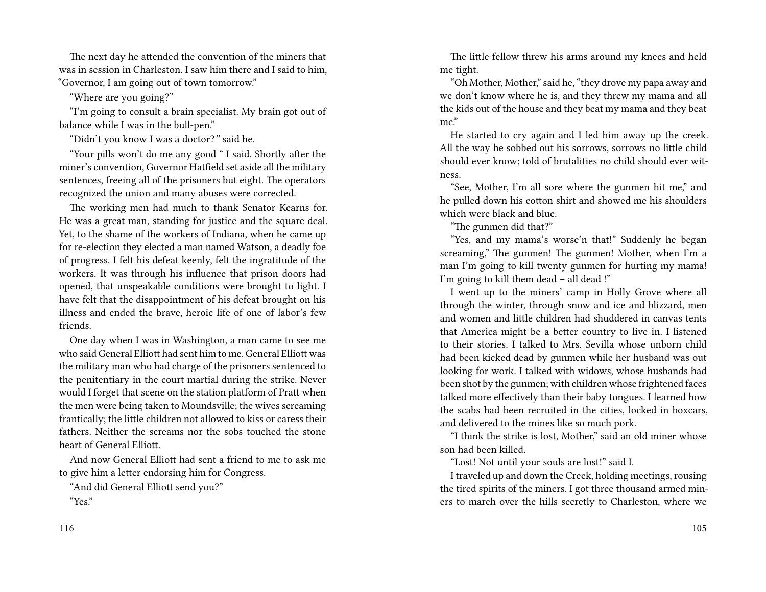The next day he attended the convention of the miners that was in session in Charleston. I saw him there and I said to him, "Governor, I am going out of town tomorrow."

"Where are you going?"

"I'm going to consult a brain specialist. My brain got out of balance while I was in the bull-pen."

"Didn't you know I was a doctor?*"* said he.

"Your pills won't do me any good " I said. Shortly after the miner's convention, Governor Hatfield set aside all the military sentences, freeing all of the prisoners but eight. The operators recognized the union and many abuses were corrected.

The working men had much to thank Senator Kearns for. He was a great man, standing for justice and the square deal. Yet, to the shame of the workers of Indiana, when he came up for re-election they elected a man named Watson, a deadly foe of progress. I felt his defeat keenly, felt the ingratitude of the workers. It was through his influence that prison doors had opened, that unspeakable conditions were brought to light. I have felt that the disappointment of his defeat brought on his illness and ended the brave, heroic life of one of labor's few friends.

One day when I was in Washington, a man came to see me who said General Elliott had sent him to me. General Elliott was the military man who had charge of the prisoners sentenced to the penitentiary in the court martial during the strike. Never would I forget that scene on the station platform of Pratt when the men were being taken to Moundsville; the wives screaming frantically; the little children not allowed to kiss or caress their fathers. Neither the screams nor the sobs touched the stone heart of General Elliott.

And now General Elliott had sent a friend to me to ask me to give him a letter endorsing him for Congress.

"And did General Elliott send you?"

"Yes."

116

The little fellow threw his arms around my knees and held me tight.

"Oh Mother, Mother," said he, "they drove my papa away and we don't know where he is, and they threw my mama and all the kids out of the house and they beat my mama and they beat me."

He started to cry again and I led him away up the creek. All the way he sobbed out his sorrows, sorrows no little child should ever know; told of brutalities no child should ever witness.

"See, Mother, I'm all sore where the gunmen hit me," and he pulled down his cotton shirt and showed me his shoulders which were black and blue.

"The gunmen did that?"

"Yes, and my mama's worse'n that!" Suddenly he began screaming," The gunmen! The gunmen! Mother, when I'm a man I'm going to kill twenty gunmen for hurting my mama! I'm going to kill them dead – all dead !"

I went up to the miners' camp in Holly Grove where all through the winter, through snow and ice and blizzard, men and women and little children had shuddered in canvas tents that America might be a better country to live in. I listened to their stories. I talked to Mrs. Sevilla whose unborn child had been kicked dead by gunmen while her husband was out looking for work. I talked with widows, whose husbands had been shot by the gunmen; with children whose frightened faces talked more effectively than their baby tongues. I learned how the scabs had been recruited in the cities, locked in boxcars, and delivered to the mines like so much pork.

"I think the strike is lost, Mother," said an old miner whose son had been killed.

"Lost! Not until your souls are lost!" said I.

I traveled up and down the Creek, holding meetings, rousing the tired spirits of the miners. I got three thousand armed miners to march over the hills secretly to Charleston, where we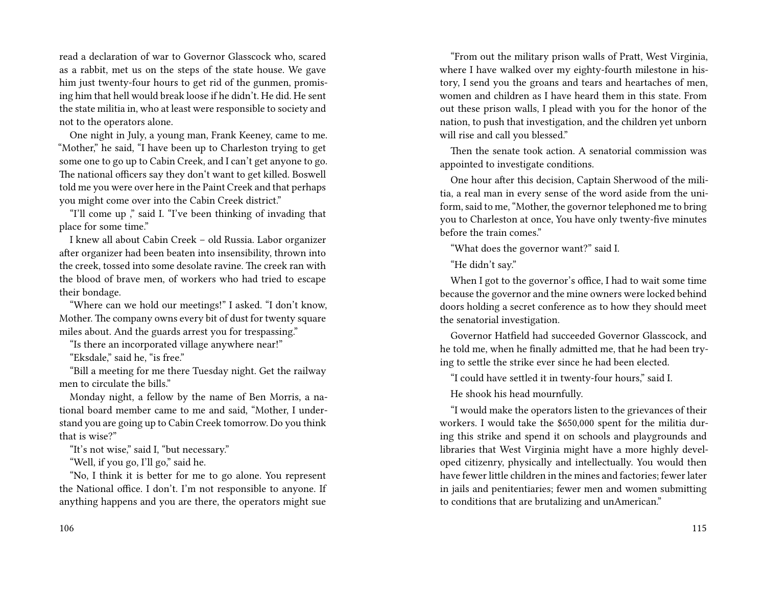read a declaration of war to Governor Glasscock who, scared as a rabbit, met us on the steps of the state house. We gave him just twenty-four hours to get rid of the gunmen, promising him that hell would break loose if he didn't. He did. He sent the state militia in, who at least were responsible to society and not to the operators alone.

One night in July, a young man, Frank Keeney, came to me. "Mother," he said, "I have been up to Charleston trying to get some one to go up to Cabin Creek, and I can't get anyone to go. The national officers say they don't want to get killed. Boswell told me you were over here in the Paint Creek and that perhaps you might come over into the Cabin Creek district."

"I'll come up ," said I. "I've been thinking of invading that place for some time."

I knew all about Cabin Creek – old Russia. Labor organizer after organizer had been beaten into insensibility, thrown into the creek, tossed into some desolate ravine. The creek ran with the blood of brave men, of workers who had tried to escape their bondage.

"Where can we hold our meetings!" I asked. "I don't know, Mother. The company owns every bit of dust for twenty square miles about. And the guards arrest you for trespassing."

"Is there an incorporated village anywhere near!"

"Eksdale," said he, "is free."

"Bill a meeting for me there Tuesday night. Get the railway men to circulate the bills."

Monday night, a fellow by the name of Ben Morris, a national board member came to me and said, "Mother, I understand you are going up to Cabin Creek tomorrow. Do you think that is wise?"

"It's not wise," said I, "but necessary."

"Well, if you go, I'll go," said he.

"No, I think it is better for me to go alone. You represent the National office. I don't. I'm not responsible to anyone. If anything happens and you are there, the operators might sue

"From out the military prison walls of Pratt, West Virginia, where I have walked over my eighty-fourth milestone in history, I send you the groans and tears and heartaches of men, women and children as I have heard them in this state. From out these prison walls, I plead with you for the honor of the nation, to push that investigation, and the children yet unborn will rise and call you blessed."

Then the senate took action. A senatorial commission was appointed to investigate conditions.

One hour after this decision, Captain Sherwood of the militia, a real man in every sense of the word aside from the uniform, said to me, "Mother, the governor telephoned me to bring you to Charleston at once, You have only twenty-five minutes before the train comes."

"What does the governor want?" said I.

"He didn't say."

When I got to the governor's office, I had to wait some time because the governor and the mine owners were locked behind doors holding a secret conference as to how they should meet the senatorial investigation.

Governor Hatfield had succeeded Governor Glasscock, and he told me, when he finally admitted me, that he had been trying to settle the strike ever since he had been elected.

"I could have settled it in twenty-four hours," said I.

He shook his head mournfully.

"I would make the operators listen to the grievances of their workers. I would take the \$650,000 spent for the militia during this strike and spend it on schools and playgrounds and libraries that West Virginia might have a more highly developed citizenry, physically and intellectually. You would then have fewer little children in the mines and factories; fewer later in jails and penitentiaries; fewer men and women submitting to conditions that are brutalizing and unAmerican."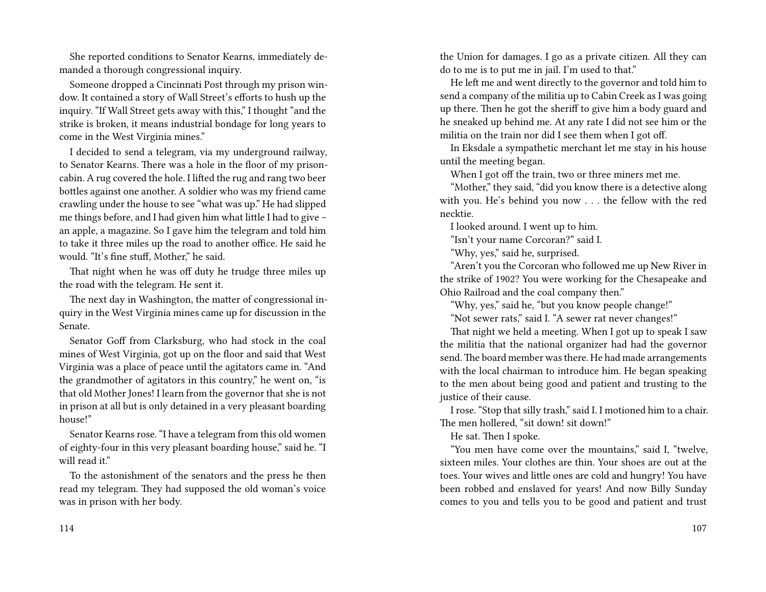She reported conditions to Senator Kearns, immediately demanded a thorough congressional inquiry.

Someone dropped a Cincinnati Post through my prison window. It contained a story of Wall Street's efforts to hush up the inquiry. "If Wall Street gets away with this," I thought "and the strike is broken, it means industrial bondage for long years to come in the West Virginia mines."

I decided to send a telegram, via my underground railway, to Senator Kearns. There was a hole in the floor of my prisoncabin. A rug covered the hole. I lifted the rug and rang two beer bottles against one another. A soldier who was my friend came crawling under the house to see "what was up." He had slipped me things before, and I had given him what little I had to give – an apple, a magazine. So I gave him the telegram and told him to take it three miles up the road to another office. He said he would. "It's fine stuff, Mother," he said.

That night when he was off duty he trudge three miles up the road with the telegram. He sent it.

The next day in Washington, the matter of congressional inquiry in the West Virginia mines came up for discussion in the Senate.

Senator Goff from Clarksburg, who had stock in the coal mines of West Virginia, got up on the floor and said that West Virginia was a place of peace until the agitators came in. "And the grandmother of agitators in this country," he went on, "is that old Mother Jones! I learn from the governor that she is not in prison at all but is only detained in a very pleasant boarding house!"

Senator Kearns rose. "I have a telegram from this old women of eighty-four in this very pleasant boarding house," said he. "I will read it."

To the astonishment of the senators and the press he then read my telegram. They had supposed the old woman's voice was in prison with her body.

the Union for damages. I go as a private citizen. All they can do to me is to put me in jail. I'm used to that."

He left me and went directly to the governor and told him to send a company of the militia up to Cabin Creek as I was going up there. Then he got the sheriff to give him a body guard and he sneaked up behind me. At any rate I did not see him or the militia on the train nor did I see them when I got off.

In Eksdale a sympathetic merchant let me stay in his house until the meeting began.

When I got off the train, two or three miners met me.

"Mother," they said, "did you know there is a detective along with you. He's behind you now . . . the fellow with the red necktie.

I looked around. I went up to him.

"Isn't your name Corcoran?" said I.

"Why, yes," said he, surprised.

"Aren't you the Corcoran who followed me up New River in the strike of 1902? You were working for the Chesapeake and Ohio Railroad and the coal company then."

"Why, yes," said he, "but you know people change!"

"Not sewer rats," said I. "A sewer rat never changes!"

That night we held a meeting. When I got up to speak I saw the militia that the national organizer had had the governor send.The board member was there. He had made arrangements with the local chairman to introduce him. He began speaking to the men about being good and patient and trusting to the justice of their cause.

I rose. "Stop that silly trash," said I. I motioned him to a chair. The men hollered, "sit down! sit down!"

He sat. Then I spoke.

"You men have come over the mountains," said I, "twelve, sixteen miles. Your clothes are thin. Your shoes are out at the toes. Your wives and little ones are cold and hungry! You have been robbed and enslaved for years! And now Billy Sunday comes to you and tells you to be good and patient and trust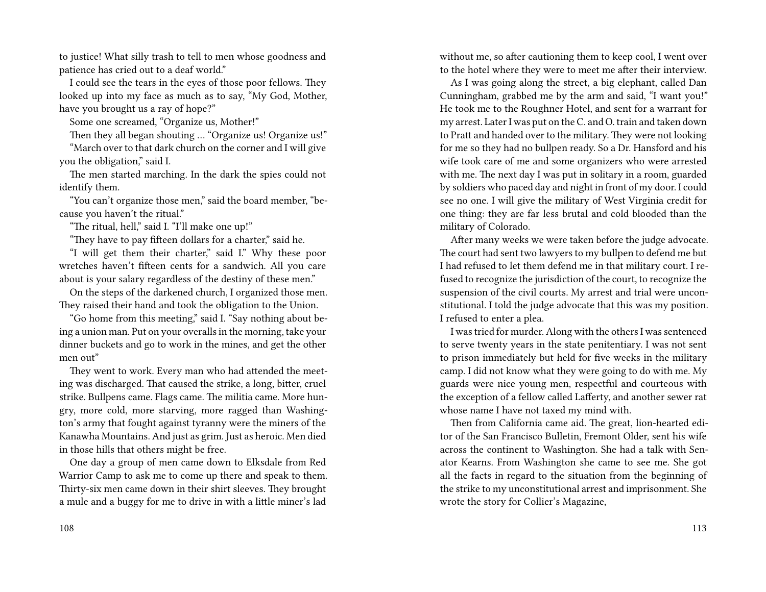to justice! What silly trash to tell to men whose goodness and patience has cried out to a deaf world."

I could see the tears in the eyes of those poor fellows. They looked up into my face as much as to say, "My God, Mother, have you brought us a ray of hope?"

Some one screamed, "Organize us, Mother!"

Then they all began shouting … "Organize us! Organize us!"

"March over to that dark church on the corner and I will give you the obligation," said I.

The men started marching. In the dark the spies could not identify them.

"You can't organize those men," said the board member, "because you haven't the ritual."

"The ritual, hell," said I. "I'll make one up!"

"They have to pay fifteen dollars for a charter," said he.

"I will get them their charter," said I." Why these poor wretches haven't fifteen cents for a sandwich. All you care about is your salary regardless of the destiny of these men."

On the steps of the darkened church, I organized those men. They raised their hand and took the obligation to the Union.

"Go home from this meeting," said I. "Say nothing about being a union man. Put on your overalls in the morning, take your dinner buckets and go to work in the mines, and get the other men out"

They went to work. Every man who had attended the meeting was discharged. That caused the strike, a long, bitter, cruel strike. Bullpens came. Flags came. The militia came. More hungry, more cold, more starving, more ragged than Washington's army that fought against tyranny were the miners of the Kanawha Mountains. And just as grim. Just as heroic. Men died in those hills that others might be free.

One day a group of men came down to Elksdale from Red Warrior Camp to ask me to come up there and speak to them. Thirty-six men came down in their shirt sleeves. They brought a mule and a buggy for me to drive in with a little miner's lad

without me, so after cautioning them to keep cool, I went over to the hotel where they were to meet me after their interview.

As I was going along the street, a big elephant, called Dan Cunningham, grabbed me by the arm and said, "I want you!" He took me to the Roughner Hotel, and sent for a warrant for my arrest. Later I was put on the C. and O. train and taken down to Pratt and handed over to the military. They were not looking for me so they had no bullpen ready. So a Dr. Hansford and his wife took care of me and some organizers who were arrested with me. The next day I was put in solitary in a room, guarded by soldiers who paced day and night in front of my door. I could see no one. I will give the military of West Virginia credit for one thing: they are far less brutal and cold blooded than the military of Colorado.

After many weeks we were taken before the judge advocate. The court had sent two lawyers to my bullpen to defend me but I had refused to let them defend me in that military court. I refused to recognize the jurisdiction of the court, to recognize the suspension of the civil courts. My arrest and trial were unconstitutional. I told the judge advocate that this was my position. I refused to enter a plea.

I was tried for murder. Along with the others I was sentenced to serve twenty years in the state penitentiary. I was not sent to prison immediately but held for five weeks in the military camp. I did not know what they were going to do with me. My guards were nice young men, respectful and courteous with the exception of a fellow called Lafferty, and another sewer rat whose name I have not taxed my mind with.

Then from California came aid. The great, lion-hearted editor of the San Francisco Bulletin, Fremont Older, sent his wife across the continent to Washington. She had a talk with Senator Kearns. From Washington she came to see me. She got all the facts in regard to the situation from the beginning of the strike to my unconstitutional arrest and imprisonment. She wrote the story for Collier's Magazine,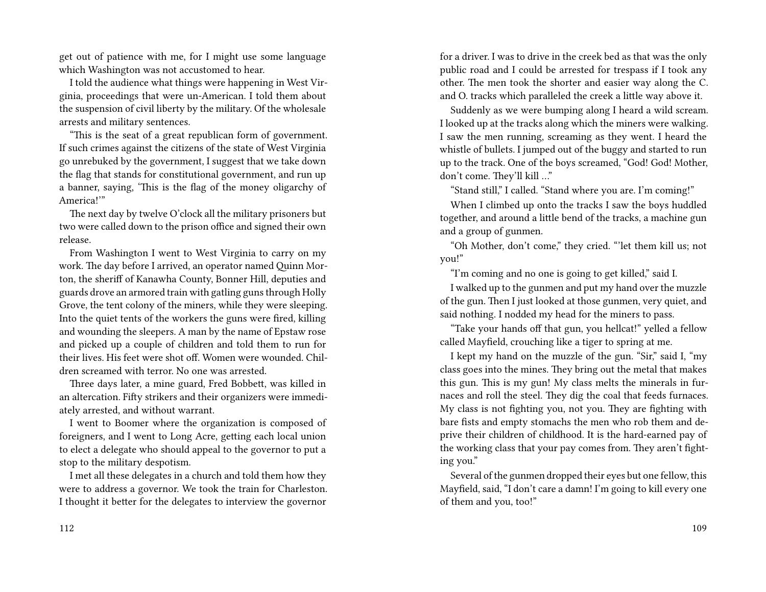get out of patience with me, for I might use some language which Washington was not accustomed to hear.

I told the audience what things were happening in West Virginia, proceedings that were un-American. I told them about the suspension of civil liberty by the military. Of the wholesale arrests and military sentences.

"This is the seat of a great republican form of government. If such crimes against the citizens of the state of West Virginia go unrebuked by the government, I suggest that we take down the flag that stands for constitutional government, and run up a banner, saying, 'This is the flag of the money oligarchy of America!'"

The next day by twelve O'clock all the military prisoners but two were called down to the prison office and signed their own release.

From Washington I went to West Virginia to carry on my work. The day before I arrived, an operator named Quinn Morton, the sheriff of Kanawha County, Bonner Hill, deputies and guards drove an armored train with gatling guns through Holly Grove, the tent colony of the miners, while they were sleeping. Into the quiet tents of the workers the guns were fired, killing and wounding the sleepers. A man by the name of Epstaw rose and picked up a couple of children and told them to run for their lives. His feet were shot off. Women were wounded. Children screamed with terror. No one was arrested.

Three days later, a mine guard, Fred Bobbett, was killed in an altercation. Fifty strikers and their organizers were immediately arrested, and without warrant.

I went to Boomer where the organization is composed of foreigners, and I went to Long Acre, getting each local union to elect a delegate who should appeal to the governor to put a stop to the military despotism.

I met all these delegates in a church and told them how they were to address a governor. We took the train for Charleston. I thought it better for the delegates to interview the governor

for a driver. I was to drive in the creek bed as that was the only public road and I could be arrested for trespass if I took any other. The men took the shorter and easier way along the C. and O. tracks which paralleled the creek a little way above it.

Suddenly as we were bumping along I heard a wild scream. I looked up at the tracks along which the miners were walking. I saw the men running, screaming as they went. I heard the whistle of bullets. I jumped out of the buggy and started to run up to the track. One of the boys screamed, "God! God! Mother, don't come. They'll kill …"

"Stand still," I called. "Stand where you are. I'm coming!"

When I climbed up onto the tracks I saw the boys huddled together, and around a little bend of the tracks, a machine gun and a group of gunmen.

"Oh Mother, don't come," they cried. "'let them kill us; not you!"

"I'm coming and no one is going to get killed," said I.

I walked up to the gunmen and put my hand over the muzzle of the gun. Then I just looked at those gunmen, very quiet, and said nothing. I nodded my head for the miners to pass.

"Take your hands off that gun, you hellcat!" yelled a fellow called Mayfield, crouching like a tiger to spring at me.

I kept my hand on the muzzle of the gun. "Sir," said I, "my class goes into the mines. They bring out the metal that makes this gun. This is my gun! My class melts the minerals in furnaces and roll the steel. They dig the coal that feeds furnaces. My class is not fighting you, not you. They are fighting with bare fists and empty stomachs the men who rob them and deprive their children of childhood. It is the hard-earned pay of the working class that your pay comes from. They aren't fighting you."

Several of the gunmen dropped their eyes but one fellow, this Mayfield, said, "I don't care a damn! I'm going to kill every one of them and you, too!"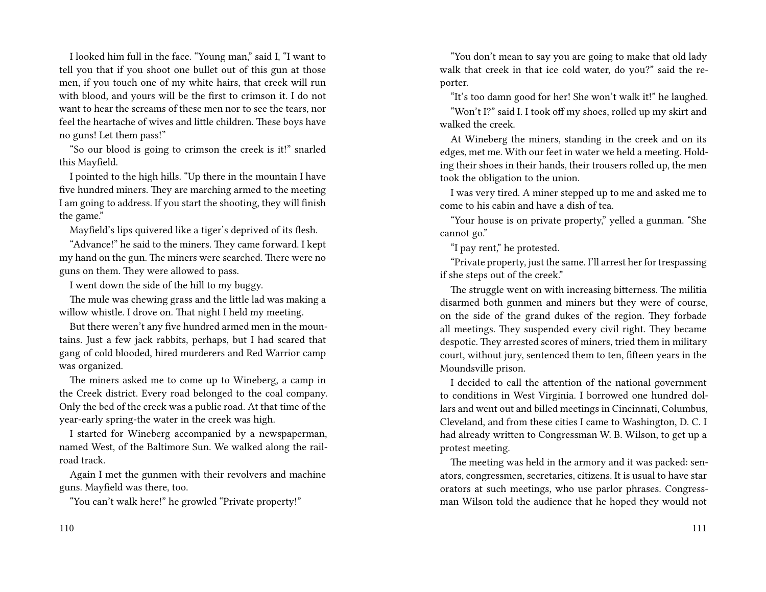I looked him full in the face. "Young man," said I, "I want to tell you that if you shoot one bullet out of this gun at those men, if you touch one of my white hairs, that creek will run with blood, and yours will be the first to crimson it. I do not want to hear the screams of these men nor to see the tears, nor feel the heartache of wives and little children. These boys have no guns! Let them pass!"

"So our blood is going to crimson the creek is it!" snarled this Mayfield.

I pointed to the high hills. "Up there in the mountain I have five hundred miners. They are marching armed to the meeting I am going to address. If you start the shooting, they will finish the game."

Mayfield's lips quivered like a tiger's deprived of its flesh.

"Advance!" he said to the miners. They came forward. I kept my hand on the gun. The miners were searched. There were no guns on them. They were allowed to pass.

I went down the side of the hill to my buggy.

The mule was chewing grass and the little lad was making a willow whistle. I drove on. That night I held my meeting.

But there weren't any five hundred armed men in the mountains. Just a few jack rabbits, perhaps, but I had scared that gang of cold blooded, hired murderers and Red Warrior camp was organized.

The miners asked me to come up to Wineberg, a camp in the Creek district. Every road belonged to the coal company. Only the bed of the creek was a public road. At that time of the year-early spring-the water in the creek was high.

I started for Wineberg accompanied by a newspaperman, named West, of the Baltimore Sun. We walked along the railroad track.

Again I met the gunmen with their revolvers and machine guns. Mayfield was there, too.

"You can't walk here!" he growled "Private property!"

"You don't mean to say you are going to make that old lady walk that creek in that ice cold water, do you?" said the reporter.

"It's too damn good for her! She won't walk it!" he laughed. "Won't I?" said I. I took off my shoes, rolled up my skirt and walked the creek.

At Wineberg the miners, standing in the creek and on its edges, met me. With our feet in water we held a meeting. Holding their shoes in their hands, their trousers rolled up, the men took the obligation to the union.

I was very tired. A miner stepped up to me and asked me to come to his cabin and have a dish of tea.

"Your house is on private property," yelled a gunman. "She cannot go."

"I pay rent," he protested.

"Private property, just the same. I'll arrest her for trespassing if she steps out of the creek."

The struggle went on with increasing bitterness. The militia disarmed both gunmen and miners but they were of course, on the side of the grand dukes of the region. They forbade all meetings. They suspended every civil right. They became despotic. They arrested scores of miners, tried them in military court, without jury, sentenced them to ten, fifteen years in the Moundsville prison.

I decided to call the attention of the national government to conditions in West Virginia. I borrowed one hundred dollars and went out and billed meetings in Cincinnati, Columbus, Cleveland, and from these cities I came to Washington, D. C. I had already written to Congressman W. B. Wilson, to get up a protest meeting.

The meeting was held in the armory and it was packed: senators, congressmen, secretaries, citizens. It is usual to have star orators at such meetings, who use parlor phrases. Congressman Wilson told the audience that he hoped they would not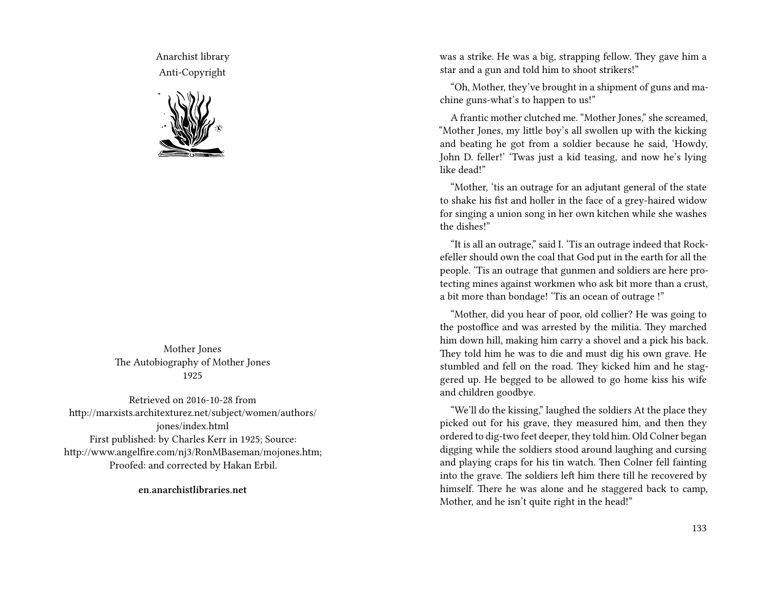Anarchist library Anti-Copyright



Mother Jones The Autobiography of Mother Jones 1925

Retrieved on 2016-10-28 from http://marxists.architexturez.net/subject/women/authors/ jones/index.html First published: by Charles Kerr in 1925; Source: http://www.angelfire.com/nj3/RonMBaseman/mojones.htm; Proofed: and corrected by Hakan Erbil.

**en.anarchistlibraries.net**

was a strike. He was a big, strapping fellow. They gave him a star and a gun and told him to shoot strikers!"

"Oh, Mother, they've brought in a shipment of guns and machine guns-what's to happen to us!"

A frantic mother clutched me. "Mother Jones," she screamed, "Mother Jones, my little boy's all swollen up with the kicking and beating he got from a soldier because he said, 'Howdy, John D. feller!' 'Twas just a kid teasing, and now he's lying like dead!"

"Mother, 'tis an outrage for an adjutant general of the state to shake his fist and holler in the face of a grey-haired widow for singing a union song in her own kitchen while she washes the dishes!"

"It is all an outrage," said I. 'Tis an outrage indeed that Rockefeller should own the coal that God put in the earth for all the people. 'Tis an outrage that gunmen and soldiers are here protecting mines against workmen who ask bit more than a crust, a bit more than bondage! 'Tis an ocean of outrage !"

"Mother, did you hear of poor, old collier? He was going to the postoffice and was arrested by the militia. They marched him down hill, making him carry a shovel and a pick his back. They told him he was to die and must dig his own grave. He stumbled and fell on the road. They kicked him and he staggered up. He begged to be allowed to go home kiss his wife and children goodbye.

"We'll do the kissing," laughed the soldiers At the place they picked out for his grave, they measured him, and then they ordered to dig-two feet deeper, they told him. Old Colner began digging while the soldiers stood around laughing and cursing and playing craps for his tin watch. Then Colner fell fainting into the grave. The soldiers left him there till he recovered by himself. There he was alone and he staggered back to camp, Mother, and he isn't quite right in the head!"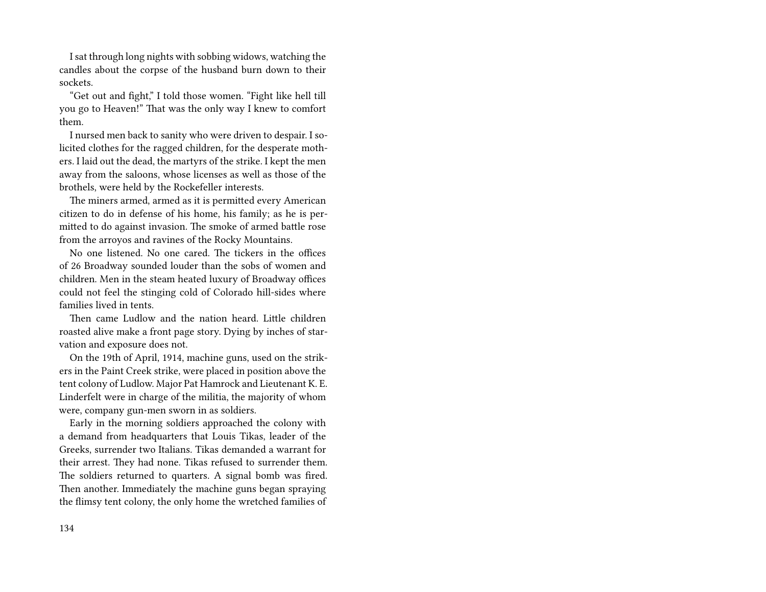I sat through long nights with sobbing widows, watching the candles about the corpse of the husband burn down to their sockets.

"Get out and fight," I told those women. "Fight like hell till you go to Heaven!" That was the only way I knew to comfort them.

I nursed men back to sanity who were driven to despair. I solicited clothes for the ragged children, for the desperate mothers. I laid out the dead, the martyrs of the strike. I kept the men away from the saloons, whose licenses as well as those of the brothels, were held by the Rockefeller interests.

The miners armed, armed as it is permitted every American citizen to do in defense of his home, his family; as he is permitted to do against invasion. The smoke of armed battle rose from the arroyos and ravines of the Rocky Mountains.

No one listened. No one cared. The tickers in the offices of 26 Broadway sounded louder than the sobs of women and children. Men in the steam heated luxury of Broadway offices could not feel the stinging cold of Colorado hill-sides where families lived in tents.

Then came Ludlow and the nation heard. Little children roasted alive make a front page story. Dying by inches of starvation and exposure does not.

On the 19th of April, 1914, machine guns, used on the strikers in the Paint Creek strike, were placed in position above the tent colony of Ludlow. Major Pat Hamrock and Lieutenant K. E. Linderfelt were in charge of the militia, the majority of whom were, company gun-men sworn in as soldiers.

Early in the morning soldiers approached the colony with a demand from headquarters that Louis Tikas, leader of the Greeks, surrender two Italians. Tikas demanded a warrant for their arrest. They had none. Tikas refused to surrender them. The soldiers returned to quarters. A signal bomb was fired. Then another. Immediately the machine guns began spraying the flimsy tent colony, the only home the wretched families of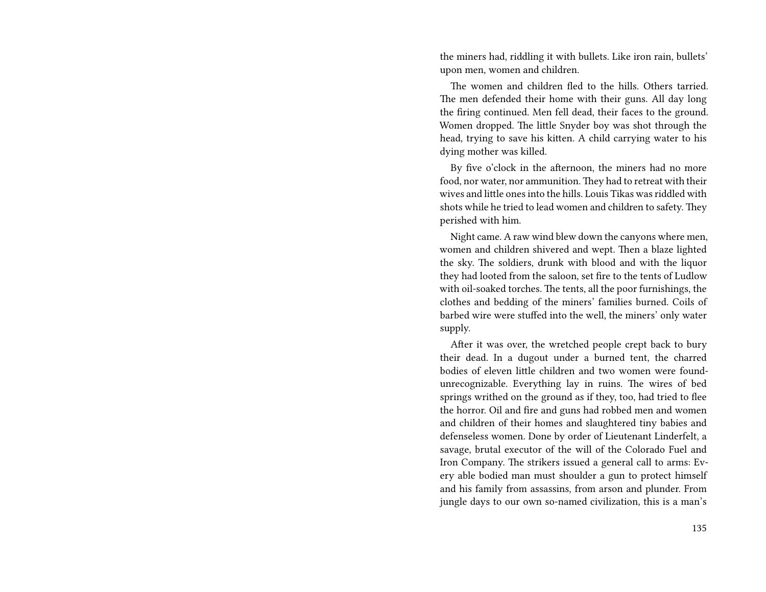the miners had, riddling it with bullets. Like iron rain, bullets' upon men, women and children.

The women and children fled to the hills. Others tarried. The men defended their home with their guns. All day long the firing continued. Men fell dead, their faces to the ground. Women dropped. The little Snyder boy was shot through the head, trying to save his kitten. A child carrying water to his dying mother was killed.

By five o'clock in the afternoon, the miners had no more food, nor water, nor ammunition. They had to retreat with their wives and little ones into the hills. Louis Tikas was riddled with shots while he tried to lead women and children to safety. They perished with him.

Night came. A raw wind blew down the canyons where men, women and children shivered and wept. Then a blaze lighted the sky. The soldiers, drunk with blood and with the liquor they had looted from the saloon, set fire to the tents of Ludlow with oil-soaked torches. The tents, all the poor furnishings, the clothes and bedding of the miners' families burned. Coils of barbed wire were stuffed into the well, the miners' only water supply.

After it was over, the wretched people crept back to bury their dead. In a dugout under a burned tent, the charred bodies of eleven little children and two women were foundunrecognizable. Everything lay in ruins. The wires of bed springs writhed on the ground as if they, too, had tried to flee the horror. Oil and fire and guns had robbed men and women and children of their homes and slaughtered tiny babies and defenseless women. Done by order of Lieutenant Linderfelt, a savage, brutal executor of the will of the Colorado Fuel and Iron Company. The strikers issued a general call to arms: Every able bodied man must shoulder a gun to protect himself and his family from assassins, from arson and plunder. From jungle days to our own so-named civilization, this is a man's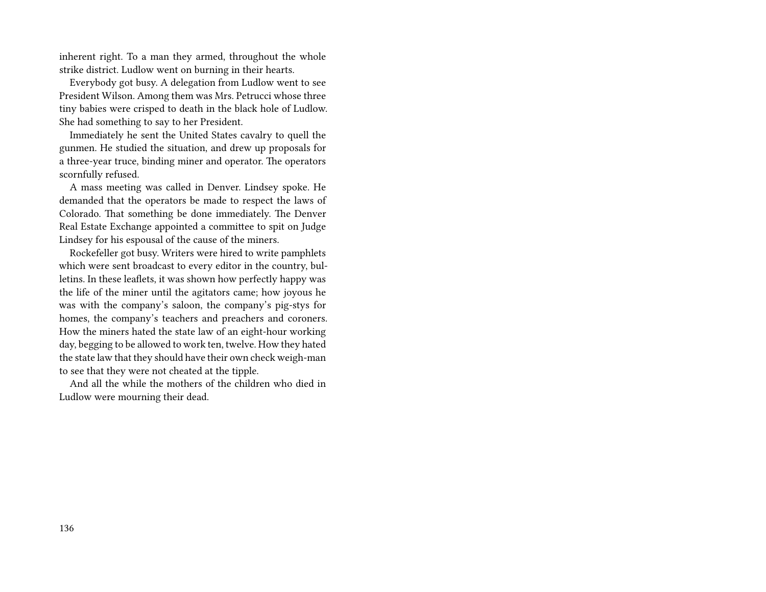inherent right. To a man they armed, throughout the whole strike district. Ludlow went on burning in their hearts.

Everybody got busy. A delegation from Ludlow went to see President Wilson. Among them was Mrs. Petrucci whose three tiny babies were crisped to death in the black hole of Ludlow. She had something to say to her President.

Immediately he sent the United States cavalry to quell the gunmen. He studied the situation, and drew up proposals for a three-year truce, binding miner and operator. The operators scornfully refused.

A mass meeting was called in Denver. Lindsey spoke. He demanded that the operators be made to respect the laws of Colorado. That something be done immediately. The Denver Real Estate Exchange appointed a committee to spit on Judge Lindsey for his espousal of the cause of the miners.

Rockefeller got busy. Writers were hired to write pamphlets which were sent broadcast to every editor in the country, bulletins. In these leaflets, it was shown how perfectly happy was the life of the miner until the agitators came; how joyous he was with the company's saloon, the company's pig-stys for homes, the company's teachers and preachers and coroners. How the miners hated the state law of an eight-hour working day, begging to be allowed to work ten, twelve. How they hated the state law that they should have their own check weigh-man to see that they were not cheated at the tipple.

And all the while the mothers of the children who died in Ludlow were mourning their dead.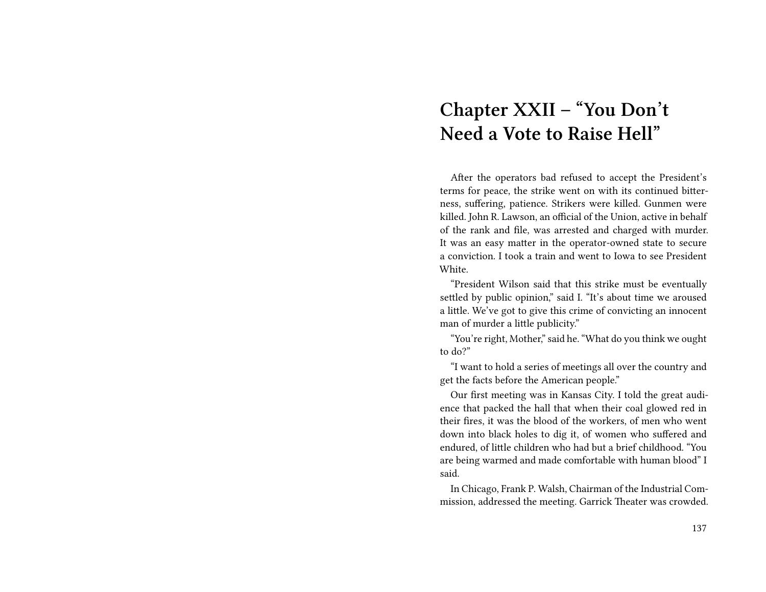# **Chapter XXII – "You Don't Need a Vote to Raise Hell"**

After the operators bad refused to accept the President's terms for peace, the strike went on with its continued bitterness, suffering, patience. Strikers were killed. Gunmen were killed. John R. Lawson, an official of the Union, active in behalf of the rank and file, was arrested and charged with murder. It was an easy matter in the operator-owned state to secure a conviction. I took a train and went to Iowa to see President White.

"President Wilson said that this strike must be eventually settled by public opinion," said I. "It's about time we aroused a little. We've got to give this crime of convicting an innocent man of murder a little publicity."

"You're right, Mother," said he. "What do you think we ought to do?"

"I want to hold a series of meetings all over the country and get the facts before the American people."

Our first meeting was in Kansas City. I told the great audience that packed the hall that when their coal glowed red in their fires, it was the blood of the workers, of men who went down into black holes to dig it, of women who suffered and endured, of little children who had but a brief childhood. "You are being warmed and made comfortable with human blood" I said.

In Chicago, Frank P. Walsh, Chairman of the Industrial Commission, addressed the meeting. Garrick Theater was crowded.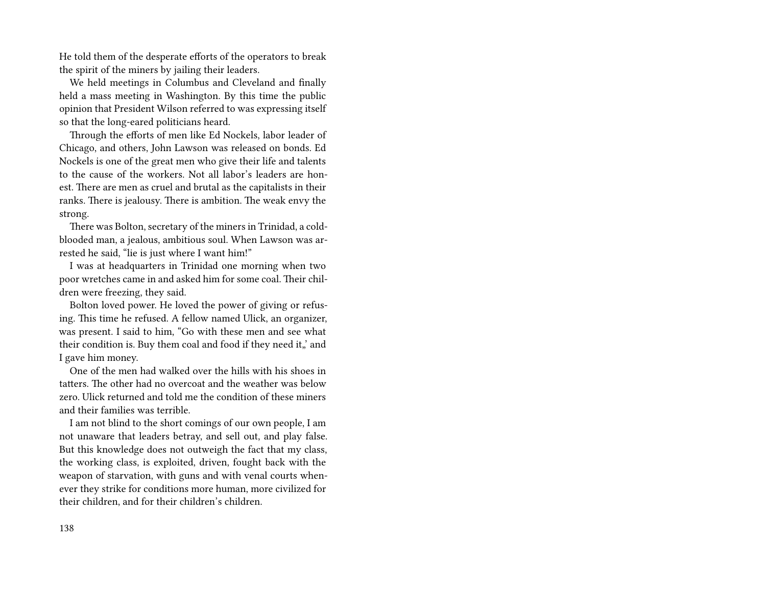He told them of the desperate efforts of the operators to break the spirit of the miners by jailing their leaders.

We held meetings in Columbus and Cleveland and finally held a mass meeting in Washington. By this time the public opinion that President Wilson referred to was expressing itself so that the long-eared politicians heard.

Through the efforts of men like Ed Nockels, labor leader of Chicago, and others, John Lawson was released on bonds. Ed Nockels is one of the great men who give their life and talents to the cause of the workers. Not all labor's leaders are honest. There are men as cruel and brutal as the capitalists in their ranks. There is jealousy. There is ambition. The weak envy the strong.

There was Bolton, secretary of the miners in Trinidad, a coldblooded man, a jealous, ambitious soul. When Lawson was arrested he said, "lie is just where I want him!"

I was at headquarters in Trinidad one morning when two poor wretches came in and asked him for some coal. Their children were freezing, they said.

Bolton loved power. He loved the power of giving or refusing. This time he refused. A fellow named Ulick, an organizer, was present. I said to him, "Go with these men and see what their condition is. Buy them coal and food if they need it,' and I gave him money.

One of the men had walked over the hills with his shoes in tatters. The other had no overcoat and the weather was below zero. Ulick returned and told me the condition of these miners and their families was terrible.

I am not blind to the short comings of our own people, I am not unaware that leaders betray, and sell out, and play false. But this knowledge does not outweigh the fact that my class, the working class, is exploited, driven, fought back with the weapon of starvation, with guns and with venal courts whenever they strike for conditions more human, more civilized for their children, and for their children's children.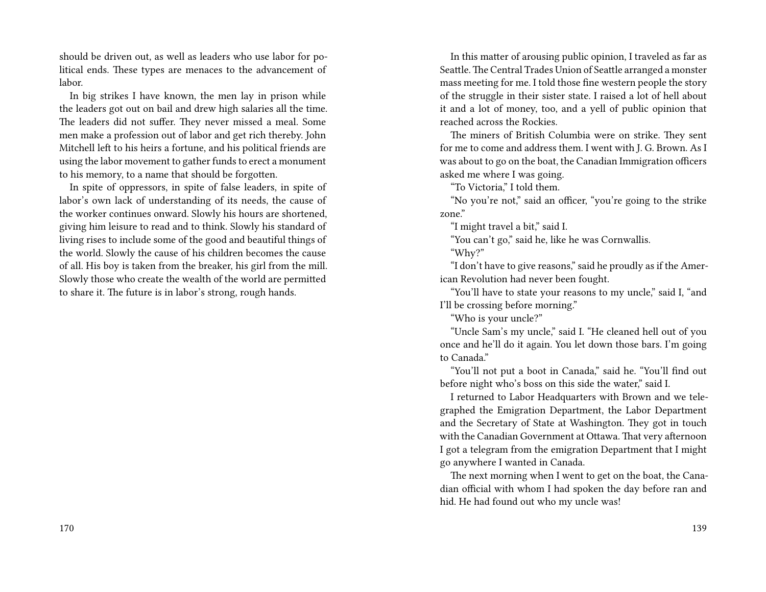should be driven out, as well as leaders who use labor for political ends. These types are menaces to the advancement of labor.

In big strikes I have known, the men lay in prison while the leaders got out on bail and drew high salaries all the time. The leaders did not suffer. They never missed a meal. Some men make a profession out of labor and get rich thereby. John Mitchell left to his heirs a fortune, and his political friends are using the labor movement to gather funds to erect a monument to his memory, to a name that should be forgotten.

In spite of oppressors, in spite of false leaders, in spite of labor's own lack of understanding of its needs, the cause of the worker continues onward. Slowly his hours are shortened, giving him leisure to read and to think. Slowly his standard of living rises to include some of the good and beautiful things of the world. Slowly the cause of his children becomes the cause of all. His boy is taken from the breaker, his girl from the mill. Slowly those who create the wealth of the world are permitted to share it. The future is in labor's strong, rough hands.

In this matter of arousing public opinion, I traveled as far as Seattle.The Central Trades Union of Seattle arranged a monster mass meeting for me. I told those fine western people the story of the struggle in their sister state. I raised a lot of hell about it and a lot of money, too, and a yell of public opinion that reached across the Rockies.

The miners of British Columbia were on strike. They sent for me to come and address them. I went with J. G. Brown. As I was about to go on the boat, the Canadian Immigration officers asked me where I was going.

"To Victoria," I told them.

"No you're not," said an officer, "you're going to the strike zone."

"I might travel a bit," said I.

"You can't go," said he, like he was Cornwallis. "Why?"

"I don't have to give reasons," said he proudly as if the American Revolution had never been fought.

"You'll have to state your reasons to my uncle," said I, "and I'll be crossing before morning."

"Who is your uncle?"

"Uncle Sam's my uncle," said I. "He cleaned hell out of you once and he'll do it again. You let down those bars. I'm going to Canada."

"You'll not put a boot in Canada," said he. "You'll find out before night who's boss on this side the water," said I.

I returned to Labor Headquarters with Brown and we telegraphed the Emigration Department, the Labor Department and the Secretary of State at Washington. They got in touch with the Canadian Government at Ottawa. That very afternoon I got a telegram from the emigration Department that I might go anywhere I wanted in Canada.

The next morning when I went to get on the boat, the Canadian official with whom I had spoken the day before ran and hid. He had found out who my uncle was!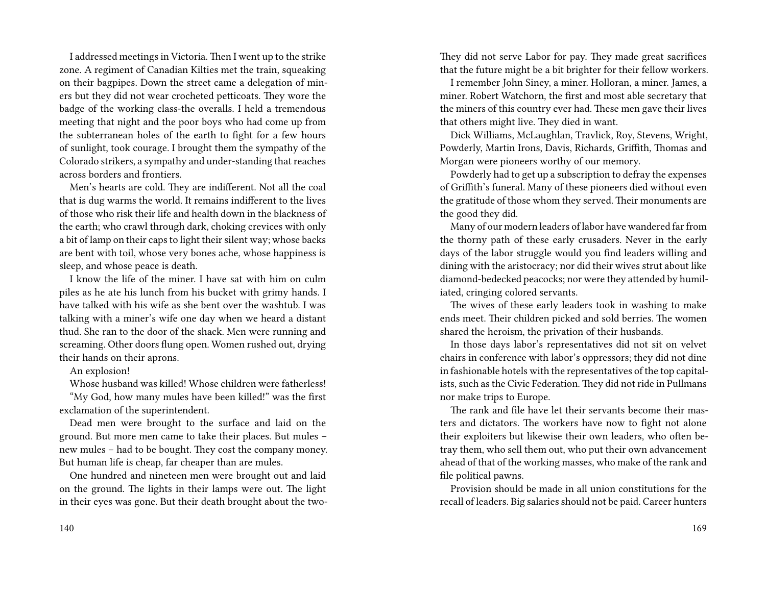I addressed meetings in Victoria. Then I went up to the strike zone. A regiment of Canadian Kilties met the train, squeaking on their bagpipes. Down the street came a delegation of miners but they did not wear crocheted petticoats. They wore the badge of the working class-the overalls. I held a tremendous meeting that night and the poor boys who had come up from the subterranean holes of the earth to fight for a few hours of sunlight, took courage. I brought them the sympathy of the Colorado strikers, a sympathy and under-standing that reaches across borders and frontiers.

Men's hearts are cold. They are indifferent. Not all the coal that is dug warms the world. It remains indifferent to the lives of those who risk their life and health down in the blackness of the earth; who crawl through dark, choking crevices with only a bit of lamp on their caps to light their silent way; whose backs are bent with toil, whose very bones ache, whose happiness is sleep, and whose peace is death.

I know the life of the miner. I have sat with him on culm piles as he ate his lunch from his bucket with grimy hands. I have talked with his wife as she bent over the washtub. I was talking with a miner's wife one day when we heard a distant thud. She ran to the door of the shack. Men were running and screaming. Other doors flung open. Women rushed out, drying their hands on their aprons.

#### An explosion!

Whose husband was killed! Whose children were fatherless!

"My God, how many mules have been killed!" was the first exclamation of the superintendent.

Dead men were brought to the surface and laid on the ground. But more men came to take their places. But mules – new mules – had to be bought. They cost the company money. But human life is cheap, far cheaper than are mules.

One hundred and nineteen men were brought out and laid on the ground. The lights in their lamps were out. The light in their eyes was gone. But their death brought about the twoThey did not serve Labor for pay. They made great sacrifices that the future might be a bit brighter for their fellow workers.

I remember John Siney, a miner. Holloran, a miner. James, a miner. Robert Watchorn, the first and most able secretary that the miners of this country ever had. These men gave their lives that others might live. They died in want.

Dick Williams, McLaughlan, Travlick, Roy, Stevens, Wright, Powderly, Martin Irons, Davis, Richards, Griffith, Thomas and Morgan were pioneers worthy of our memory.

Powderly had to get up a subscription to defray the expenses of Griffith's funeral. Many of these pioneers died without even the gratitude of those whom they served. Their monuments are the good they did.

Many of our modern leaders of labor have wandered far from the thorny path of these early crusaders. Never in the early days of the labor struggle would you find leaders willing and dining with the aristocracy; nor did their wives strut about like diamond-bedecked peacocks; nor were they attended by humiliated, cringing colored servants.

The wives of these early leaders took in washing to make ends meet. Their children picked and sold berries. The women shared the heroism, the privation of their husbands.

In those days labor's representatives did not sit on velvet chairs in conference with labor's oppressors; they did not dine in fashionable hotels with the representatives of the top capitalists, such as the Civic Federation. They did not ride in Pullmans nor make trips to Europe.

The rank and file have let their servants become their masters and dictators. The workers have now to fight not alone their exploiters but likewise their own leaders, who often betray them, who sell them out, who put their own advancement ahead of that of the working masses, who make of the rank and file political pawns.

Provision should be made in all union constitutions for the recall of leaders. Big salaries should not be paid. Career hunters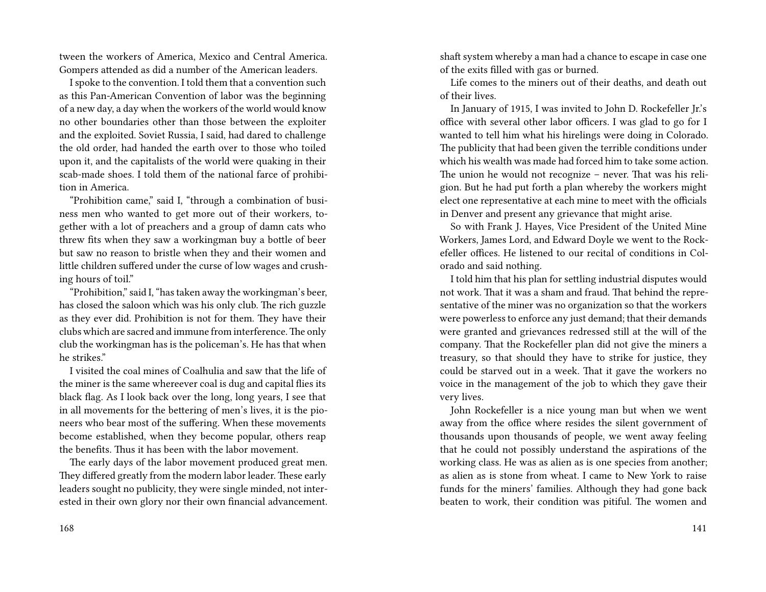tween the workers of America, Mexico and Central America. Gompers attended as did a number of the American leaders.

I spoke to the convention. I told them that a convention such as this Pan-American Convention of labor was the beginning of a new day, a day when the workers of the world would know no other boundaries other than those between the exploiter and the exploited. Soviet Russia, I said, had dared to challenge the old order, had handed the earth over to those who toiled upon it, and the capitalists of the world were quaking in their scab-made shoes. I told them of the national farce of prohibition in America.

"Prohibition came," said I, "through a combination of business men who wanted to get more out of their workers, together with a lot of preachers and a group of damn cats who threw fits when they saw a workingman buy a bottle of beer but saw no reason to bristle when they and their women and little children suffered under the curse of low wages and crushing hours of toil."

"Prohibition," said I, "has taken away the workingman's beer, has closed the saloon which was his only club. The rich guzzle as they ever did. Prohibition is not for them. They have their clubs which are sacred and immune from interference.The only club the workingman has is the policeman's. He has that when he strikes."

I visited the coal mines of Coalhulia and saw that the life of the miner is the same whereever coal is dug and capital flies its black flag. As I look back over the long, long years, I see that in all movements for the bettering of men's lives, it is the pioneers who bear most of the suffering. When these movements become established, when they become popular, others reap the benefits. Thus it has been with the labor movement.

The early days of the labor movement produced great men. They differed greatly from the modern labor leader. These early leaders sought no publicity, they were single minded, not interested in their own glory nor their own financial advancement. shaft system whereby a man had a chance to escape in case one of the exits filled with gas or burned.

Life comes to the miners out of their deaths, and death out of their lives.

In January of 1915, I was invited to John D. Rockefeller Jr.'s office with several other labor officers. I was glad to go for I wanted to tell him what his hirelings were doing in Colorado. The publicity that had been given the terrible conditions under which his wealth was made had forced him to take some action. The union he would not recognize – never. That was his religion. But he had put forth a plan whereby the workers might elect one representative at each mine to meet with the officials in Denver and present any grievance that might arise.

So with Frank J. Hayes, Vice President of the United Mine Workers, James Lord, and Edward Doyle we went to the Rockefeller offices. He listened to our recital of conditions in Colorado and said nothing.

I told him that his plan for settling industrial disputes would not work. That it was a sham and fraud. That behind the representative of the miner was no organization so that the workers were powerless to enforce any just demand; that their demands were granted and grievances redressed still at the will of the company. That the Rockefeller plan did not give the miners a treasury, so that should they have to strike for justice, they could be starved out in a week. That it gave the workers no voice in the management of the job to which they gave their very lives.

John Rockefeller is a nice young man but when we went away from the office where resides the silent government of thousands upon thousands of people, we went away feeling that he could not possibly understand the aspirations of the working class. He was as alien as is one species from another; as alien as is stone from wheat. I came to New York to raise funds for the miners' families. Although they had gone back beaten to work, their condition was pitiful. The women and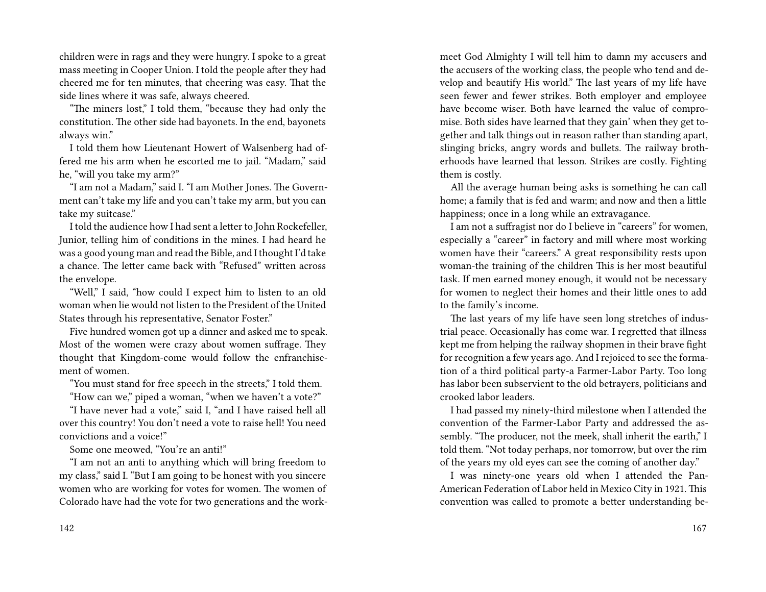children were in rags and they were hungry. I spoke to a great mass meeting in Cooper Union. I told the people after they had cheered me for ten minutes, that cheering was easy. That the side lines where it was safe, always cheered.

"The miners lost," I told them, "because they had only the constitution. The other side had bayonets. In the end, bayonets always win."

I told them how Lieutenant Howert of Walsenberg had offered me his arm when he escorted me to jail. "Madam," said he, "will you take my arm?"

"I am not a Madam," said I. "I am Mother Jones. The Government can't take my life and you can't take my arm, but you can take my suitcase."

I told the audience how I had sent a letter to John Rockefeller, Junior, telling him of conditions in the mines. I had heard he was a good young man and read the Bible, and I thought I'd take a chance. The letter came back with "Refused" written across the envelope.

"Well," I said, "how could I expect him to listen to an old woman when lie would not listen to the President of the United States through his representative, Senator Foster."

Five hundred women got up a dinner and asked me to speak. Most of the women were crazy about women suffrage. They thought that Kingdom-come would follow the enfranchisement of women.

"You must stand for free speech in the streets," I told them.

"How can we," piped a woman, "when we haven't a vote?"

"I have never had a vote," said I, "and I have raised hell all over this country! You don't need a vote to raise hell! You need convictions and a voice!"

Some one meowed, "You're an anti!"

"I am not an anti to anything which will bring freedom to my class," said I. "But I am going to be honest with you sincere women who are working for votes for women. The women of Colorado have had the vote for two generations and the workmeet God Almighty I will tell him to damn my accusers and the accusers of the working class, the people who tend and develop and beautify His world." The last years of my life have seen fewer and fewer strikes. Both employer and employee have become wiser. Both have learned the value of compromise. Both sides have learned that they gain' when they get together and talk things out in reason rather than standing apart, slinging bricks, angry words and bullets. The railway brotherhoods have learned that lesson. Strikes are costly. Fighting them is costly.

All the average human being asks is something he can call home; a family that is fed and warm; and now and then a little happiness; once in a long while an extravagance.

I am not a suffragist nor do I believe in "careers" for women, especially a "career" in factory and mill where most working women have their "careers." A great responsibility rests upon woman-the training of the children This is her most beautiful task. If men earned money enough, it would not be necessary for women to neglect their homes and their little ones to add to the family's income.

The last years of my life have seen long stretches of industrial peace. Occasionally has come war. I regretted that illness kept me from helping the railway shopmen in their brave fight for recognition a few years ago. And I rejoiced to see the formation of a third political party-a Farmer-Labor Party. Too long has labor been subservient to the old betrayers, politicians and crooked labor leaders.

I had passed my ninety-third milestone when I attended the convention of the Farmer-Labor Party and addressed the assembly. "The producer, not the meek, shall inherit the earth," I told them. "Not today perhaps, nor tomorrow, but over the rim of the years my old eyes can see the coming of another day."

I was ninety-one years old when I attended the Pan-American Federation of Labor held in Mexico City in 1921. This convention was called to promote a better understanding be-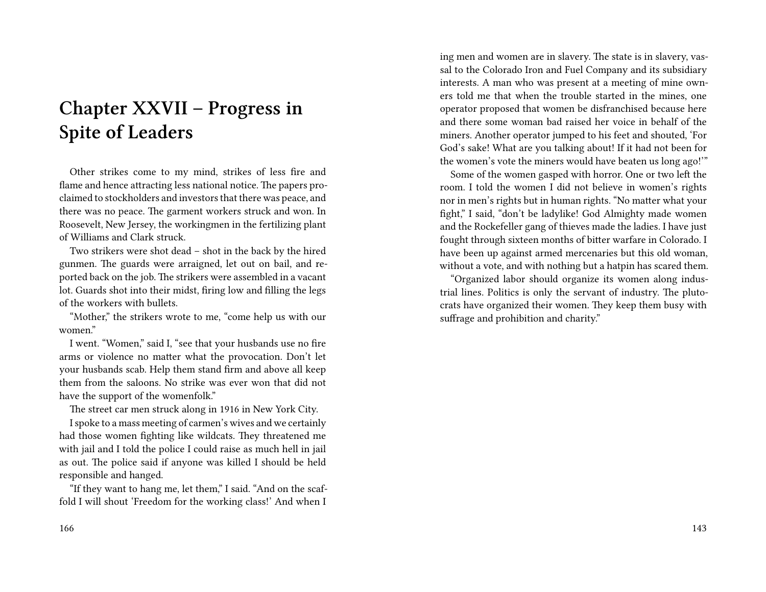## **Chapter XXVII – Progress in Spite of Leaders**

Other strikes come to my mind, strikes of less fire and flame and hence attracting less national notice. The papers proclaimed to stockholders and investors that there was peace, and there was no peace. The garment workers struck and won. In Roosevelt, New Jersey, the workingmen in the fertilizing plant of Williams and Clark struck.

Two strikers were shot dead – shot in the back by the hired gunmen. The guards were arraigned, let out on bail, and reported back on the job. The strikers were assembled in a vacant lot. Guards shot into their midst, firing low and filling the legs of the workers with bullets.

"Mother," the strikers wrote to me, "come help us with our women."

I went. "Women," said I, "see that your husbands use no fire arms or violence no matter what the provocation. Don't let your husbands scab. Help them stand firm and above all keep them from the saloons. No strike was ever won that did not have the support of the womenfolk."

The street car men struck along in 1916 in New York City.

I spoke to a mass meeting of carmen's wives and we certainly had those women fighting like wildcats. They threatened me with jail and I told the police I could raise as much hell in jail as out. The police said if anyone was killed I should be held responsible and hanged.

"If they want to hang me, let them," I said. "And on the scaffold I will shout 'Freedom for the working class!' And when I

166

ing men and women are in slavery. The state is in slavery, vassal to the Colorado Iron and Fuel Company and its subsidiary interests. A man who was present at a meeting of mine owners told me that when the trouble started in the mines, one operator proposed that women be disfranchised because here and there some woman bad raised her voice in behalf of the miners. Another operator jumped to his feet and shouted, 'For God's sake! What are you talking about! If it had not been for the women's vote the miners would have beaten us long ago!'"

Some of the women gasped with horror. One or two left the room. I told the women I did not believe in women's rights nor in men's rights but in human rights. "No matter what your fight," I said, "don't be ladylike! God Almighty made women and the Rockefeller gang of thieves made the ladies. I have just fought through sixteen months of bitter warfare in Colorado. I have been up against armed mercenaries but this old woman, without a vote, and with nothing but a hatpin has scared them.

"Organized labor should organize its women along industrial lines. Politics is only the servant of industry. The plutocrats have organized their women. They keep them busy with suffrage and prohibition and charity."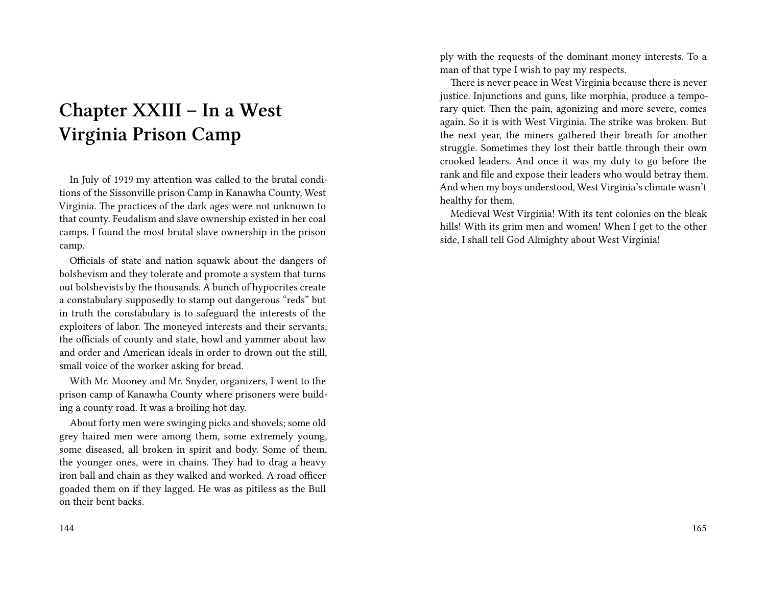## **Chapter XXIII – In a West Virginia Prison Camp**

In July of 1919 my attention was called to the brutal conditions of the Sissonville prison Camp in Kanawha County, West Virginia. The practices of the dark ages were not unknown to that county. Feudalism and slave ownership existed in her coal camps. I found the most brutal slave ownership in the prison camp.

Officials of state and nation squawk about the dangers of bolshevism and they tolerate and promote a system that turns out bolshevists by the thousands. A bunch of hypocrites create a constabulary supposedly to stamp out dangerous "reds" but in truth the constabulary is to safeguard the interests of the exploiters of labor. The moneyed interests and their servants, the officials of county and state, howl and yammer about law and order and American ideals in order to drown out the still, small voice of the worker asking for bread.

With Mr. Mooney and Mr. Snyder, organizers, I went to the prison camp of Kanawha County where prisoners were building a county road. It was a broiling hot day.

About forty men were swinging picks and shovels; some old grey haired men were among them, some extremely young, some diseased, all broken in spirit and body. Some of them, the younger ones, were in chains. They had to drag a heavy iron ball and chain as they walked and worked. A road officer goaded them on if they lagged. He was as pitiless as the Bull on their bent backs.

144

ply with the requests of the dominant money interests. To a man of that type I wish to pay my respects.

There is never peace in West Virginia because there is never justice. Injunctions and guns, like morphia, produce a temporary quiet. Then the pain, agonizing and more severe, comes again. So it is with West Virginia. The strike was broken. But the next year, the miners gathered their breath for another struggle. Sometimes they lost their battle through their own crooked leaders. And once it was my duty to go before the rank and file and expose their leaders who would betray them. And when my boys understood, West Virginia's climate wasn't healthy for them.

Medieval West Virginia! With its tent colonies on the bleak hills! With its grim men and women! When I get to the other side, I shall tell God Almighty about West Virginia!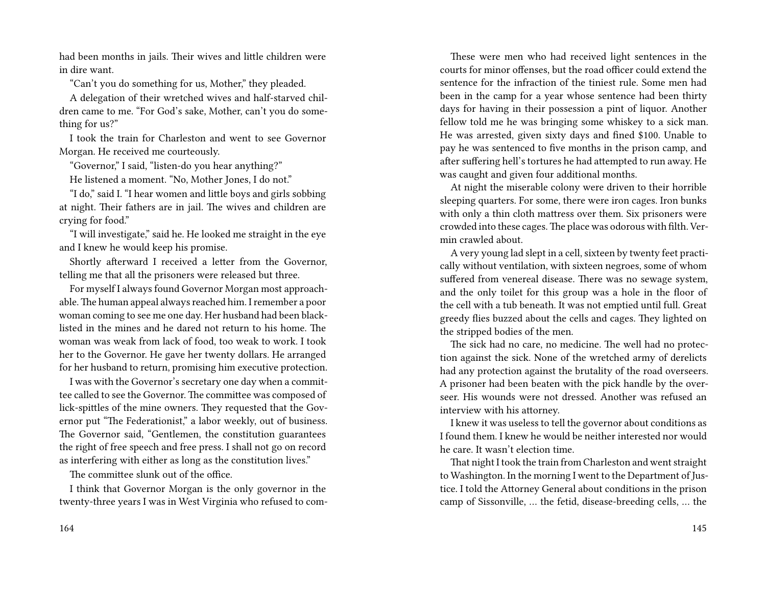had been months in jails. Their wives and little children were in dire want.

"Can't you do something for us, Mother," they pleaded.

A delegation of their wretched wives and half-starved children came to me. "For God's sake, Mother, can't you do something for us?"

I took the train for Charleston and went to see Governor Morgan. He received me courteously.

"Governor," I said, "listen-do you hear anything?"

He listened a moment. "No, Mother Jones, I do not."

"I do," said I. "I hear women and little boys and girls sobbing at night. Their fathers are in jail. The wives and children are crying for food."

"I will investigate," said he. He looked me straight in the eye and I knew he would keep his promise.

Shortly afterward I received a letter from the Governor, telling me that all the prisoners were released but three.

For myself I always found Governor Morgan most approachable.The human appeal always reached him. I remember a poor woman coming to see me one day. Her husband had been blacklisted in the mines and he dared not return to his home. The woman was weak from lack of food, too weak to work. I took her to the Governor. He gave her twenty dollars. He arranged for her husband to return, promising him executive protection.

I was with the Governor's secretary one day when a committee called to see the Governor. The committee was composed of lick-spittles of the mine owners. They requested that the Governor put "The Federationist," a labor weekly, out of business. The Governor said, "Gentlemen, the constitution guarantees the right of free speech and free press. I shall not go on record as interfering with either as long as the constitution lives."

The committee slunk out of the office.

I think that Governor Morgan is the only governor in the twenty-three years I was in West Virginia who refused to com-

These were men who had received light sentences in the courts for minor offenses, but the road officer could extend the sentence for the infraction of the tiniest rule. Some men had been in the camp for a year whose sentence had been thirty days for having in their possession a pint of liquor. Another fellow told me he was bringing some whiskey to a sick man. He was arrested, given sixty days and fined \$100. Unable to pay he was sentenced to five months in the prison camp, and after suffering hell's tortures he had attempted to run away. He was caught and given four additional months.

At night the miserable colony were driven to their horrible sleeping quarters. For some, there were iron cages. Iron bunks with only a thin cloth mattress over them. Six prisoners were crowded into these cages.The place was odorous with filth. Vermin crawled about.

A very young lad slept in a cell, sixteen by twenty feet practically without ventilation, with sixteen negroes, some of whom suffered from venereal disease. There was no sewage system, and the only toilet for this group was a hole in the floor of the cell with a tub beneath. It was not emptied until full. Great greedy flies buzzed about the cells and cages. They lighted on the stripped bodies of the men.

The sick had no care, no medicine. The well had no protection against the sick. None of the wretched army of derelicts had any protection against the brutality of the road overseers. A prisoner had been beaten with the pick handle by the overseer. His wounds were not dressed. Another was refused an interview with his attorney.

I knew it was useless to tell the governor about conditions as I found them. I knew he would be neither interested nor would he care. It wasn't election time.

That night I took the train from Charleston and went straight to Washington. In the morning I went to the Department of Justice. I told the Attorney General about conditions in the prison camp of Sissonville, … the fetid, disease-breeding cells, … the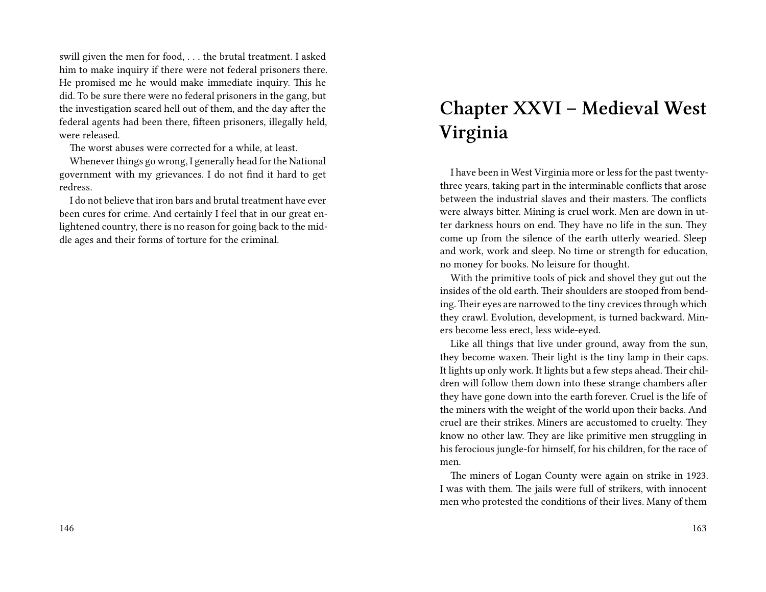swill given the men for food, . . . the brutal treatment. I asked him to make inquiry if there were not federal prisoners there. He promised me he would make immediate inquiry. This he did. To be sure there were no federal prisoners in the gang, but the investigation scared hell out of them, and the day after the federal agents had been there, fifteen prisoners, illegally held, were released.

The worst abuses were corrected for a while, at least.

Whenever things go wrong, I generally head for the National government with my grievances. I do not find it hard to get redress.

I do not believe that iron bars and brutal treatment have ever been cures for crime. And certainly I feel that in our great enlightened country, there is no reason for going back to the middle ages and their forms of torture for the criminal.

# **Chapter XXVI – Medieval West Virginia**

I have been in West Virginia more or less for the past twentythree years, taking part in the interminable conflicts that arose between the industrial slaves and their masters. The conflicts were always bitter. Mining is cruel work. Men are down in utter darkness hours on end. They have no life in the sun. They come up from the silence of the earth utterly wearied. Sleep and work, work and sleep. No time or strength for education, no money for books. No leisure for thought.

With the primitive tools of pick and shovel they gut out the insides of the old earth. Their shoulders are stooped from bending. Their eyes are narrowed to the tiny crevices through which they crawl. Evolution, development, is turned backward. Miners become less erect, less wide-eyed.

Like all things that live under ground, away from the sun, they become waxen. Their light is the tiny lamp in their caps. It lights up only work. It lights but a few steps ahead. Their children will follow them down into these strange chambers after they have gone down into the earth forever. Cruel is the life of the miners with the weight of the world upon their backs. And cruel are their strikes. Miners are accustomed to cruelty. They know no other law. They are like primitive men struggling in his ferocious jungle-for himself, for his children, for the race of men.

The miners of Logan County were again on strike in 1923. I was with them. The jails were full of strikers, with innocent men who protested the conditions of their lives. Many of them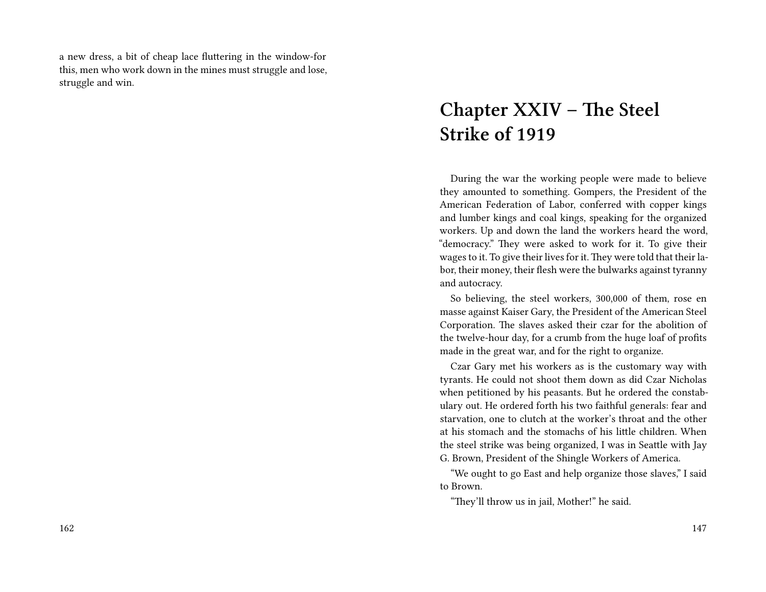a new dress, a bit of cheap lace fluttering in the window-for this, men who work down in the mines must struggle and lose, struggle and win.

# **Chapter XXIV – The Steel Strike of 1919**

During the war the working people were made to believe they amounted to something. Gompers, the President of the American Federation of Labor, conferred with copper kings and lumber kings and coal kings, speaking for the organized workers. Up and down the land the workers heard the word, "democracy." They were asked to work for it. To give their wages to it. To give their lives for it. They were told that their labor, their money, their flesh were the bulwarks against tyranny and autocracy.

So believing, the steel workers, 300,000 of them, rose en masse against Kaiser Gary, the President of the American Steel Corporation. The slaves asked their czar for the abolition of the twelve-hour day, for a crumb from the huge loaf of profits made in the great war, and for the right to organize.

Czar Gary met his workers as is the customary way with tyrants. He could not shoot them down as did Czar Nicholas when petitioned by his peasants. But he ordered the constabulary out. He ordered forth his two faithful generals: fear and starvation, one to clutch at the worker's throat and the other at his stomach and the stomachs of his little children. When the steel strike was being organized, I was in Seattle with Jay G. Brown, President of the Shingle Workers of America.

"We ought to go East and help organize those slaves," I said to Brown.

"They'll throw us in jail, Mother!" he said.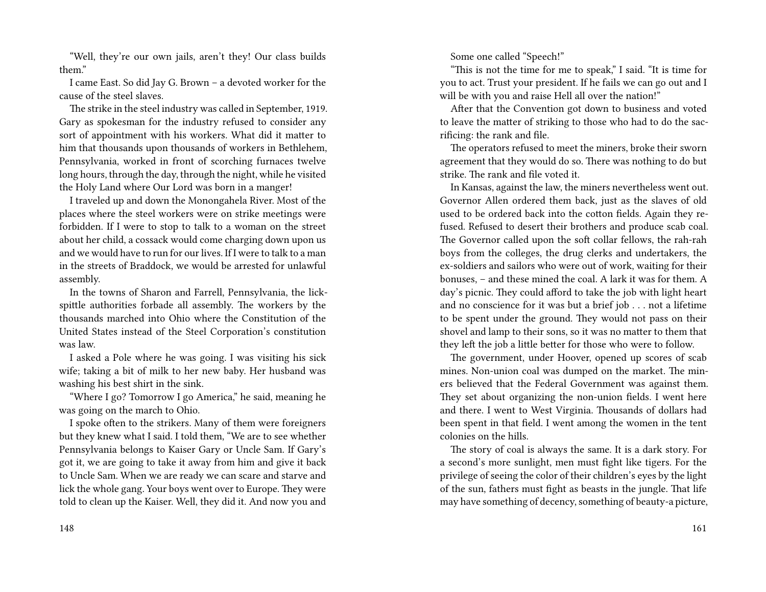"Well, they're our own jails, aren't they! Our class builds them."

I came East. So did Jay G. Brown – a devoted worker for the cause of the steel slaves.

The strike in the steel industry was called in September, 1919. Gary as spokesman for the industry refused to consider any sort of appointment with his workers. What did it matter to him that thousands upon thousands of workers in Bethlehem, Pennsylvania, worked in front of scorching furnaces twelve long hours, through the day, through the night, while he visited the Holy Land where Our Lord was born in a manger!

I traveled up and down the Monongahela River. Most of the places where the steel workers were on strike meetings were forbidden. If I were to stop to talk to a woman on the street about her child, a cossack would come charging down upon us and we would have to run for our lives. If I were to talk to a man in the streets of Braddock, we would be arrested for unlawful assembly.

In the towns of Sharon and Farrell, Pennsylvania, the lickspittle authorities forbade all assembly. The workers by the thousands marched into Ohio where the Constitution of the United States instead of the Steel Corporation's constitution was law.

I asked a Pole where he was going. I was visiting his sick wife; taking a bit of milk to her new baby. Her husband was washing his best shirt in the sink.

"Where I go? Tomorrow I go America," he said, meaning he was going on the march to Ohio.

I spoke often to the strikers. Many of them were foreigners but they knew what I said. I told them, "We are to see whether Pennsylvania belongs to Kaiser Gary or Uncle Sam. If Gary's got it, we are going to take it away from him and give it back to Uncle Sam. When we are ready we can scare and starve and lick the whole gang. Your boys went over to Europe. They were told to clean up the Kaiser. Well, they did it. And now you and

148

Some one called "Speech!"

"This is not the time for me to speak," I said. "It is time for you to act. Trust your president. If he fails we can go out and I will be with you and raise Hell all over the nation!"

After that the Convention got down to business and voted to leave the matter of striking to those who had to do the sacrificing: the rank and file.

The operators refused to meet the miners, broke their sworn agreement that they would do so. There was nothing to do but strike. The rank and file voted it.

In Kansas, against the law, the miners nevertheless went out. Governor Allen ordered them back, just as the slaves of old used to be ordered back into the cotton fields. Again they refused. Refused to desert their brothers and produce scab coal. The Governor called upon the soft collar fellows, the rah-rah boys from the colleges, the drug clerks and undertakers, the ex-soldiers and sailors who were out of work, waiting for their bonuses, – and these mined the coal. A lark it was for them. A day's picnic. They could afford to take the job with light heart and no conscience for it was but a brief job . . . not a lifetime to be spent under the ground. They would not pass on their shovel and lamp to their sons, so it was no matter to them that they left the job a little better for those who were to follow.

The government, under Hoover, opened up scores of scab mines. Non-union coal was dumped on the market. The miners believed that the Federal Government was against them. They set about organizing the non-union fields. I went here and there. I went to West Virginia. Thousands of dollars had been spent in that field. I went among the women in the tent colonies on the hills.

The story of coal is always the same. It is a dark story. For a second's more sunlight, men must fight like tigers. For the privilege of seeing the color of their children's eyes by the light of the sun, fathers must fight as beasts in the jungle. That life may have something of decency, something of beauty-a picture,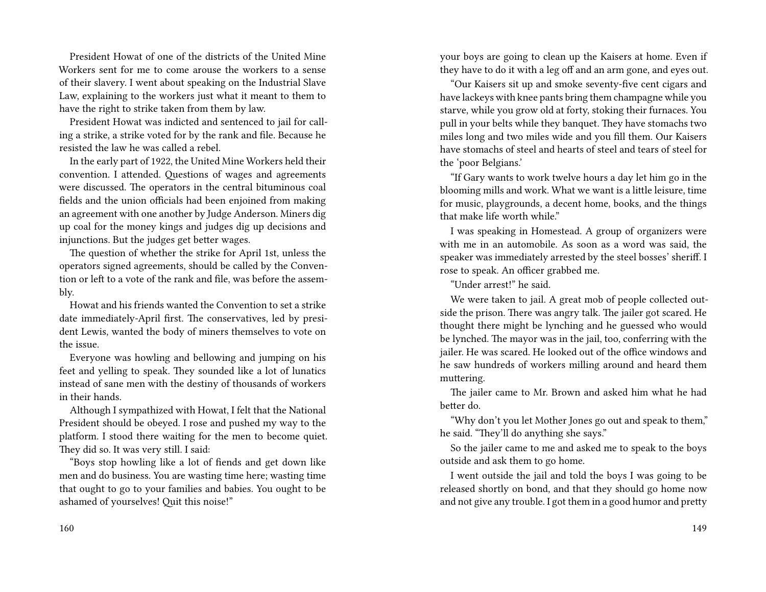President Howat of one of the districts of the United Mine Workers sent for me to come arouse the workers to a sense of their slavery. I went about speaking on the Industrial Slave Law, explaining to the workers just what it meant to them to have the right to strike taken from them by law.

President Howat was indicted and sentenced to jail for calling a strike, a strike voted for by the rank and file. Because he resisted the law he was called a rebel.

In the early part of 1922, the United Mine Workers held their convention. I attended. Questions of wages and agreements were discussed. The operators in the central bituminous coal fields and the union officials had been enjoined from making an agreement with one another by Judge Anderson. Miners dig up coal for the money kings and judges dig up decisions and injunctions. But the judges get better wages.

The question of whether the strike for April 1st, unless the operators signed agreements, should be called by the Convention or left to a vote of the rank and file, was before the assembly.

Howat and his friends wanted the Convention to set a strike date immediately-April first. The conservatives, led by president Lewis, wanted the body of miners themselves to vote on the issue.

Everyone was howling and bellowing and jumping on his feet and yelling to speak. They sounded like a lot of lunatics instead of sane men with the destiny of thousands of workers in their hands.

Although I sympathized with Howat, I felt that the National President should be obeyed. I rose and pushed my way to the platform. I stood there waiting for the men to become quiet. They did so. It was very still. I said:

"Boys stop howling like a lot of fiends and get down like men and do business. You are wasting time here; wasting time that ought to go to your families and babies. You ought to be ashamed of yourselves! Quit this noise!"

160

your boys are going to clean up the Kaisers at home. Even if they have to do it with a leg off and an arm gone, and eyes out.

"Our Kaisers sit up and smoke seventy-five cent cigars and have lackeys with knee pants bring them champagne while you starve, while you grow old at forty, stoking their furnaces. You pull in your belts while they banquet. They have stomachs two miles long and two miles wide and you fill them. Our Kaisers have stomachs of steel and hearts of steel and tears of steel for the 'poor Belgians.'

"If Gary wants to work twelve hours a day let him go in the blooming mills and work. What we want is a little leisure, time for music, playgrounds, a decent home, books, and the things that make life worth while."

I was speaking in Homestead. A group of organizers were with me in an automobile. As soon as a word was said, the speaker was immediately arrested by the steel bosses' sheriff. I rose to speak. An officer grabbed me.

"Under arrest!" he said.

We were taken to jail. A great mob of people collected outside the prison. There was angry talk. The jailer got scared. He thought there might be lynching and he guessed who would be lynched. The mayor was in the jail, too, conferring with the jailer. He was scared. He looked out of the office windows and he saw hundreds of workers milling around and heard them muttering.

The jailer came to Mr. Brown and asked him what he had better do.

"Why don't you let Mother Jones go out and speak to them," he said. "They'll do anything she says."

So the jailer came to me and asked me to speak to the boys outside and ask them to go home.

I went outside the jail and told the boys I was going to be released shortly on bond, and that they should go home now and not give any trouble. I got them in a good humor and pretty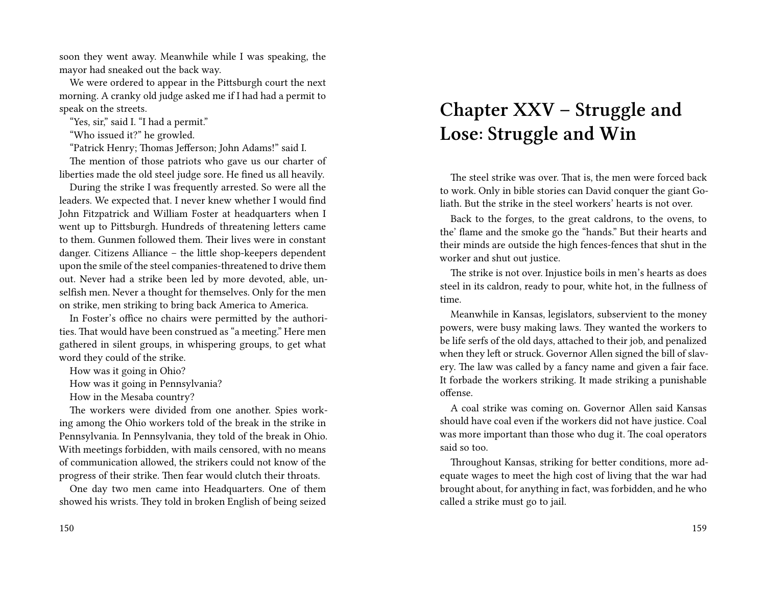soon they went away. Meanwhile while I was speaking, the mayor had sneaked out the back way.

We were ordered to appear in the Pittsburgh court the next morning. A cranky old judge asked me if I had had a permit to speak on the streets.

"Yes, sir," said I. "I had a permit."

"Who issued it?" he growled.

"Patrick Henry; Thomas Jefferson; John Adams!" said I.

The mention of those patriots who gave us our charter of liberties made the old steel judge sore. He fined us all heavily.

During the strike I was frequently arrested. So were all the leaders. We expected that. I never knew whether I would find John Fitzpatrick and William Foster at headquarters when I went up to Pittsburgh. Hundreds of threatening letters came to them. Gunmen followed them. Their lives were in constant danger. Citizens Alliance – the little shop-keepers dependent upon the smile of the steel companies-threatened to drive them out. Never had a strike been led by more devoted, able, unselfish men. Never a thought for themselves. Only for the men on strike, men striking to bring back America to America.

In Foster's office no chairs were permitted by the authorities. That would have been construed as "a meeting." Here men gathered in silent groups, in whispering groups, to get what word they could of the strike.

How was it going in Ohio?

How was it going in Pennsylvania?

How in the Mesaba country?

The workers were divided from one another. Spies working among the Ohio workers told of the break in the strike in Pennsylvania. In Pennsylvania, they told of the break in Ohio. With meetings forbidden, with mails censored, with no means of communication allowed, the strikers could not know of the progress of their strike. Then fear would clutch their throats.

One day two men came into Headquarters. One of them showed his wrists. They told in broken English of being seized

## **Chapter XXV – Struggle and Lose: Struggle and Win**

The steel strike was over. That is, the men were forced back to work. Only in bible stories can David conquer the giant Goliath. But the strike in the steel workers' hearts is not over.

Back to the forges, to the great caldrons, to the ovens, to the' flame and the smoke go the "hands." But their hearts and their minds are outside the high fences-fences that shut in the worker and shut out justice.

The strike is not over. Injustice boils in men's hearts as does steel in its caldron, ready to pour, white hot, in the fullness of time.

Meanwhile in Kansas, legislators, subservient to the money powers, were busy making laws. They wanted the workers to be life serfs of the old days, attached to their job, and penalized when they left or struck. Governor Allen signed the bill of slavery. The law was called by a fancy name and given a fair face. It forbade the workers striking. It made striking a punishable offense.

A coal strike was coming on. Governor Allen said Kansas should have coal even if the workers did not have justice. Coal was more important than those who dug it. The coal operators said so too.

Throughout Kansas, striking for better conditions, more adequate wages to meet the high cost of living that the war had brought about, for anything in fact, was forbidden, and he who called a strike must go to jail.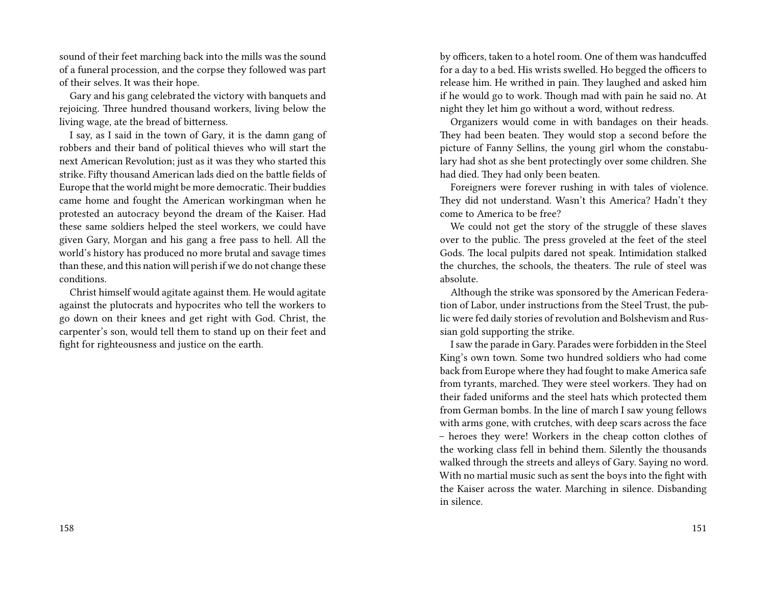sound of their feet marching back into the mills was the sound of a funeral procession, and the corpse they followed was part of their selves. It was their hope.

Gary and his gang celebrated the victory with banquets and rejoicing. Three hundred thousand workers, living below the living wage, ate the bread of bitterness.

I say, as I said in the town of Gary, it is the damn gang of robbers and their band of political thieves who will start the next American Revolution; just as it was they who started this strike. Fifty thousand American lads died on the battle fields of Europe that the world might be more democratic.Their buddies came home and fought the American workingman when he protested an autocracy beyond the dream of the Kaiser. Had these same soldiers helped the steel workers, we could have given Gary, Morgan and his gang a free pass to hell. All the world's history has produced no more brutal and savage times than these, and this nation will perish if we do not change these conditions.

Christ himself would agitate against them. He would agitate against the plutocrats and hypocrites who tell the workers to go down on their knees and get right with God. Christ, the carpenter's son, would tell them to stand up on their feet and fight for righteousness and justice on the earth.

by officers, taken to a hotel room. One of them was handcuffed for a day to a bed. His wrists swelled. Ho begged the officers to release him. He writhed in pain. They laughed and asked him if he would go to work. Though mad with pain he said no. At night they let him go without a word, without redress.

Organizers would come in with bandages on their heads. They had been beaten. They would stop a second before the picture of Fanny Sellins, the young girl whom the constabulary had shot as she bent protectingly over some children. She had died. They had only been beaten.

Foreigners were forever rushing in with tales of violence. They did not understand. Wasn't this America? Hadn't they come to America to be free?

We could not get the story of the struggle of these slaves over to the public. The press groveled at the feet of the steel Gods. The local pulpits dared not speak. Intimidation stalked the churches, the schools, the theaters. The rule of steel was absolute.

Although the strike was sponsored by the American Federation of Labor, under instructions from the Steel Trust, the public were fed daily stories of revolution and Bolshevism and Russian gold supporting the strike.

I saw the parade in Gary. Parades were forbidden in the Steel King's own town. Some two hundred soldiers who had come back from Europe where they had fought to make America safe from tyrants, marched. They were steel workers. They had on their faded uniforms and the steel hats which protected them from German bombs. In the line of march I saw young fellows with arms gone, with crutches, with deep scars across the face – heroes they were! Workers in the cheap cotton clothes of the working class fell in behind them. Silently the thousands walked through the streets and alleys of Gary. Saying no word. With no martial music such as sent the boys into the fight with the Kaiser across the water. Marching in silence. Disbanding in silence.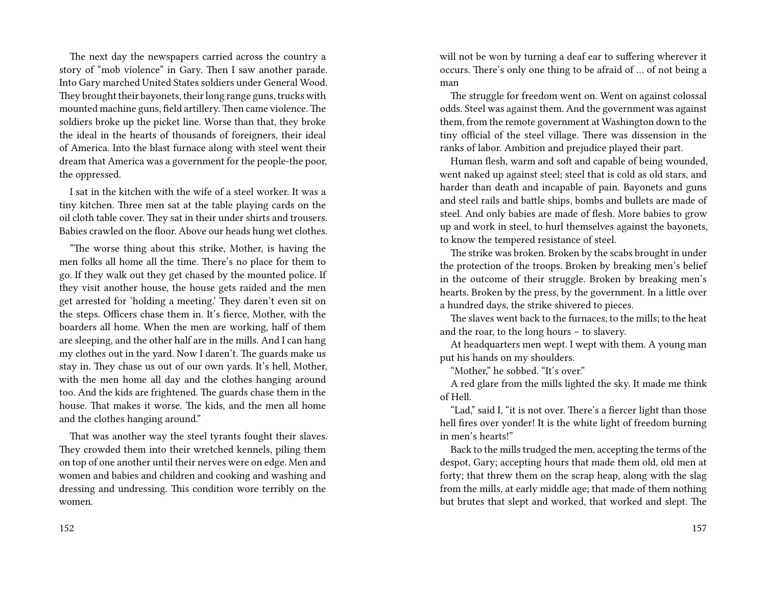The next day the newspapers carried across the country a story of "mob violence" in Gary. Then I saw another parade. Into Gary marched United States soldiers under General Wood. They brought their bayonets, their long range guns, trucks with mounted machine guns, field artillery. Then came violence. The soldiers broke up the picket line. Worse than that, they broke the ideal in the hearts of thousands of foreigners, their ideal of America. Into the blast furnace along with steel went their dream that America was a government for the people-the poor, the oppressed.

I sat in the kitchen with the wife of a steel worker. It was a tiny kitchen. Three men sat at the table playing cards on the oil cloth table cover. They sat in their under shirts and trousers. Babies crawled on the floor. Above our heads hung wet clothes.

"The worse thing about this strike, Mother, is having the men folks all home all the time. There's no place for them to go. If they walk out they get chased by the mounted police. If they visit another house, the house gets raided and the men get arrested for 'holding a meeting.' They daren't even sit on the steps. Officers chase them in. It's fierce, Mother, with the boarders all home. When the men are working, half of them are sleeping, and the other half are in the mills. And I can hang my clothes out in the yard. Now I daren't. The guards make us stay in. They chase us out of our own yards. It's hell, Mother, with the men home all day and the clothes hanging around too. And the kids are frightened. The guards chase them in the house. That makes it worse. The kids, and the men all home and the clothes hanging around."

That was another way the steel tyrants fought their slaves. They crowded them into their wretched kennels, piling them on top of one another until their nerves were on edge. Men and women and babies and children and cooking and washing and dressing and undressing. This condition wore terribly on the women.

will not be won by turning a deaf ear to suffering wherever it occurs. There's only one thing to be afraid of … of not being a man

The struggle for freedom went on. Went on against colossal odds. Steel was against them. And the government was against them, from the remote government at Washington down to the tiny official of the steel village. There was dissension in the ranks of labor. Ambition and prejudice played their part.

Human flesh, warm and soft and capable of being wounded, went naked up against steel; steel that is cold as old stars, and harder than death and incapable of pain. Bayonets and guns and steel rails and battle ships, bombs and bullets are made of steel. And only babies are made of flesh. More babies to grow up and work in steel, to hurl themselves against the bayonets, to know the tempered resistance of steel.

The strike was broken. Broken by the scabs brought in under the protection of the troops. Broken by breaking men's belief in the outcome of their struggle. Broken by breaking men's hearts. Broken by the press, by the government. In a little over a hundred days, the strike shivered to pieces.

The slaves went back to the furnaces, to the mills; to the heat and the roar, to the long hours – to slavery.

At headquarters men wept. I wept with them. A young man put his hands on my shoulders.

"Mother," he sobbed. "It's over."

A red glare from the mills lighted the sky. It made me think of Hell.

"Lad," said I, "it is not over. There's a fiercer light than those hell fires over yonder! It is the white light of freedom burning in men's hearts!"

Back to the mills trudged the men, accepting the terms of the despot, Gary; accepting hours that made them old, old men at forty; that threw them on the scrap heap, along with the slag from the mills, at early middle age; that made of them nothing but brutes that slept and worked, that worked and slept. The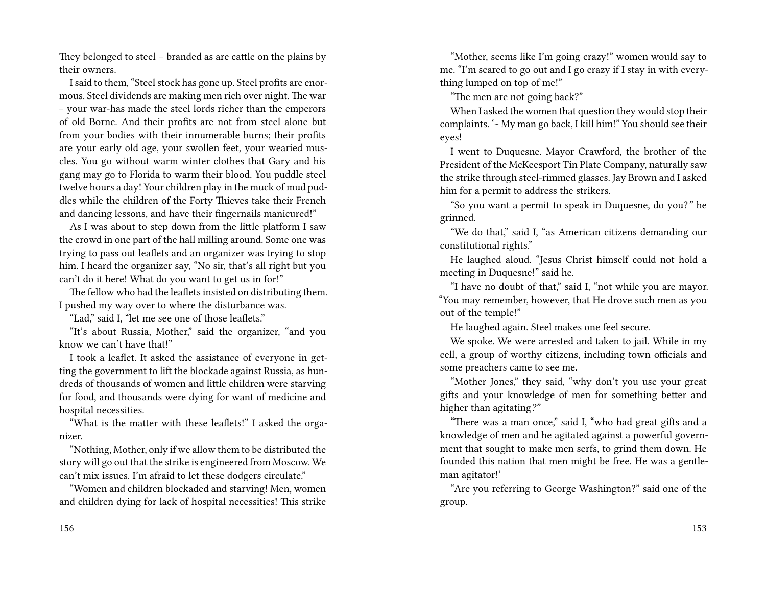They belonged to steel – branded as are cattle on the plains by their owners.

I said to them, "Steel stock has gone up. Steel profits are enormous. Steel dividends are making men rich over night. The war – your war-has made the steel lords richer than the emperors of old Borne. And their profits are not from steel alone but from your bodies with their innumerable burns; their profits are your early old age, your swollen feet, your wearied muscles. You go without warm winter clothes that Gary and his gang may go to Florida to warm their blood. You puddle steel twelve hours a day! Your children play in the muck of mud puddles while the children of the Forty Thieves take their French and dancing lessons, and have their fingernails manicured!"

As I was about to step down from the little platform I saw the crowd in one part of the hall milling around. Some one was trying to pass out leaflets and an organizer was trying to stop him. I heard the organizer say, "No sir, that's all right but you can't do it here! What do you want to get us in for!"

The fellow who had the leaflets insisted on distributing them. I pushed my way over to where the disturbance was.

"Lad," said I, "let me see one of those leaflets."

"It's about Russia, Mother," said the organizer, "and you know we can't have that!"

I took a leaflet. It asked the assistance of everyone in getting the government to lift the blockade against Russia, as hundreds of thousands of women and little children were starving for food, and thousands were dying for want of medicine and hospital necessities.

"What is the matter with these leaflets!" I asked the organizer.

"Nothing, Mother, only if we allow them to be distributed the story will go out that the strike is engineered from Moscow. We can't mix issues. I'm afraid to let these dodgers circulate."

"Women and children blockaded and starving! Men, women and children dying for lack of hospital necessities! This strike

"Mother, seems like I'm going crazy!" women would say to me. "I'm scared to go out and I go crazy if I stay in with everything lumped on top of me!"

"The men are not going back?"

When I asked the women that question they would stop their complaints. '~ My man go back, I kill him!" You should see their eyes!

I went to Duquesne. Mayor Crawford, the brother of the President of the McKeesport Tin Plate Company, naturally saw the strike through steel-rimmed glasses. Jay Brown and I asked him for a permit to address the strikers.

"So you want a permit to speak in Duquesne, do you?*"* he grinned.

"We do that," said I, "as American citizens demanding our constitutional rights."

He laughed aloud. "Jesus Christ himself could not hold a meeting in Duquesne!" said he.

"I have no doubt of that," said I, "not while you are mayor. "You may remember, however, that He drove such men as you out of the temple!"

He laughed again. Steel makes one feel secure.

We spoke. We were arrested and taken to jail. While in my cell, a group of worthy citizens, including town officials and some preachers came to see me.

"Mother Jones," they said, "why don't you use your great gifts and your knowledge of men for something better and higher than agitating*?"*

"There was a man once," said I, "who had great gifts and a knowledge of men and he agitated against a powerful government that sought to make men serfs, to grind them down. He founded this nation that men might be free. He was a gentleman agitator!'

"Are you referring to George Washington?" said one of the group.